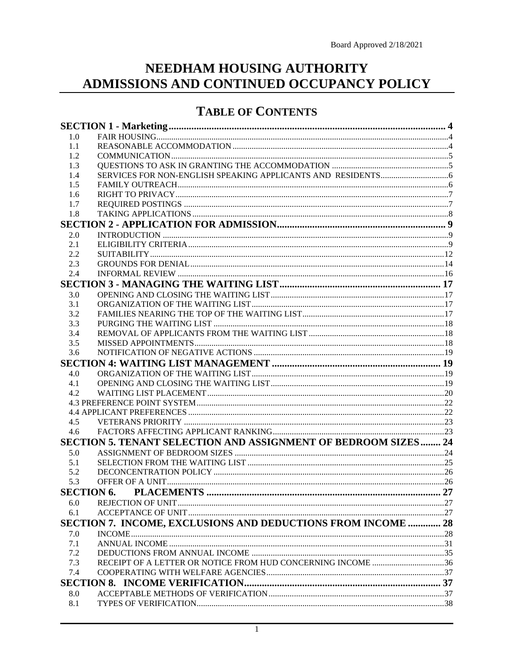# NEEDHAM HOUSING AUTHORITY ADMISSIONS AND CONTINUED OCCUPANCY POLICY

### **TABLE OF CONTENTS**

| 1.0 |                                                                |  |
|-----|----------------------------------------------------------------|--|
| 1.1 |                                                                |  |
| 1.2 |                                                                |  |
| 1.3 |                                                                |  |
| 1.4 |                                                                |  |
| 1.5 |                                                                |  |
| 1.6 |                                                                |  |
| 1.7 |                                                                |  |
| 1.8 |                                                                |  |
|     |                                                                |  |
| 2.0 |                                                                |  |
| 2.1 |                                                                |  |
| 2.2 |                                                                |  |
| 2.3 |                                                                |  |
| 2.4 |                                                                |  |
|     |                                                                |  |
| 3.0 |                                                                |  |
| 3.1 |                                                                |  |
| 3.2 |                                                                |  |
| 3.3 |                                                                |  |
| 3.4 |                                                                |  |
| 3.5 |                                                                |  |
| 3.6 |                                                                |  |
|     |                                                                |  |
| 4.0 |                                                                |  |
| 4.1 |                                                                |  |
| 4.2 |                                                                |  |
|     |                                                                |  |
|     |                                                                |  |
| 4.5 |                                                                |  |
| 4.6 |                                                                |  |
|     | SECTION 5. TENANT SELECTION AND ASSIGNMENT OF BEDROOM SIZES 24 |  |
| 5.0 |                                                                |  |
| 5.1 |                                                                |  |
| 5.2 |                                                                |  |
| 5.3 |                                                                |  |
|     | <b>SECTION 6. PLACEMENTS</b>                                   |  |
| 6.0 |                                                                |  |
| 6.1 |                                                                |  |
|     | SECTION 7. INCOME, EXCLUSIONS AND DEDUCTIONS FROM INCOME  28   |  |
| 7.0 |                                                                |  |
| 7.1 |                                                                |  |
| 7.2 |                                                                |  |
| 7.3 |                                                                |  |
| 7.4 |                                                                |  |
|     |                                                                |  |
| 8.0 |                                                                |  |
| 8.1 |                                                                |  |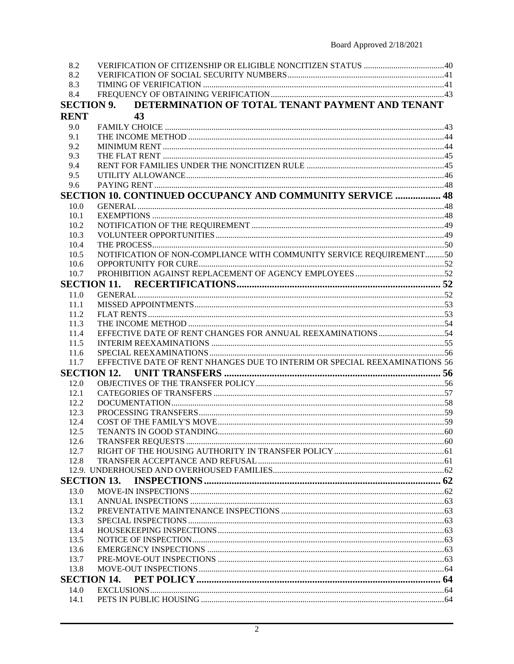| 8.2                |                                                                            |  |  |
|--------------------|----------------------------------------------------------------------------|--|--|
| 8.2                |                                                                            |  |  |
| 8.3                |                                                                            |  |  |
| 8.4                |                                                                            |  |  |
| <b>SECTION 9.</b>  | DETERMINATION OF TOTAL TENANT PAYMENT AND TENANT                           |  |  |
| <b>RENT</b>        | 43                                                                         |  |  |
| 9.0                |                                                                            |  |  |
| 9.1                |                                                                            |  |  |
| 9.2                |                                                                            |  |  |
| 9.3                |                                                                            |  |  |
| 9.4                |                                                                            |  |  |
| 9.5                |                                                                            |  |  |
| 9.6                |                                                                            |  |  |
|                    | <b>SECTION 10. CONTINUED OCCUPANCY AND COMMUNITY SERVICE  48</b>           |  |  |
| 10.0               |                                                                            |  |  |
| 10.1               |                                                                            |  |  |
| 10.2               |                                                                            |  |  |
| 10.3               |                                                                            |  |  |
| 10.4               |                                                                            |  |  |
| 10.5               | NOTIFICATION OF NON-COMPLIANCE WITH COMMUNITY SERVICE REQUIREMENT50        |  |  |
| 10.6               |                                                                            |  |  |
| 10.7               |                                                                            |  |  |
|                    |                                                                            |  |  |
|                    | <b>SECTION 11.</b>                                                         |  |  |
| 11.0               |                                                                            |  |  |
| 11.1               |                                                                            |  |  |
| 11.2               |                                                                            |  |  |
| 11.3               |                                                                            |  |  |
| 11.4               |                                                                            |  |  |
| 11.5               |                                                                            |  |  |
| 11.6               |                                                                            |  |  |
| 11.7               | EFFECTIVE DATE OF RENT NHANGES DUE TO INTERIM OR SPECIAL REEXAMINATIONS 56 |  |  |
|                    |                                                                            |  |  |
| 12.0               |                                                                            |  |  |
| 12.1               |                                                                            |  |  |
| 12.2               |                                                                            |  |  |
| 12.3               |                                                                            |  |  |
| 12.4               |                                                                            |  |  |
| 12.5               |                                                                            |  |  |
| 12.6               |                                                                            |  |  |
| 12.7               |                                                                            |  |  |
| 12.8               |                                                                            |  |  |
|                    |                                                                            |  |  |
| <b>SECTION 13.</b> |                                                                            |  |  |
| 13.0               |                                                                            |  |  |
| 13.1               |                                                                            |  |  |
| 13.2               |                                                                            |  |  |
| 13.3               |                                                                            |  |  |
| 13.4               |                                                                            |  |  |
| 13.5               |                                                                            |  |  |
| 13.6               |                                                                            |  |  |
| 13.7               |                                                                            |  |  |
| 13.8               |                                                                            |  |  |
| <b>SECTION 14.</b> |                                                                            |  |  |
| 14.0               |                                                                            |  |  |
| 14.1               |                                                                            |  |  |
|                    |                                                                            |  |  |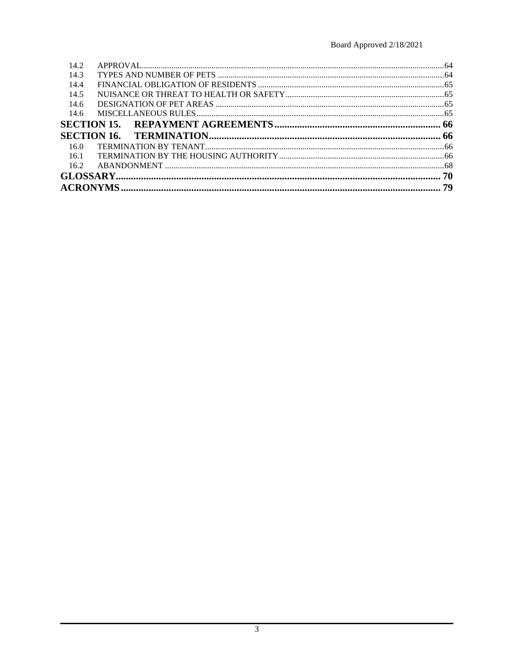| 14.2 |  |
|------|--|
| 14.3 |  |
| 14.4 |  |
| 14.5 |  |
| 14.6 |  |
| 14.6 |  |
|      |  |
|      |  |
|      |  |
| 16.0 |  |
| 16.1 |  |
| 16.2 |  |
|      |  |
|      |  |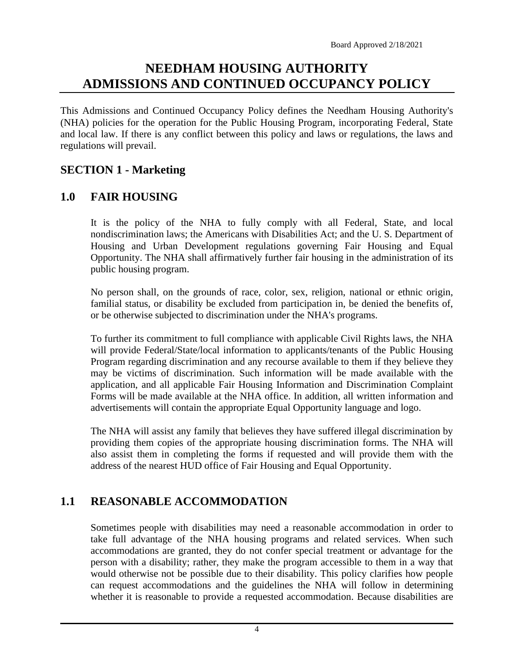# **NEEDHAM HOUSING AUTHORITY ADMISSIONS AND CONTINUED OCCUPANCY POLICY**

This Admissions and Continued Occupancy Policy defines the Needham Housing Authority's (NHA) policies for the operation for the Public Housing Program, incorporating Federal, State and local law. If there is any conflict between this policy and laws or regulations, the laws and regulations will prevail.

### <span id="page-3-0"></span>**SECTION 1 - Marketing**

#### <span id="page-3-1"></span>**1.0 FAIR HOUSING**

It is the policy of the NHA to fully comply with all Federal, State, and local nondiscrimination laws; the Americans with Disabilities Act; and the U. S. Department of Housing and Urban Development regulations governing Fair Housing and Equal Opportunity. The NHA shall affirmatively further fair housing in the administration of its public housing program.

No person shall, on the grounds of race, color, sex, religion, national or ethnic origin, familial status, or disability be excluded from participation in, be denied the benefits of, or be otherwise subjected to discrimination under the NHA's programs.

To further its commitment to full compliance with applicable Civil Rights laws, the NHA will provide Federal/State/local information to applicants/tenants of the Public Housing Program regarding discrimination and any recourse available to them if they believe they may be victims of discrimination. Such information will be made available with the application, and all applicable Fair Housing Information and Discrimination Complaint Forms will be made available at the NHA office. In addition, all written information and advertisements will contain the appropriate Equal Opportunity language and logo.

The NHA will assist any family that believes they have suffered illegal discrimination by providing them copies of the appropriate housing discrimination forms. The NHA will also assist them in completing the forms if requested and will provide them with the address of the nearest HUD office of Fair Housing and Equal Opportunity.

## <span id="page-3-2"></span>**1.1 REASONABLE ACCOMMODATION**

Sometimes people with disabilities may need a reasonable accommodation in order to take full advantage of the NHA housing programs and related services. When such accommodations are granted, they do not confer special treatment or advantage for the person with a disability; rather, they make the program accessible to them in a way that would otherwise not be possible due to their disability. This policy clarifies how people can request accommodations and the guidelines the NHA will follow in determining whether it is reasonable to provide a requested accommodation. Because disabilities are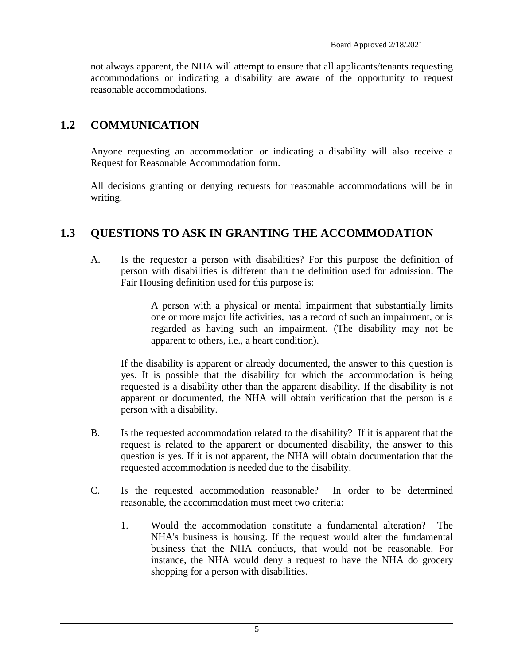not always apparent, the NHA will attempt to ensure that all applicants/tenants requesting accommodations or indicating a disability are aware of the opportunity to request reasonable accommodations.

### <span id="page-4-0"></span>**1.2 COMMUNICATION**

Anyone requesting an accommodation or indicating a disability will also receive a Request for Reasonable Accommodation form.

All decisions granting or denying requests for reasonable accommodations will be in writing.

### <span id="page-4-1"></span>**1.3 QUESTIONS TO ASK IN GRANTING THE ACCOMMODATION**

A. Is the requestor a person with disabilities? For this purpose the definition of person with disabilities is different than the definition used for admission. The Fair Housing definition used for this purpose is:

> A person with a physical or mental impairment that substantially limits one or more major life activities, has a record of such an impairment, or is regarded as having such an impairment. (The disability may not be apparent to others, i.e., a heart condition).

If the disability is apparent or already documented, the answer to this question is yes. It is possible that the disability for which the accommodation is being requested is a disability other than the apparent disability. If the disability is not apparent or documented, the NHA will obtain verification that the person is a person with a disability.

- B. Is the requested accommodation related to the disability? If it is apparent that the request is related to the apparent or documented disability, the answer to this question is yes. If it is not apparent, the NHA will obtain documentation that the requested accommodation is needed due to the disability.
- C. Is the requested accommodation reasonable? In order to be determined reasonable, the accommodation must meet two criteria:
	- 1. Would the accommodation constitute a fundamental alteration? The NHA's business is housing. If the request would alter the fundamental business that the NHA conducts, that would not be reasonable. For instance, the NHA would deny a request to have the NHA do grocery shopping for a person with disabilities.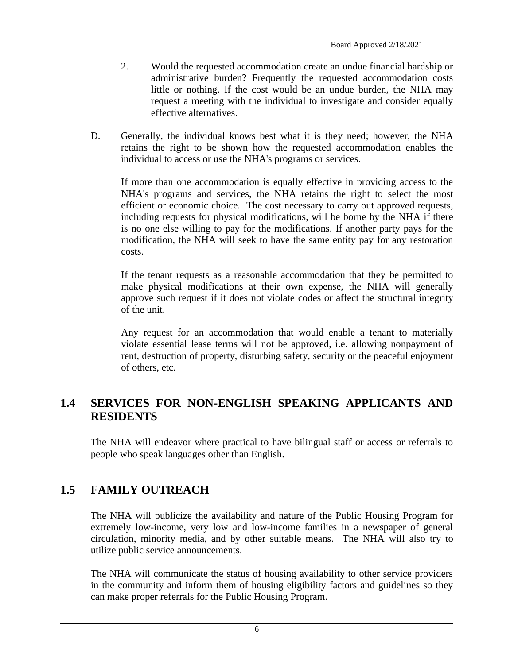- 2. Would the requested accommodation create an undue financial hardship or administrative burden? Frequently the requested accommodation costs little or nothing. If the cost would be an undue burden, the NHA may request a meeting with the individual to investigate and consider equally effective alternatives.
- D. Generally, the individual knows best what it is they need; however, the NHA retains the right to be shown how the requested accommodation enables the individual to access or use the NHA's programs or services.

If more than one accommodation is equally effective in providing access to the NHA's programs and services, the NHA retains the right to select the most efficient or economic choice. The cost necessary to carry out approved requests, including requests for physical modifications, will be borne by the NHA if there is no one else willing to pay for the modifications. If another party pays for the modification, the NHA will seek to have the same entity pay for any restoration costs.

If the tenant requests as a reasonable accommodation that they be permitted to make physical modifications at their own expense, the NHA will generally approve such request if it does not violate codes or affect the structural integrity of the unit.

Any request for an accommodation that would enable a tenant to materially violate essential lease terms will not be approved, i.e. allowing nonpayment of rent, destruction of property, disturbing safety, security or the peaceful enjoyment of others, etc.

### <span id="page-5-0"></span>**1.4 SERVICES FOR NON-ENGLISH SPEAKING APPLICANTS AND RESIDENTS**

The NHA will endeavor where practical to have bilingual staff or access or referrals to people who speak languages other than English.

## <span id="page-5-1"></span>**1.5 FAMILY OUTREACH**

The NHA will publicize the availability and nature of the Public Housing Program for extremely low-income, very low and low-income families in a newspaper of general circulation, minority media, and by other suitable means. The NHA will also try to utilize public service announcements.

The NHA will communicate the status of housing availability to other service providers in the community and inform them of housing eligibility factors and guidelines so they can make proper referrals for the Public Housing Program.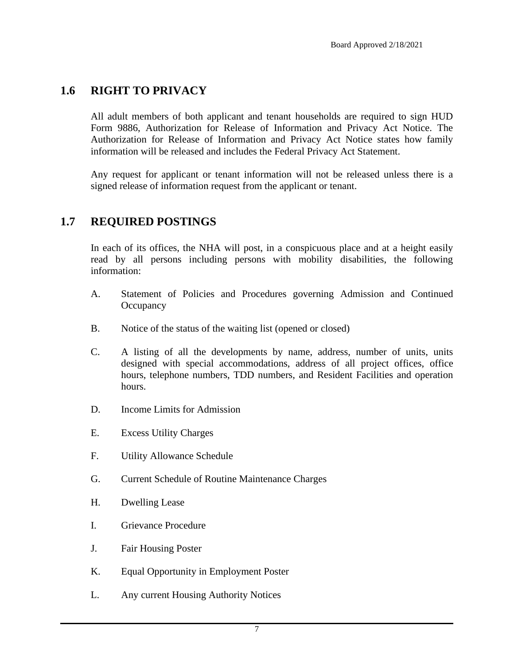#### <span id="page-6-0"></span>**1.6 RIGHT TO PRIVACY**

All adult members of both applicant and tenant households are required to sign HUD Form 9886, Authorization for Release of Information and Privacy Act Notice. The Authorization for Release of Information and Privacy Act Notice states how family information will be released and includes the Federal Privacy Act Statement.

Any request for applicant or tenant information will not be released unless there is a signed release of information request from the applicant or tenant.

#### <span id="page-6-1"></span>**1.7 REQUIRED POSTINGS**

In each of its offices, the NHA will post, in a conspicuous place and at a height easily read by all persons including persons with mobility disabilities, the following information:

- A. Statement of Policies and Procedures governing Admission and Continued **Occupancy**
- B. Notice of the status of the waiting list (opened or closed)
- C. A listing of all the developments by name, address, number of units, units designed with special accommodations, address of all project offices, office hours, telephone numbers, TDD numbers, and Resident Facilities and operation hours.
- D. Income Limits for Admission
- E. Excess Utility Charges
- F. Utility Allowance Schedule
- G. Current Schedule of Routine Maintenance Charges
- H. Dwelling Lease
- I. Grievance Procedure
- J. Fair Housing Poster
- K. Equal Opportunity in Employment Poster
- L. Any current Housing Authority Notices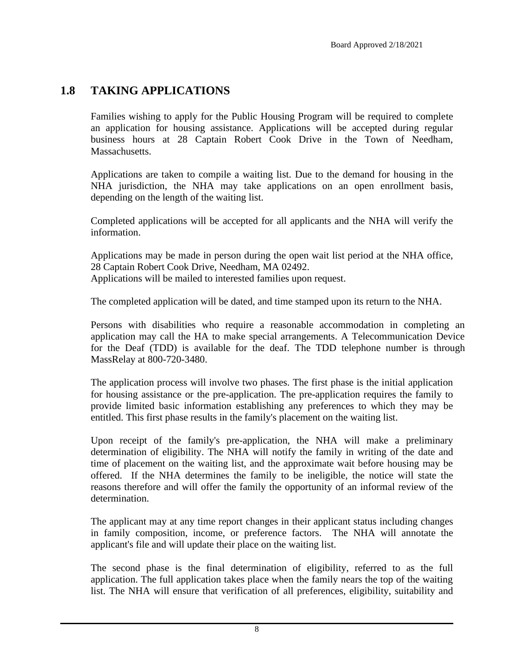### <span id="page-7-0"></span>**1.8 TAKING APPLICATIONS**

Families wishing to apply for the Public Housing Program will be required to complete an application for housing assistance. Applications will be accepted during regular business hours at 28 Captain Robert Cook Drive in the Town of Needham, Massachusetts.

Applications are taken to compile a waiting list. Due to the demand for housing in the NHA jurisdiction, the NHA may take applications on an open enrollment basis, depending on the length of the waiting list.

Completed applications will be accepted for all applicants and the NHA will verify the information.

Applications may be made in person during the open wait list period at the NHA office, 28 Captain Robert Cook Drive, Needham, MA 02492. Applications will be mailed to interested families upon request.

The completed application will be dated, and time stamped upon its return to the NHA.

Persons with disabilities who require a reasonable accommodation in completing an application may call the HA to make special arrangements. A Telecommunication Device for the Deaf (TDD) is available for the deaf. The TDD telephone number is through MassRelay at 800-720-3480.

The application process will involve two phases. The first phase is the initial application for housing assistance or the pre-application. The pre-application requires the family to provide limited basic information establishing any preferences to which they may be entitled. This first phase results in the family's placement on the waiting list.

Upon receipt of the family's pre-application, the NHA will make a preliminary determination of eligibility. The NHA will notify the family in writing of the date and time of placement on the waiting list, and the approximate wait before housing may be offered. If the NHA determines the family to be ineligible, the notice will state the reasons therefore and will offer the family the opportunity of an informal review of the determination.

The applicant may at any time report changes in their applicant status including changes in family composition, income, or preference factors. The NHA will annotate the applicant's file and will update their place on the waiting list.

The second phase is the final determination of eligibility, referred to as the full application. The full application takes place when the family nears the top of the waiting list. The NHA will ensure that verification of all preferences, eligibility, suitability and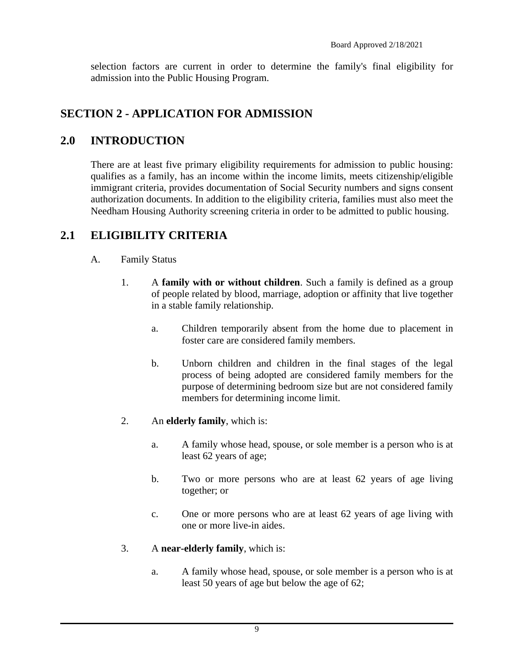selection factors are current in order to determine the family's final eligibility for admission into the Public Housing Program.

## <span id="page-8-0"></span>**SECTION 2 - APPLICATION FOR ADMISSION**

### <span id="page-8-1"></span>**2.0 INTRODUCTION**

There are at least five primary eligibility requirements for admission to public housing: qualifies as a family, has an income within the income limits, meets citizenship/eligible immigrant criteria, provides documentation of Social Security numbers and signs consent authorization documents. In addition to the eligibility criteria, families must also meet the Needham Housing Authority screening criteria in order to be admitted to public housing.

## <span id="page-8-2"></span>**2.1 ELIGIBILITY CRITERIA**

#### A. Family Status

- 1. A **family with or without children**. Such a family is defined as a group of people related by blood, marriage, adoption or affinity that live together in a stable family relationship.
	- a. Children temporarily absent from the home due to placement in foster care are considered family members.
	- b. Unborn children and children in the final stages of the legal process of being adopted are considered family members for the purpose of determining bedroom size but are not considered family members for determining income limit.
- 2. An **elderly family**, which is:
	- a. A family whose head, spouse, or sole member is a person who is at least 62 years of age;
	- b. Two or more persons who are at least 62 years of age living together; or
	- c. One or more persons who are at least 62 years of age living with one or more live-in aides.
- 3. A **near-elderly family**, which is:
	- a. A family whose head, spouse, or sole member is a person who is at least 50 years of age but below the age of 62;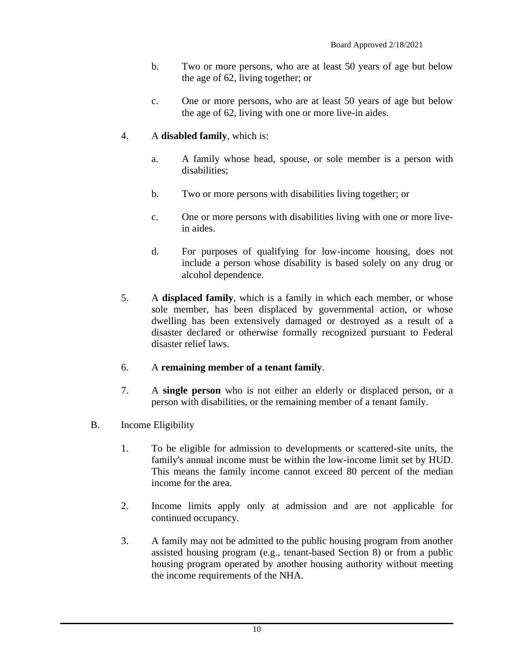- b. Two or more persons, who are at least 50 years of age but below the age of 62, living together; or
- c. One or more persons, who are at least 50 years of age but below the age of 62, living with one or more live-in aides.

#### 4. A **disabled family**, which is:

- a. A family whose head, spouse, or sole member is a person with disabilities;
- b. Two or more persons with disabilities living together; or
- c. One or more persons with disabilities living with one or more livein aides.
- d. For purposes of qualifying for low-income housing, does not include a person whose disability is based solely on any drug or alcohol dependence.
- 5. A **displaced family**, which is a family in which each member, or whose sole member, has been displaced by governmental action, or whose dwelling has been extensively damaged or destroyed as a result of a disaster declared or otherwise formally recognized pursuant to Federal disaster relief laws.

#### 6. A **remaining member of a tenant family**.

- 7. A **single person** who is not either an elderly or displaced person, or a person with disabilities, or the remaining member of a tenant family.
- B. Income Eligibility
	- 1. To be eligible for admission to developments or scattered-site units, the family's annual income must be within the low-income limit set by HUD. This means the family income cannot exceed 80 percent of the median income for the area.
	- 2. Income limits apply only at admission and are not applicable for continued occupancy.
	- 3. A family may not be admitted to the public housing program from another assisted housing program (e.g., tenant-based Section 8) or from a public housing program operated by another housing authority without meeting the income requirements of the NHA.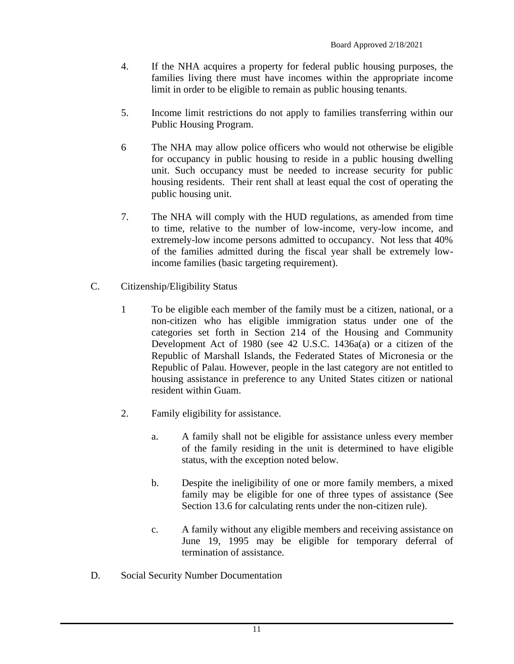- 4. If the NHA acquires a property for federal public housing purposes, the families living there must have incomes within the appropriate income limit in order to be eligible to remain as public housing tenants.
- 5. Income limit restrictions do not apply to families transferring within our Public Housing Program.
- 6 The NHA may allow police officers who would not otherwise be eligible for occupancy in public housing to reside in a public housing dwelling unit. Such occupancy must be needed to increase security for public housing residents. Their rent shall at least equal the cost of operating the public housing unit.
- 7. The NHA will comply with the HUD regulations, as amended from time to time, relative to the number of low-income, very-low income, and extremely-low income persons admitted to occupancy. Not less that 40% of the families admitted during the fiscal year shall be extremely lowincome families (basic targeting requirement).
- C. Citizenship/Eligibility Status
	- 1 To be eligible each member of the family must be a citizen, national, or a non-citizen who has eligible immigration status under one of the categories set forth in Section 214 of the Housing and Community Development Act of 1980 (see 42 U.S.C. 1436a(a) or a citizen of the Republic of Marshall Islands, the Federated States of Micronesia or the Republic of Palau. However, people in the last category are not entitled to housing assistance in preference to any United States citizen or national resident within Guam.
	- 2. Family eligibility for assistance.
		- a. A family shall not be eligible for assistance unless every member of the family residing in the unit is determined to have eligible status, with the exception noted below.
		- b. Despite the ineligibility of one or more family members, a mixed family may be eligible for one of three types of assistance (See Section 13.6 for calculating rents under the non-citizen rule).
		- c. A family without any eligible members and receiving assistance on June 19, 1995 may be eligible for temporary deferral of termination of assistance.
- D. Social Security Number Documentation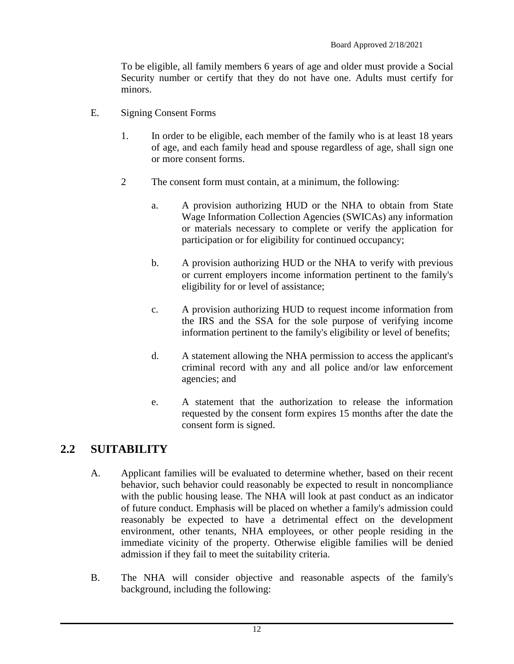To be eligible, all family members 6 years of age and older must provide a Social Security number or certify that they do not have one. Adults must certify for minors.

- E. Signing Consent Forms
	- 1. In order to be eligible, each member of the family who is at least 18 years of age, and each family head and spouse regardless of age, shall sign one or more consent forms.
	- 2 The consent form must contain, at a minimum, the following:
		- a. A provision authorizing HUD or the NHA to obtain from State Wage Information Collection Agencies (SWICAs) any information or materials necessary to complete or verify the application for participation or for eligibility for continued occupancy;
		- b. A provision authorizing HUD or the NHA to verify with previous or current employers income information pertinent to the family's eligibility for or level of assistance;
		- c. A provision authorizing HUD to request income information from the IRS and the SSA for the sole purpose of verifying income information pertinent to the family's eligibility or level of benefits;
		- d. A statement allowing the NHA permission to access the applicant's criminal record with any and all police and/or law enforcement agencies; and
		- e. A statement that the authorization to release the information requested by the consent form expires 15 months after the date the consent form is signed.

### <span id="page-11-0"></span>**2.2 SUITABILITY**

- A. Applicant families will be evaluated to determine whether, based on their recent behavior, such behavior could reasonably be expected to result in noncompliance with the public housing lease. The NHA will look at past conduct as an indicator of future conduct. Emphasis will be placed on whether a family's admission could reasonably be expected to have a detrimental effect on the development environment, other tenants, NHA employees, or other people residing in the immediate vicinity of the property. Otherwise eligible families will be denied admission if they fail to meet the suitability criteria.
- B. The NHA will consider objective and reasonable aspects of the family's background, including the following: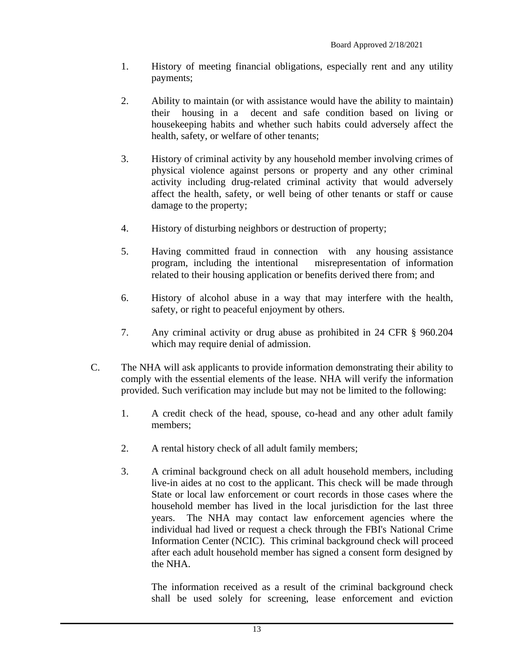- 1. History of meeting financial obligations, especially rent and any utility payments;
- 2. Ability to maintain (or with assistance would have the ability to maintain) their housing in a decent and safe condition based on living or housekeeping habits and whether such habits could adversely affect the health, safety, or welfare of other tenants;
- 3. History of criminal activity by any household member involving crimes of physical violence against persons or property and any other criminal activity including drug-related criminal activity that would adversely affect the health, safety, or well being of other tenants or staff or cause damage to the property;
- 4. History of disturbing neighbors or destruction of property;
- 5. Having committed fraud in connection with any housing assistance program, including the intentional misrepresentation of information related to their housing application or benefits derived there from; and
- 6. History of alcohol abuse in a way that may interfere with the health, safety, or right to peaceful enjoyment by others.
- 7. Any criminal activity or drug abuse as prohibited in 24 CFR § 960.204 which may require denial of admission.
- C. The NHA will ask applicants to provide information demonstrating their ability to comply with the essential elements of the lease. NHA will verify the information provided. Such verification may include but may not be limited to the following:
	- 1. A credit check of the head, spouse, co-head and any other adult family members;
	- 2. A rental history check of all adult family members;
	- 3. A criminal background check on all adult household members, including live-in aides at no cost to the applicant. This check will be made through State or local law enforcement or court records in those cases where the household member has lived in the local jurisdiction for the last three years. The NHA may contact law enforcement agencies where the individual had lived or request a check through the FBI's National Crime Information Center (NCIC). This criminal background check will proceed after each adult household member has signed a consent form designed by the NHA.

The information received as a result of the criminal background check shall be used solely for screening, lease enforcement and eviction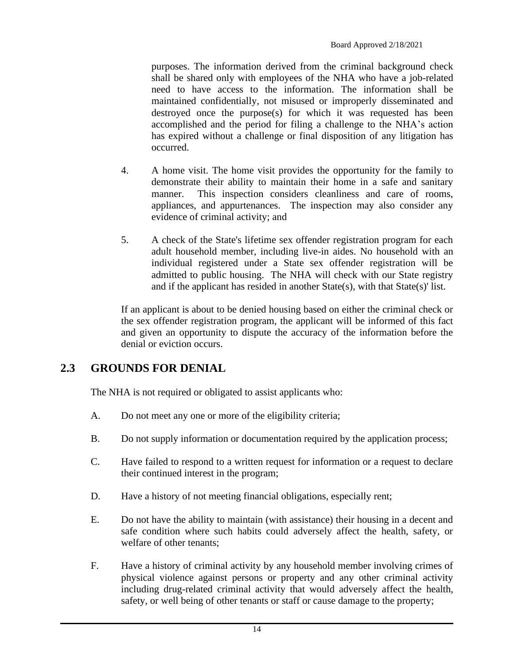purposes. The information derived from the criminal background check shall be shared only with employees of the NHA who have a job-related need to have access to the information. The information shall be maintained confidentially, not misused or improperly disseminated and destroyed once the purpose(s) for which it was requested has been accomplished and the period for filing a challenge to the NHA's action has expired without a challenge or final disposition of any litigation has occurred.

- 4. A home visit. The home visit provides the opportunity for the family to demonstrate their ability to maintain their home in a safe and sanitary manner. This inspection considers cleanliness and care of rooms, appliances, and appurtenances. The inspection may also consider any evidence of criminal activity; and
- 5. A check of the State's lifetime sex offender registration program for each adult household member, including live-in aides. No household with an individual registered under a State sex offender registration will be admitted to public housing. The NHA will check with our State registry and if the applicant has resided in another State(s), with that State(s)' list.

If an applicant is about to be denied housing based on either the criminal check or the sex offender registration program, the applicant will be informed of this fact and given an opportunity to dispute the accuracy of the information before the denial or eviction occurs.

## <span id="page-13-0"></span>**2.3 GROUNDS FOR DENIAL**

The NHA is not required or obligated to assist applicants who:

- A. Do not meet any one or more of the eligibility criteria;
- B. Do not supply information or documentation required by the application process;
- C. Have failed to respond to a written request for information or a request to declare their continued interest in the program;
- D. Have a history of not meeting financial obligations, especially rent;
- E. Do not have the ability to maintain (with assistance) their housing in a decent and safe condition where such habits could adversely affect the health, safety, or welfare of other tenants;
- F. Have a history of criminal activity by any household member involving crimes of physical violence against persons or property and any other criminal activity including drug-related criminal activity that would adversely affect the health, safety, or well being of other tenants or staff or cause damage to the property;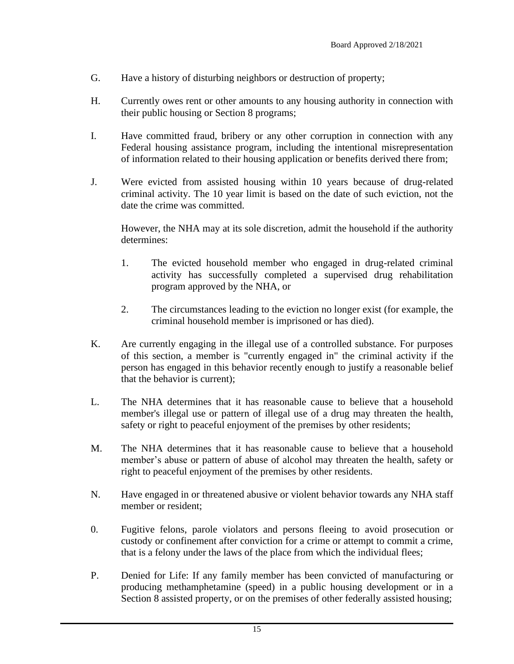- G. Have a history of disturbing neighbors or destruction of property;
- H. Currently owes rent or other amounts to any housing authority in connection with their public housing or Section 8 programs;
- I. Have committed fraud, bribery or any other corruption in connection with any Federal housing assistance program, including the intentional misrepresentation of information related to their housing application or benefits derived there from;
- J. Were evicted from assisted housing within 10 years because of drug-related criminal activity. The 10 year limit is based on the date of such eviction, not the date the crime was committed.

However, the NHA may at its sole discretion, admit the household if the authority determines:

- 1. The evicted household member who engaged in drug-related criminal activity has successfully completed a supervised drug rehabilitation program approved by the NHA, or
- 2. The circumstances leading to the eviction no longer exist (for example, the criminal household member is imprisoned or has died).
- K. Are currently engaging in the illegal use of a controlled substance. For purposes of this section, a member is "currently engaged in" the criminal activity if the person has engaged in this behavior recently enough to justify a reasonable belief that the behavior is current);
- L. The NHA determines that it has reasonable cause to believe that a household member's illegal use or pattern of illegal use of a drug may threaten the health, safety or right to peaceful enjoyment of the premises by other residents;
- M. The NHA determines that it has reasonable cause to believe that a household member's abuse or pattern of abuse of alcohol may threaten the health, safety or right to peaceful enjoyment of the premises by other residents.
- N. Have engaged in or threatened abusive or violent behavior towards any NHA staff member or resident;
- 0. Fugitive felons, parole violators and persons fleeing to avoid prosecution or custody or confinement after conviction for a crime or attempt to commit a crime, that is a felony under the laws of the place from which the individual flees;
- P. Denied for Life: If any family member has been convicted of manufacturing or producing methamphetamine (speed) in a public housing development or in a Section 8 assisted property, or on the premises of other federally assisted housing;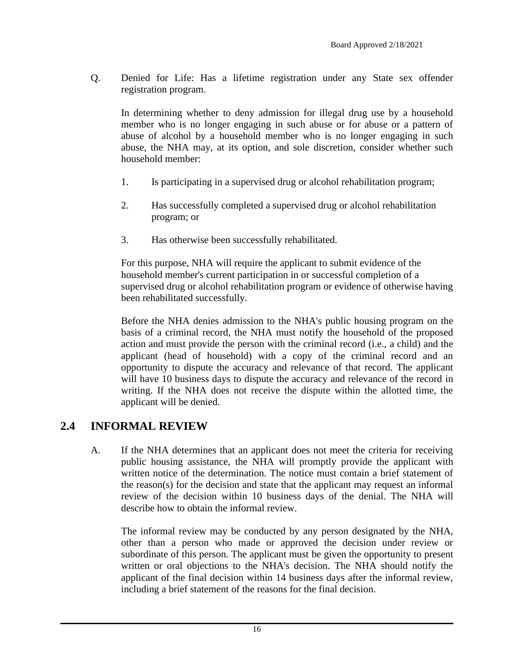Q. Denied for Life: Has a lifetime registration under any State sex offender registration program.

In determining whether to deny admission for illegal drug use by a household member who is no longer engaging in such abuse or for abuse or a pattern of abuse of alcohol by a household member who is no longer engaging in such abuse, the NHA may, at its option, and sole discretion, consider whether such household member:

- 1. Is participating in a supervised drug or alcohol rehabilitation program;
- 2. Has successfully completed a supervised drug or alcohol rehabilitation program; or
- 3. Has otherwise been successfully rehabilitated.

For this purpose, NHA will require the applicant to submit evidence of the household member's current participation in or successful completion of a supervised drug or alcohol rehabilitation program or evidence of otherwise having been rehabilitated successfully.

Before the NHA denies admission to the NHA's public housing program on the basis of a criminal record, the NHA must notify the household of the proposed action and must provide the person with the criminal record (i.e., a child) and the applicant (head of household) with a copy of the criminal record and an opportunity to dispute the accuracy and relevance of that record. The applicant will have 10 business days to dispute the accuracy and relevance of the record in writing. If the NHA does not receive the dispute within the allotted time, the applicant will be denied.

### <span id="page-15-0"></span>**2.4 INFORMAL REVIEW**

A. If the NHA determines that an applicant does not meet the criteria for receiving public housing assistance, the NHA will promptly provide the applicant with written notice of the determination. The notice must contain a brief statement of the reason(s) for the decision and state that the applicant may request an informal review of the decision within 10 business days of the denial. The NHA will describe how to obtain the informal review.

The informal review may be conducted by any person designated by the NHA, other than a person who made or approved the decision under review or subordinate of this person. The applicant must be given the opportunity to present written or oral objections to the NHA's decision. The NHA should notify the applicant of the final decision within 14 business days after the informal review, including a brief statement of the reasons for the final decision.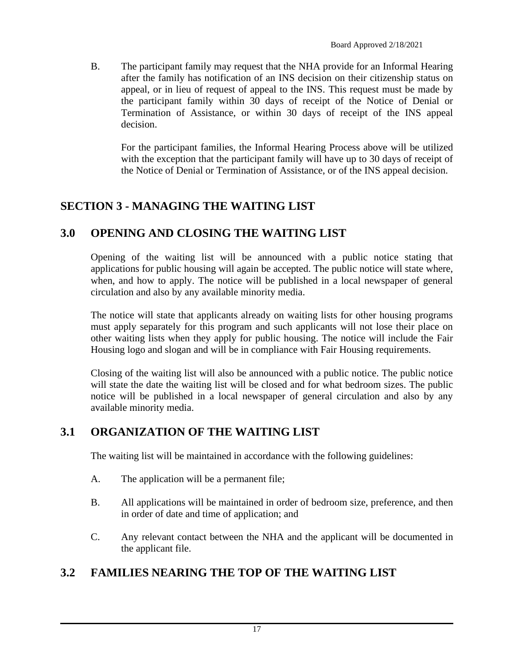B. The participant family may request that the NHA provide for an Informal Hearing after the family has notification of an INS decision on their citizenship status on appeal, or in lieu of request of appeal to the INS. This request must be made by the participant family within 30 days of receipt of the Notice of Denial or Termination of Assistance, or within 30 days of receipt of the INS appeal decision.

For the participant families, the Informal Hearing Process above will be utilized with the exception that the participant family will have up to 30 days of receipt of the Notice of Denial or Termination of Assistance, or of the INS appeal decision.

## <span id="page-16-0"></span>**SECTION 3 - MANAGING THE WAITING LIST**

## <span id="page-16-1"></span>**3.0 OPENING AND CLOSING THE WAITING LIST**

Opening of the waiting list will be announced with a public notice stating that applications for public housing will again be accepted. The public notice will state where, when, and how to apply. The notice will be published in a local newspaper of general circulation and also by any available minority media.

The notice will state that applicants already on waiting lists for other housing programs must apply separately for this program and such applicants will not lose their place on other waiting lists when they apply for public housing. The notice will include the Fair Housing logo and slogan and will be in compliance with Fair Housing requirements.

Closing of the waiting list will also be announced with a public notice. The public notice will state the date the waiting list will be closed and for what bedroom sizes. The public notice will be published in a local newspaper of general circulation and also by any available minority media.

## <span id="page-16-2"></span>**3.1 ORGANIZATION OF THE WAITING LIST**

The waiting list will be maintained in accordance with the following guidelines:

- A. The application will be a permanent file;
- B. All applications will be maintained in order of bedroom size, preference, and then in order of date and time of application; and
- C. Any relevant contact between the NHA and the applicant will be documented in the applicant file.

## <span id="page-16-3"></span>**3.2 FAMILIES NEARING THE TOP OF THE WAITING LIST**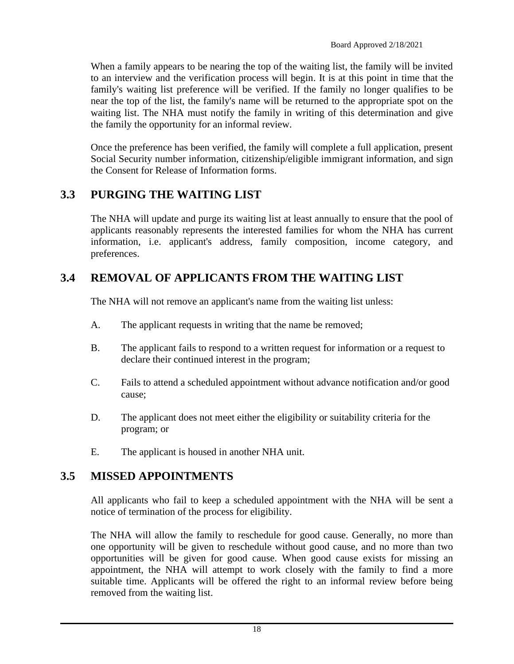When a family appears to be nearing the top of the waiting list, the family will be invited to an interview and the verification process will begin. It is at this point in time that the family's waiting list preference will be verified. If the family no longer qualifies to be near the top of the list, the family's name will be returned to the appropriate spot on the waiting list. The NHA must notify the family in writing of this determination and give the family the opportunity for an informal review.

Once the preference has been verified, the family will complete a full application, present Social Security number information, citizenship/eligible immigrant information, and sign the Consent for Release of Information forms.

## <span id="page-17-0"></span>**3.3 PURGING THE WAITING LIST**

The NHA will update and purge its waiting list at least annually to ensure that the pool of applicants reasonably represents the interested families for whom the NHA has current information, i.e. applicant's address, family composition, income category, and preferences.

## <span id="page-17-1"></span>**3.4 REMOVAL OF APPLICANTS FROM THE WAITING LIST**

The NHA will not remove an applicant's name from the waiting list unless:

- A. The applicant requests in writing that the name be removed;
- B. The applicant fails to respond to a written request for information or a request to declare their continued interest in the program;
- C. Fails to attend a scheduled appointment without advance notification and/or good cause;
- D. The applicant does not meet either the eligibility or suitability criteria for the program; or
- E. The applicant is housed in another NHA unit.

## <span id="page-17-2"></span>**3.5 MISSED APPOINTMENTS**

All applicants who fail to keep a scheduled appointment with the NHA will be sent a notice of termination of the process for eligibility.

The NHA will allow the family to reschedule for good cause. Generally, no more than one opportunity will be given to reschedule without good cause, and no more than two opportunities will be given for good cause. When good cause exists for missing an appointment, the NHA will attempt to work closely with the family to find a more suitable time. Applicants will be offered the right to an informal review before being removed from the waiting list.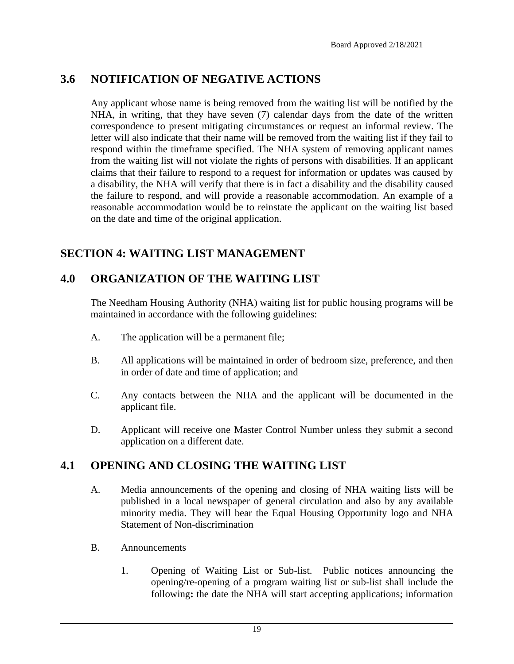## <span id="page-18-0"></span>**3.6 NOTIFICATION OF NEGATIVE ACTIONS**

Any applicant whose name is being removed from the waiting list will be notified by the NHA, in writing, that they have seven (7) calendar days from the date of the written correspondence to present mitigating circumstances or request an informal review. The letter will also indicate that their name will be removed from the waiting list if they fail to respond within the timeframe specified. The NHA system of removing applicant names from the waiting list will not violate the rights of persons with disabilities. If an applicant claims that their failure to respond to a request for information or updates was caused by a disability, the NHA will verify that there is in fact a disability and the disability caused the failure to respond, and will provide a reasonable accommodation. An example of a reasonable accommodation would be to reinstate the applicant on the waiting list based on the date and time of the original application.

## <span id="page-18-1"></span>**SECTION 4: WAITING LIST MANAGEMENT**

## <span id="page-18-2"></span>**4.0 ORGANIZATION OF THE WAITING LIST**

The Needham Housing Authority (NHA) waiting list for public housing programs will be maintained in accordance with the following guidelines:

- A. The application will be a permanent file;
- B. All applications will be maintained in order of bedroom size, preference, and then in order of date and time of application; and
- C. Any contacts between the NHA and the applicant will be documented in the applicant file.
- D. Applicant will receive one Master Control Number unless they submit a second application on a different date.

## <span id="page-18-3"></span>**4.1 OPENING AND CLOSING THE WAITING LIST**

- A. Media announcements of the opening and closing of NHA waiting lists will be published in a local newspaper of general circulation and also by any available minority media. They will bear the Equal Housing Opportunity logo and NHA Statement of Non-discrimination
- B. Announcements
	- 1. Opening of Waiting List or Sub-list.Public notices announcing the opening/re-opening of a program waiting list or sub-list shall include the following**:** the date the NHA will start accepting applications; information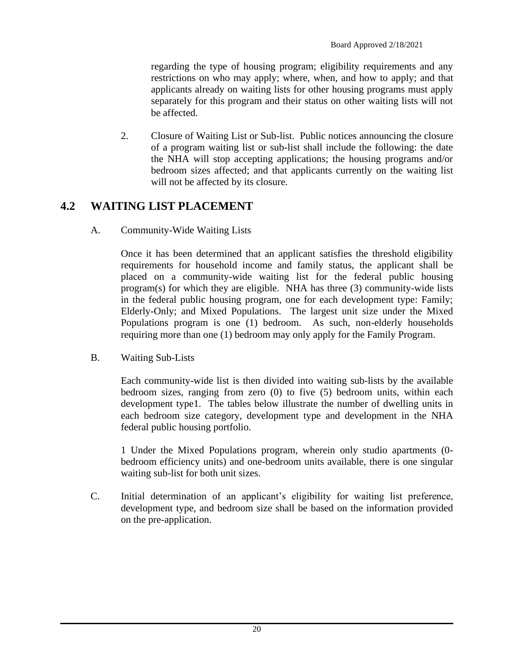regarding the type of housing program; eligibility requirements and any restrictions on who may apply; where, when, and how to apply; and that applicants already on waiting lists for other housing programs must apply separately for this program and their status on other waiting lists will not be affected.

2. Closure of Waiting List or Sub-list.Public notices announcing the closure of a program waiting list or sub-list shall include the following: the date the NHA will stop accepting applications; the housing programs and/or bedroom sizes affected; and that applicants currently on the waiting list will not be affected by its closure.

### <span id="page-19-0"></span>**4.2 WAITING LIST PLACEMENT**

A. Community-Wide Waiting Lists

Once it has been determined that an applicant satisfies the threshold eligibility requirements for household income and family status, the applicant shall be placed on a community-wide waiting list for the federal public housing program(s) for which they are eligible. NHA has three (3) community-wide lists in the federal public housing program, one for each development type: Family; Elderly-Only; and Mixed Populations. The largest unit size under the Mixed Populations program is one (1) bedroom. As such, non-elderly households requiring more than one (1) bedroom may only apply for the Family Program.

B. Waiting Sub-Lists

Each community-wide list is then divided into waiting sub-lists by the available bedroom sizes, ranging from zero (0) to five (5) bedroom units, within each development type1. The tables below illustrate the number of dwelling units in each bedroom size category, development type and development in the NHA federal public housing portfolio.

1 Under the Mixed Populations program, wherein only studio apartments (0 bedroom efficiency units) and one-bedroom units available, there is one singular waiting sub-list for both unit sizes.

C. Initial determination of an applicant's eligibility for waiting list preference, development type, and bedroom size shall be based on the information provided on the pre-application.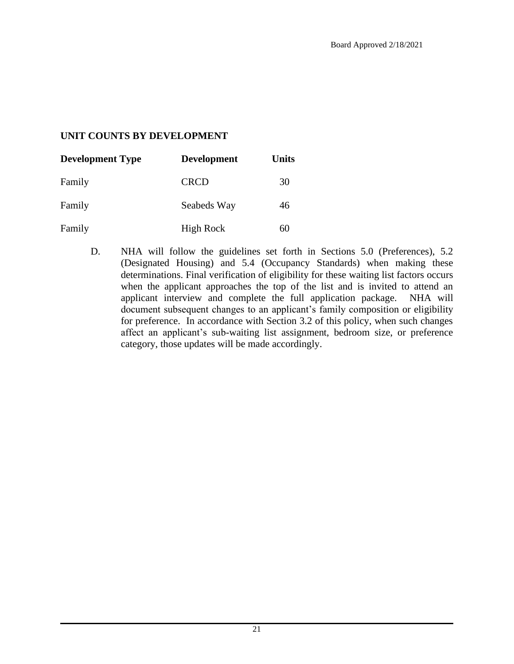#### **UNIT COUNTS BY DEVELOPMENT**

| <b>Development Type</b> | <b>Development</b> | <b>Units</b> |  |
|-------------------------|--------------------|--------------|--|
| Family                  | <b>CRCD</b>        | 30           |  |
| Family                  | Seabeds Way        | 46           |  |
| Family                  | <b>High Rock</b>   | 60           |  |

D. NHA will follow the guidelines set forth in Sections 5.0 (Preferences), 5.2 (Designated Housing) and 5.4 (Occupancy Standards) when making these determinations. Final verification of eligibility for these waiting list factors occurs when the applicant approaches the top of the list and is invited to attend an applicant interview and complete the full application package. NHA will document subsequent changes to an applicant's family composition or eligibility for preference. In accordance with Section 3.2 of this policy, when such changes affect an applicant's sub-waiting list assignment, bedroom size, or preference category, those updates will be made accordingly.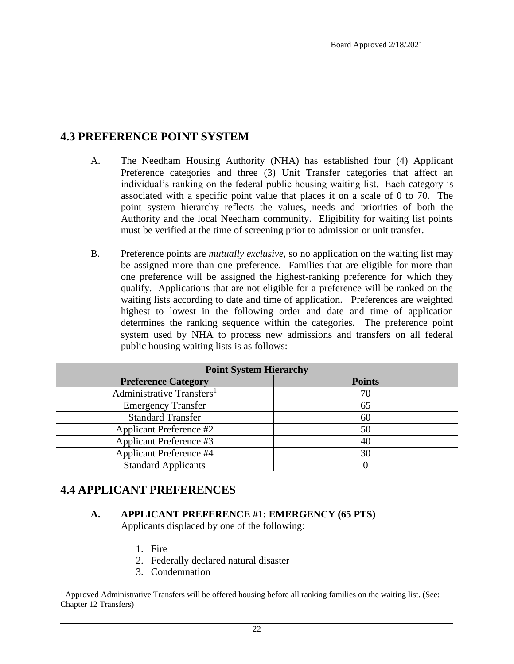#### <span id="page-21-0"></span>**4.3 PREFERENCE POINT SYSTEM**

- A. The Needham Housing Authority (NHA) has established four (4) Applicant Preference categories and three (3) Unit Transfer categories that affect an individual's ranking on the federal public housing waiting list. Each category is associated with a specific point value that places it on a scale of 0 to 70. The point system hierarchy reflects the values, needs and priorities of both the Authority and the local Needham community. Eligibility for waiting list points must be verified at the time of screening prior to admission or unit transfer.
- B. Preference points are *mutually exclusive*, so no application on the waiting list may be assigned more than one preference. Families that are eligible for more than one preference will be assigned the highest-ranking preference for which they qualify. Applications that are not eligible for a preference will be ranked on the waiting lists according to date and time of application. Preferences are weighted highest to lowest in the following order and date and time of application determines the ranking sequence within the categories. The preference point system used by NHA to process new admissions and transfers on all federal public housing waiting lists is as follows:

| <b>Point System Hierarchy</b>         |               |  |  |  |
|---------------------------------------|---------------|--|--|--|
| <b>Preference Category</b>            | <b>Points</b> |  |  |  |
| Administrative Transfers <sup>1</sup> | 70            |  |  |  |
| <b>Emergency Transfer</b>             | 65            |  |  |  |
| <b>Standard Transfer</b>              | 60            |  |  |  |
| <b>Applicant Preference #2</b>        | 50            |  |  |  |
| Applicant Preference #3               | 40            |  |  |  |
| <b>Applicant Preference #4</b>        | 30            |  |  |  |
| <b>Standard Applicants</b>            |               |  |  |  |

#### <span id="page-21-1"></span>**4.4 APPLICANT PREFERENCES**

#### **A. APPLICANT PREFERENCE #1: EMERGENCY (65 PTS)**

Applicants displaced by one of the following:

- 1. Fire
- 2. Federally declared natural disaster
- 3. Condemnation

<sup>&</sup>lt;sup>1</sup> Approved Administrative Transfers will be offered housing before all ranking families on the waiting list. (See: Chapter 12 Transfers)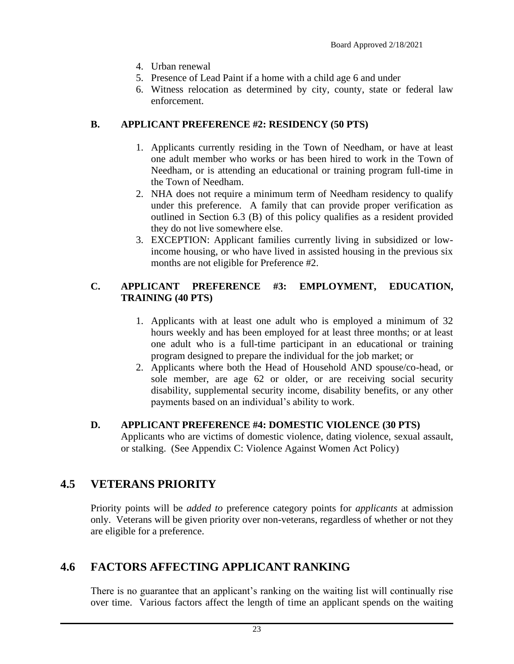- 4. Urban renewal
- 5. Presence of Lead Paint if a home with a child age 6 and under
- 6. Witness relocation as determined by city, county, state or federal law enforcement.

#### **B. APPLICANT PREFERENCE #2: RESIDENCY (50 PTS)**

- 1. Applicants currently residing in the Town of Needham, or have at least one adult member who works or has been hired to work in the Town of Needham, or is attending an educational or training program full-time in the Town of Needham.
- 2. NHA does not require a minimum term of Needham residency to qualify under this preference. A family that can provide proper verification as outlined in Section 6.3 (B) of this policy qualifies as a resident provided they do not live somewhere else.
- 3. EXCEPTION: Applicant families currently living in subsidized or lowincome housing, or who have lived in assisted housing in the previous six months are not eligible for Preference #2.

#### **C. APPLICANT PREFERENCE #3: EMPLOYMENT, EDUCATION, TRAINING (40 PTS)**

- 1. Applicants with at least one adult who is employed a minimum of 32 hours weekly and has been employed for at least three months; or at least one adult who is a full-time participant in an educational or training program designed to prepare the individual for the job market; or
- 2. Applicants where both the Head of Household AND spouse/co-head, or sole member, are age 62 or older, or are receiving social security disability, supplemental security income, disability benefits, or any other payments based on an individual's ability to work.

#### **D. APPLICANT PREFERENCE #4: DOMESTIC VIOLENCE (30 PTS)**

Applicants who are victims of domestic violence, dating violence, sexual assault, or stalking. (See Appendix C: Violence Against Women Act Policy)

#### <span id="page-22-0"></span>**4.5 VETERANS PRIORITY**

Priority points will be *added to* preference category points for *applicants* at admission only. Veterans will be given priority over non-veterans, regardless of whether or not they are eligible for a preference.

### <span id="page-22-1"></span>**4.6 FACTORS AFFECTING APPLICANT RANKING**

There is no guarantee that an applicant's ranking on the waiting list will continually rise over time. Various factors affect the length of time an applicant spends on the waiting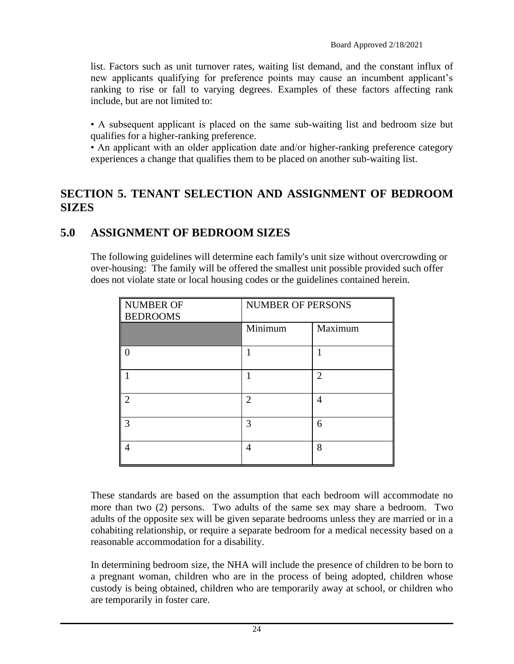list. Factors such as unit turnover rates, waiting list demand, and the constant influx of new applicants qualifying for preference points may cause an incumbent applicant's ranking to rise or fall to varying degrees. Examples of these factors affecting rank include, but are not limited to:

• A subsequent applicant is placed on the same sub-waiting list and bedroom size but qualifies for a higher-ranking preference.

• An applicant with an older application date and/or higher-ranking preference category experiences a change that qualifies them to be placed on another sub-waiting list.

#### <span id="page-23-0"></span>**SECTION 5. TENANT SELECTION AND ASSIGNMENT OF BEDROOM SIZES**

### <span id="page-23-1"></span>**5.0 ASSIGNMENT OF BEDROOM SIZES**

The following guidelines will determine each family's unit size without overcrowding or over-housing: The family will be offered the smallest unit possible provided such offer does not violate state or local housing codes or the guidelines contained herein.

| NUMBER OF<br><b>BEDROOMS</b> | <b>NUMBER OF PERSONS</b> |                             |
|------------------------------|--------------------------|-----------------------------|
|                              | Minimum                  | Maximum                     |
| 0                            |                          |                             |
|                              |                          | $\mathcal{D}_{\mathcal{L}}$ |
| $\overline{2}$               | $\overline{2}$           | 4                           |
| 3                            | 3                        | 6                           |
| 4                            | 4                        | 8                           |

These standards are based on the assumption that each bedroom will accommodate no more than two (2) persons. Two adults of the same sex may share a bedroom. Two adults of the opposite sex will be given separate bedrooms unless they are married or in a cohabiting relationship, or require a separate bedroom for a medical necessity based on a reasonable accommodation for a disability.

In determining bedroom size, the NHA will include the presence of children to be born to a pregnant woman, children who are in the process of being adopted, children whose custody is being obtained, children who are temporarily away at school, or children who are temporarily in foster care.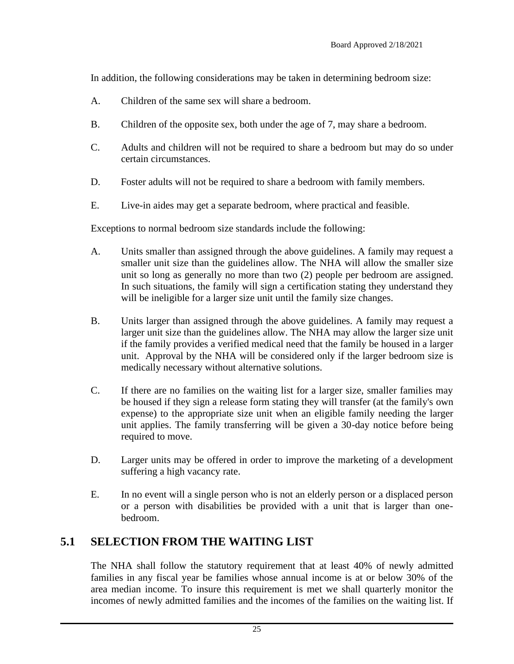In addition, the following considerations may be taken in determining bedroom size:

- A. Children of the same sex will share a bedroom.
- B. Children of the opposite sex, both under the age of 7, may share a bedroom.
- C. Adults and children will not be required to share a bedroom but may do so under certain circumstances.
- D. Foster adults will not be required to share a bedroom with family members.
- E. Live-in aides may get a separate bedroom, where practical and feasible.

Exceptions to normal bedroom size standards include the following:

- A. Units smaller than assigned through the above guidelines. A family may request a smaller unit size than the guidelines allow. The NHA will allow the smaller size unit so long as generally no more than two (2) people per bedroom are assigned. In such situations, the family will sign a certification stating they understand they will be ineligible for a larger size unit until the family size changes.
- B. Units larger than assigned through the above guidelines. A family may request a larger unit size than the guidelines allow. The NHA may allow the larger size unit if the family provides a verified medical need that the family be housed in a larger unit. Approval by the NHA will be considered only if the larger bedroom size is medically necessary without alternative solutions.
- C. If there are no families on the waiting list for a larger size, smaller families may be housed if they sign a release form stating they will transfer (at the family's own expense) to the appropriate size unit when an eligible family needing the larger unit applies. The family transferring will be given a 30-day notice before being required to move.
- D. Larger units may be offered in order to improve the marketing of a development suffering a high vacancy rate.
- E. In no event will a single person who is not an elderly person or a displaced person or a person with disabilities be provided with a unit that is larger than onebedroom.

### <span id="page-24-0"></span>**5.1 SELECTION FROM THE WAITING LIST**

The NHA shall follow the statutory requirement that at least 40% of newly admitted families in any fiscal year be families whose annual income is at or below 30% of the area median income. To insure this requirement is met we shall quarterly monitor the incomes of newly admitted families and the incomes of the families on the waiting list. If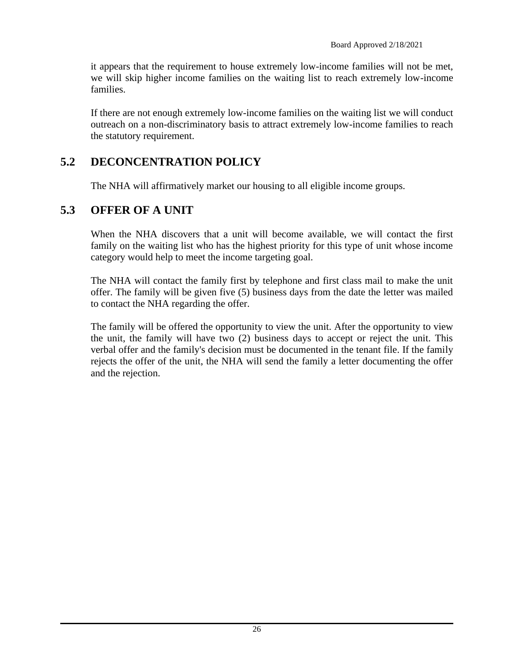it appears that the requirement to house extremely low-income families will not be met, we will skip higher income families on the waiting list to reach extremely low-income families.

If there are not enough extremely low-income families on the waiting list we will conduct outreach on a non-discriminatory basis to attract extremely low-income families to reach the statutory requirement.

### <span id="page-25-0"></span>**5.2 DECONCENTRATION POLICY**

The NHA will affirmatively market our housing to all eligible income groups.

#### <span id="page-25-1"></span>**5.3 OFFER OF A UNIT**

When the NHA discovers that a unit will become available, we will contact the first family on the waiting list who has the highest priority for this type of unit whose income category would help to meet the income targeting goal.

The NHA will contact the family first by telephone and first class mail to make the unit offer. The family will be given five (5) business days from the date the letter was mailed to contact the NHA regarding the offer.

The family will be offered the opportunity to view the unit. After the opportunity to view the unit, the family will have two (2) business days to accept or reject the unit. This verbal offer and the family's decision must be documented in the tenant file. If the family rejects the offer of the unit, the NHA will send the family a letter documenting the offer and the rejection.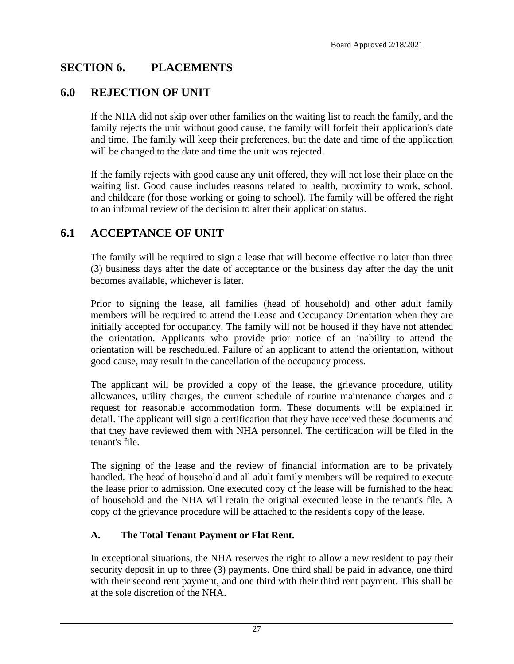### <span id="page-26-0"></span>**SECTION 6. PLACEMENTS**

### <span id="page-26-1"></span>**6.0 REJECTION OF UNIT**

If the NHA did not skip over other families on the waiting list to reach the family, and the family rejects the unit without good cause, the family will forfeit their application's date and time. The family will keep their preferences, but the date and time of the application will be changed to the date and time the unit was rejected.

If the family rejects with good cause any unit offered, they will not lose their place on the waiting list. Good cause includes reasons related to health, proximity to work, school, and childcare (for those working or going to school). The family will be offered the right to an informal review of the decision to alter their application status.

### <span id="page-26-2"></span>**6.1 ACCEPTANCE OF UNIT**

The family will be required to sign a lease that will become effective no later than three (3) business days after the date of acceptance or the business day after the day the unit becomes available, whichever is later.

Prior to signing the lease, all families (head of household) and other adult family members will be required to attend the Lease and Occupancy Orientation when they are initially accepted for occupancy. The family will not be housed if they have not attended the orientation. Applicants who provide prior notice of an inability to attend the orientation will be rescheduled. Failure of an applicant to attend the orientation, without good cause, may result in the cancellation of the occupancy process.

The applicant will be provided a copy of the lease, the grievance procedure, utility allowances, utility charges, the current schedule of routine maintenance charges and a request for reasonable accommodation form. These documents will be explained in detail. The applicant will sign a certification that they have received these documents and that they have reviewed them with NHA personnel. The certification will be filed in the tenant's file.

The signing of the lease and the review of financial information are to be privately handled. The head of household and all adult family members will be required to execute the lease prior to admission. One executed copy of the lease will be furnished to the head of household and the NHA will retain the original executed lease in the tenant's file. A copy of the grievance procedure will be attached to the resident's copy of the lease.

#### **A. The Total Tenant Payment or Flat Rent.**

In exceptional situations, the NHA reserves the right to allow a new resident to pay their security deposit in up to three (3) payments. One third shall be paid in advance, one third with their second rent payment, and one third with their third rent payment. This shall be at the sole discretion of the NHA.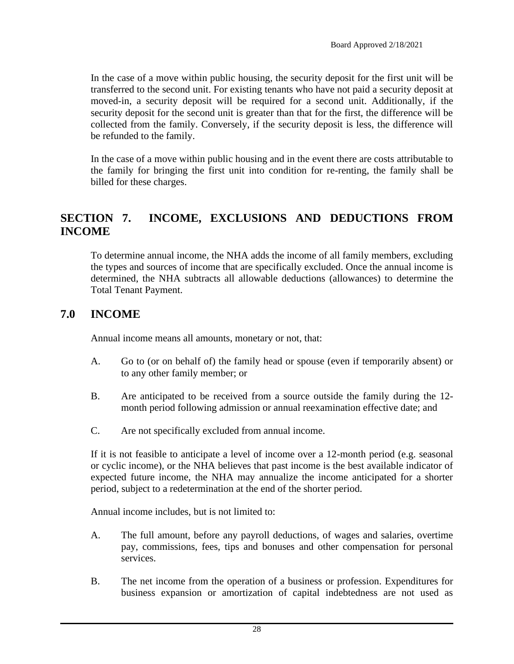In the case of a move within public housing, the security deposit for the first unit will be transferred to the second unit. For existing tenants who have not paid a security deposit at moved-in, a security deposit will be required for a second unit. Additionally, if the security deposit for the second unit is greater than that for the first, the difference will be collected from the family. Conversely, if the security deposit is less, the difference will be refunded to the family.

In the case of a move within public housing and in the event there are costs attributable to the family for bringing the first unit into condition for re-renting, the family shall be billed for these charges.

### <span id="page-27-0"></span>**SECTION 7. INCOME, EXCLUSIONS AND DEDUCTIONS FROM INCOME**

To determine annual income, the NHA adds the income of all family members, excluding the types and sources of income that are specifically excluded. Once the annual income is determined, the NHA subtracts all allowable deductions (allowances) to determine the Total Tenant Payment.

#### <span id="page-27-1"></span>**7.0 INCOME**

Annual income means all amounts, monetary or not, that:

- A. Go to (or on behalf of) the family head or spouse (even if temporarily absent) or to any other family member; or
- B. Are anticipated to be received from a source outside the family during the 12 month period following admission or annual reexamination effective date; and
- C. Are not specifically excluded from annual income.

If it is not feasible to anticipate a level of income over a 12-month period (e.g. seasonal or cyclic income), or the NHA believes that past income is the best available indicator of expected future income, the NHA may annualize the income anticipated for a shorter period, subject to a redetermination at the end of the shorter period.

Annual income includes, but is not limited to:

- A. The full amount, before any payroll deductions, of wages and salaries, overtime pay, commissions, fees, tips and bonuses and other compensation for personal services.
- B. The net income from the operation of a business or profession. Expenditures for business expansion or amortization of capital indebtedness are not used as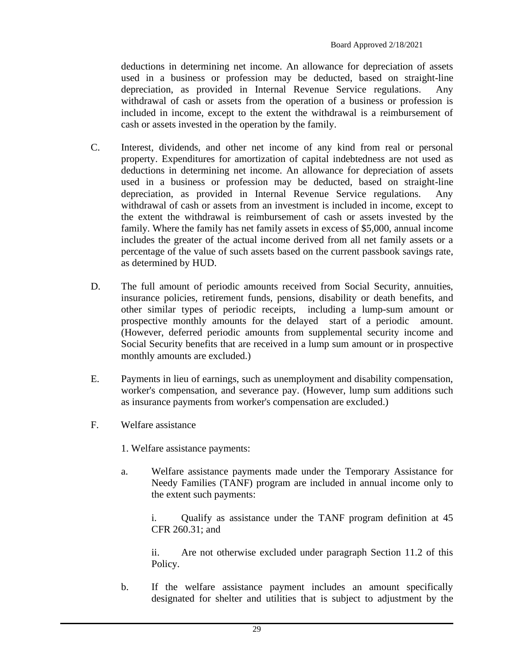deductions in determining net income. An allowance for depreciation of assets used in a business or profession may be deducted, based on straight-line depreciation, as provided in Internal Revenue Service regulations. Any withdrawal of cash or assets from the operation of a business or profession is included in income, except to the extent the withdrawal is a reimbursement of cash or assets invested in the operation by the family.

- C. Interest, dividends, and other net income of any kind from real or personal property. Expenditures for amortization of capital indebtedness are not used as deductions in determining net income. An allowance for depreciation of assets used in a business or profession may be deducted, based on straight-line depreciation, as provided in Internal Revenue Service regulations. Any withdrawal of cash or assets from an investment is included in income, except to the extent the withdrawal is reimbursement of cash or assets invested by the family. Where the family has net family assets in excess of \$5,000, annual income includes the greater of the actual income derived from all net family assets or a percentage of the value of such assets based on the current passbook savings rate, as determined by HUD.
- D. The full amount of periodic amounts received from Social Security, annuities, insurance policies, retirement funds, pensions, disability or death benefits, and other similar types of periodic receipts, including a lump-sum amount or prospective monthly amounts for the delayed start of a periodic amount. (However, deferred periodic amounts from supplemental security income and Social Security benefits that are received in a lump sum amount or in prospective monthly amounts are excluded.)
- E. Payments in lieu of earnings, such as unemployment and disability compensation, worker's compensation, and severance pay. (However, lump sum additions such as insurance payments from worker's compensation are excluded.)
- F. Welfare assistance
	- 1. Welfare assistance payments:
	- a. Welfare assistance payments made under the Temporary Assistance for Needy Families (TANF) program are included in annual income only to the extent such payments:

i. Qualify as assistance under the TANF program definition at 45 CFR 260.31; and

ii. Are not otherwise excluded under paragraph Section 11.2 of this Policy.

b. If the welfare assistance payment includes an amount specifically designated for shelter and utilities that is subject to adjustment by the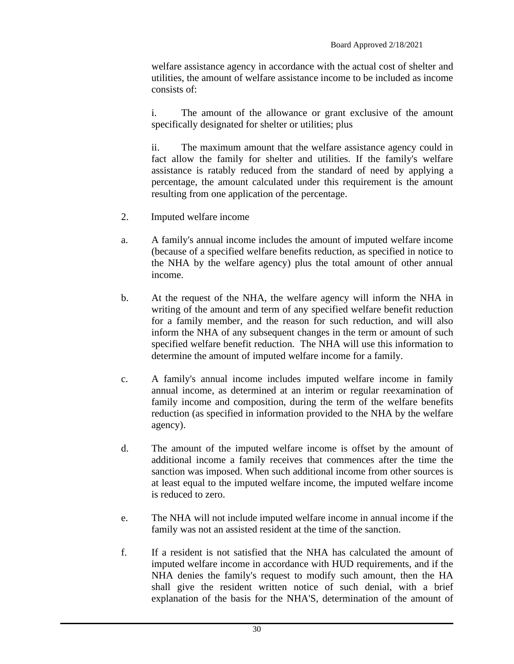welfare assistance agency in accordance with the actual cost of shelter and utilities, the amount of welfare assistance income to be included as income consists of:

i. The amount of the allowance or grant exclusive of the amount specifically designated for shelter or utilities; plus

ii. The maximum amount that the welfare assistance agency could in fact allow the family for shelter and utilities. If the family's welfare assistance is ratably reduced from the standard of need by applying a percentage, the amount calculated under this requirement is the amount resulting from one application of the percentage.

- 2. Imputed welfare income
- a. A family's annual income includes the amount of imputed welfare income (because of a specified welfare benefits reduction, as specified in notice to the NHA by the welfare agency) plus the total amount of other annual income.
- b. At the request of the NHA, the welfare agency will inform the NHA in writing of the amount and term of any specified welfare benefit reduction for a family member, and the reason for such reduction, and will also inform the NHA of any subsequent changes in the term or amount of such specified welfare benefit reduction. The NHA will use this information to determine the amount of imputed welfare income for a family.
- c. A family's annual income includes imputed welfare income in family annual income, as determined at an interim or regular reexamination of family income and composition, during the term of the welfare benefits reduction (as specified in information provided to the NHA by the welfare agency).
- d. The amount of the imputed welfare income is offset by the amount of additional income a family receives that commences after the time the sanction was imposed. When such additional income from other sources is at least equal to the imputed welfare income, the imputed welfare income is reduced to zero.
- e. The NHA will not include imputed welfare income in annual income if the family was not an assisted resident at the time of the sanction.
- f. If a resident is not satisfied that the NHA has calculated the amount of imputed welfare income in accordance with HUD requirements, and if the NHA denies the family's request to modify such amount, then the HA shall give the resident written notice of such denial, with a brief explanation of the basis for the NHA'S, determination of the amount of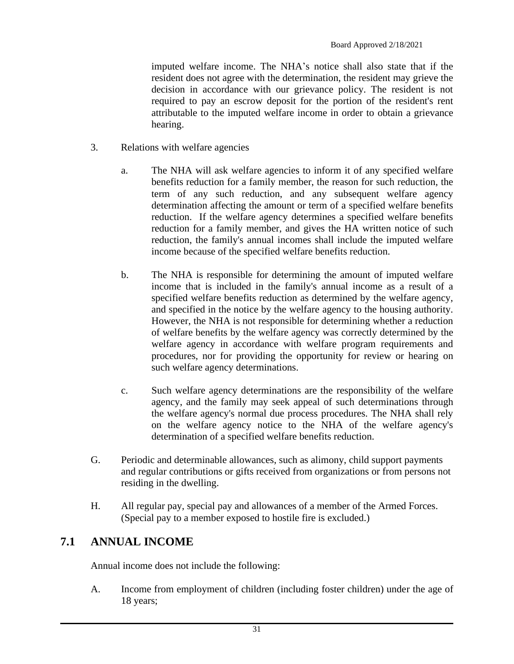imputed welfare income. The NHA's notice shall also state that if the resident does not agree with the determination, the resident may grieve the decision in accordance with our grievance policy. The resident is not required to pay an escrow deposit for the portion of the resident's rent attributable to the imputed welfare income in order to obtain a grievance hearing.

- 3. Relations with welfare agencies
	- a. The NHA will ask welfare agencies to inform it of any specified welfare benefits reduction for a family member, the reason for such reduction, the term of any such reduction, and any subsequent welfare agency determination affecting the amount or term of a specified welfare benefits reduction. If the welfare agency determines a specified welfare benefits reduction for a family member, and gives the HA written notice of such reduction, the family's annual incomes shall include the imputed welfare income because of the specified welfare benefits reduction.
	- b. The NHA is responsible for determining the amount of imputed welfare income that is included in the family's annual income as a result of a specified welfare benefits reduction as determined by the welfare agency, and specified in the notice by the welfare agency to the housing authority. However, the NHA is not responsible for determining whether a reduction of welfare benefits by the welfare agency was correctly determined by the welfare agency in accordance with welfare program requirements and procedures, nor for providing the opportunity for review or hearing on such welfare agency determinations.
	- c. Such welfare agency determinations are the responsibility of the welfare agency, and the family may seek appeal of such determinations through the welfare agency's normal due process procedures. The NHA shall rely on the welfare agency notice to the NHA of the welfare agency's determination of a specified welfare benefits reduction.
- G. Periodic and determinable allowances, such as alimony, child support payments and regular contributions or gifts received from organizations or from persons not residing in the dwelling.
- H. All regular pay, special pay and allowances of a member of the Armed Forces. (Special pay to a member exposed to hostile fire is excluded.)

#### <span id="page-30-0"></span>**7.1 ANNUAL INCOME**

Annual income does not include the following:

A. Income from employment of children (including foster children) under the age of 18 years;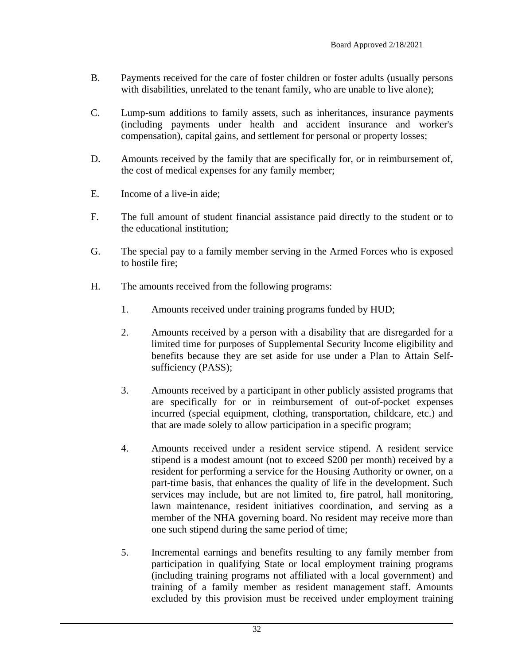- B. Payments received for the care of foster children or foster adults (usually persons with disabilities, unrelated to the tenant family, who are unable to live alone);
- C. Lump-sum additions to family assets, such as inheritances, insurance payments (including payments under health and accident insurance and worker's compensation), capital gains, and settlement for personal or property losses;
- D. Amounts received by the family that are specifically for, or in reimbursement of, the cost of medical expenses for any family member;
- E. Income of a live-in aide;
- F. The full amount of student financial assistance paid directly to the student or to the educational institution;
- G. The special pay to a family member serving in the Armed Forces who is exposed to hostile fire;
- H. The amounts received from the following programs:
	- 1. Amounts received under training programs funded by HUD;
	- 2. Amounts received by a person with a disability that are disregarded for a limited time for purposes of Supplemental Security Income eligibility and benefits because they are set aside for use under a Plan to Attain Selfsufficiency (PASS);
	- 3. Amounts received by a participant in other publicly assisted programs that are specifically for or in reimbursement of out-of-pocket expenses incurred (special equipment, clothing, transportation, childcare, etc.) and that are made solely to allow participation in a specific program;
	- 4. Amounts received under a resident service stipend. A resident service stipend is a modest amount (not to exceed \$200 per month) received by a resident for performing a service for the Housing Authority or owner, on a part-time basis, that enhances the quality of life in the development. Such services may include, but are not limited to, fire patrol, hall monitoring, lawn maintenance, resident initiatives coordination, and serving as a member of the NHA governing board. No resident may receive more than one such stipend during the same period of time;
	- 5. Incremental earnings and benefits resulting to any family member from participation in qualifying State or local employment training programs (including training programs not affiliated with a local government) and training of a family member as resident management staff. Amounts excluded by this provision must be received under employment training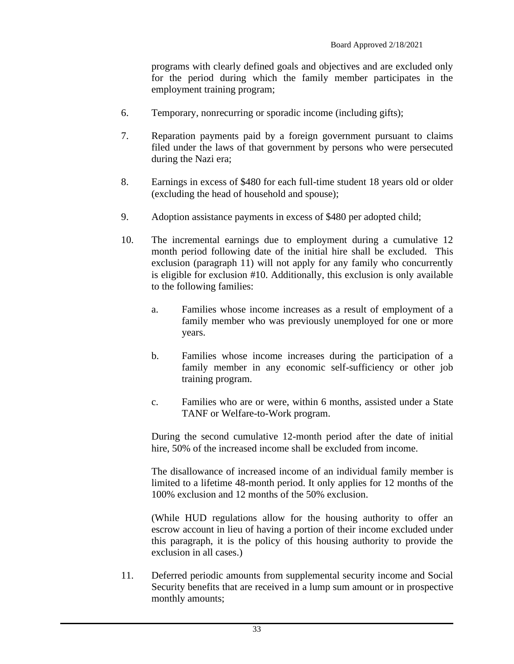programs with clearly defined goals and objectives and are excluded only for the period during which the family member participates in the employment training program;

- 6. Temporary, nonrecurring or sporadic income (including gifts);
- 7. Reparation payments paid by a foreign government pursuant to claims filed under the laws of that government by persons who were persecuted during the Nazi era;
- 8. Earnings in excess of \$480 for each full-time student 18 years old or older (excluding the head of household and spouse);
- 9. Adoption assistance payments in excess of \$480 per adopted child;
- 10. The incremental earnings due to employment during a cumulative 12 month period following date of the initial hire shall be excluded. This exclusion (paragraph 11) will not apply for any family who concurrently is eligible for exclusion #10. Additionally, this exclusion is only available to the following families:
	- a. Families whose income increases as a result of employment of a family member who was previously unemployed for one or more years.
	- b. Families whose income increases during the participation of a family member in any economic self-sufficiency or other job training program.
	- c. Families who are or were, within 6 months, assisted under a State TANF or Welfare-to-Work program.

During the second cumulative 12-month period after the date of initial hire, 50% of the increased income shall be excluded from income.

The disallowance of increased income of an individual family member is limited to a lifetime 48-month period. It only applies for 12 months of the 100% exclusion and 12 months of the 50% exclusion.

(While HUD regulations allow for the housing authority to offer an escrow account in lieu of having a portion of their income excluded under this paragraph, it is the policy of this housing authority to provide the exclusion in all cases.)

11. Deferred periodic amounts from supplemental security income and Social Security benefits that are received in a lump sum amount or in prospective monthly amounts;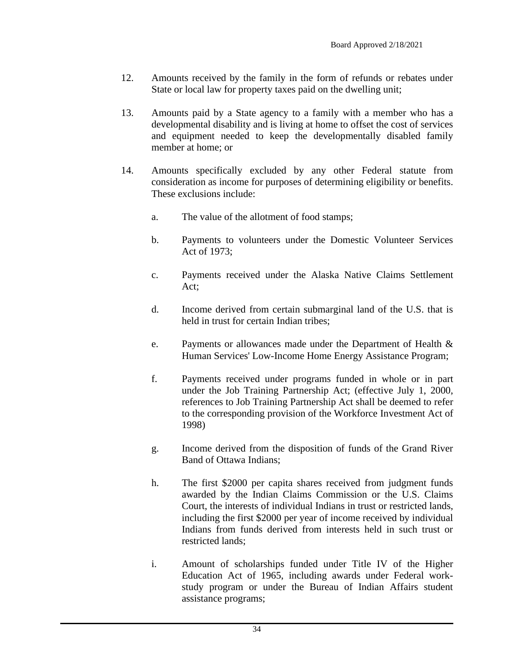- 12. Amounts received by the family in the form of refunds or rebates under State or local law for property taxes paid on the dwelling unit;
- 13. Amounts paid by a State agency to a family with a member who has a developmental disability and is living at home to offset the cost of services and equipment needed to keep the developmentally disabled family member at home; or
- 14. Amounts specifically excluded by any other Federal statute from consideration as income for purposes of determining eligibility or benefits. These exclusions include:
	- a. The value of the allotment of food stamps;
	- b. Payments to volunteers under the Domestic Volunteer Services Act of 1973;
	- c. Payments received under the Alaska Native Claims Settlement Act;
	- d. Income derived from certain submarginal land of the U.S. that is held in trust for certain Indian tribes;
	- e. Payments or allowances made under the Department of Health & Human Services' Low-Income Home Energy Assistance Program;
	- f. Payments received under programs funded in whole or in part under the Job Training Partnership Act; (effective July 1, 2000, references to Job Training Partnership Act shall be deemed to refer to the corresponding provision of the Workforce Investment Act of 1998)
	- g. Income derived from the disposition of funds of the Grand River Band of Ottawa Indians;
	- h. The first \$2000 per capita shares received from judgment funds awarded by the Indian Claims Commission or the U.S. Claims Court, the interests of individual Indians in trust or restricted lands, including the first \$2000 per year of income received by individual Indians from funds derived from interests held in such trust or restricted lands;
	- i. Amount of scholarships funded under Title IV of the Higher Education Act of 1965, including awards under Federal workstudy program or under the Bureau of Indian Affairs student assistance programs;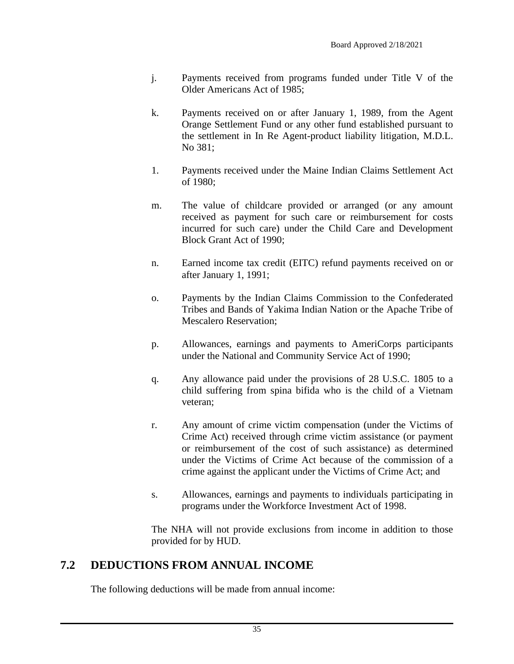- j. Payments received from programs funded under Title V of the Older Americans Act of 1985;
- k. Payments received on or after January 1, 1989, from the Agent Orange Settlement Fund or any other fund established pursuant to the settlement in In Re Agent-product liability litigation, M.D.L. No 381;
- 1. Payments received under the Maine Indian Claims Settlement Act of 1980;
- m. The value of childcare provided or arranged (or any amount received as payment for such care or reimbursement for costs incurred for such care) under the Child Care and Development Block Grant Act of 1990;
- n. Earned income tax credit (EITC) refund payments received on or after January 1, 1991;
- o. Payments by the Indian Claims Commission to the Confederated Tribes and Bands of Yakima Indian Nation or the Apache Tribe of Mescalero Reservation;
- p. Allowances, earnings and payments to AmeriCorps participants under the National and Community Service Act of 1990;
- q. Any allowance paid under the provisions of 28 U.S.C. 1805 to a child suffering from spina bifida who is the child of a Vietnam veteran;
- r. Any amount of crime victim compensation (under the Victims of Crime Act) received through crime victim assistance (or payment or reimbursement of the cost of such assistance) as determined under the Victims of Crime Act because of the commission of a crime against the applicant under the Victims of Crime Act; and
- s. Allowances, earnings and payments to individuals participating in programs under the Workforce Investment Act of 1998.

The NHA will not provide exclusions from income in addition to those provided for by HUD.

### <span id="page-34-0"></span>**7.2 DEDUCTIONS FROM ANNUAL INCOME**

The following deductions will be made from annual income: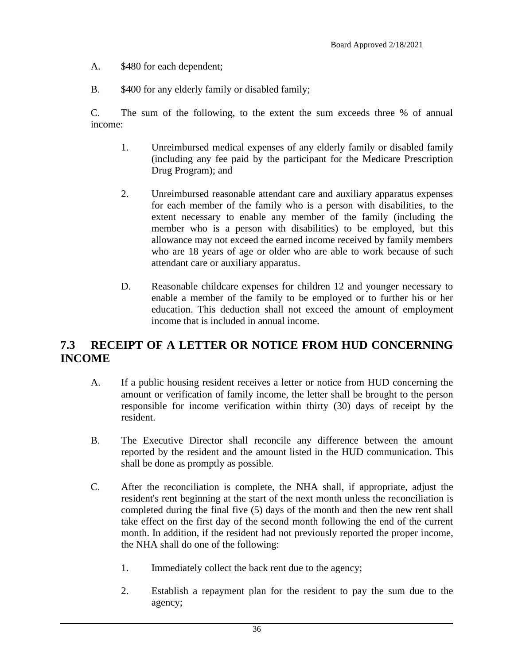- A. \$480 for each dependent;
- B. \$400 for any elderly family or disabled family;

C. The sum of the following, to the extent the sum exceeds three % of annual income:

- 1. Unreimbursed medical expenses of any elderly family or disabled family (including any fee paid by the participant for the Medicare Prescription Drug Program); and
- 2. Unreimbursed reasonable attendant care and auxiliary apparatus expenses for each member of the family who is a person with disabilities, to the extent necessary to enable any member of the family (including the member who is a person with disabilities) to be employed, but this allowance may not exceed the earned income received by family members who are 18 years of age or older who are able to work because of such attendant care or auxiliary apparatus.
- D. Reasonable childcare expenses for children 12 and younger necessary to enable a member of the family to be employed or to further his or her education. This deduction shall not exceed the amount of employment income that is included in annual income.

### <span id="page-35-0"></span>**7.3 RECEIPT OF A LETTER OR NOTICE FROM HUD CONCERNING INCOME**

- A. If a public housing resident receives a letter or notice from HUD concerning the amount or verification of family income, the letter shall be brought to the person responsible for income verification within thirty (30) days of receipt by the resident.
- B. The Executive Director shall reconcile any difference between the amount reported by the resident and the amount listed in the HUD communication. This shall be done as promptly as possible.
- C. After the reconciliation is complete, the NHA shall, if appropriate, adjust the resident's rent beginning at the start of the next month unless the reconciliation is completed during the final five (5) days of the month and then the new rent shall take effect on the first day of the second month following the end of the current month. In addition, if the resident had not previously reported the proper income, the NHA shall do one of the following:
	- 1. Immediately collect the back rent due to the agency;
	- 2. Establish a repayment plan for the resident to pay the sum due to the agency;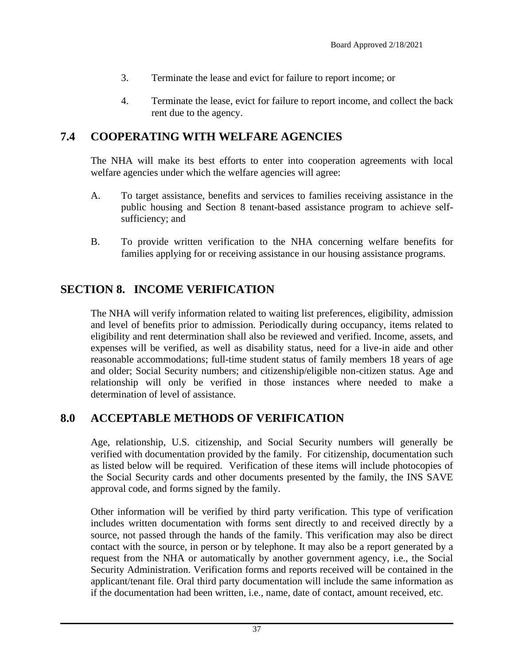- 3. Terminate the lease and evict for failure to report income; or
- 4. Terminate the lease, evict for failure to report income, and collect the back rent due to the agency.

## **7.4 COOPERATING WITH WELFARE AGENCIES**

The NHA will make its best efforts to enter into cooperation agreements with local welfare agencies under which the welfare agencies will agree:

- A. To target assistance, benefits and services to families receiving assistance in the public housing and Section 8 tenant-based assistance program to achieve selfsufficiency; and
- B. To provide written verification to the NHA concerning welfare benefits for families applying for or receiving assistance in our housing assistance programs.

# **SECTION 8. INCOME VERIFICATION**

The NHA will verify information related to waiting list preferences, eligibility, admission and level of benefits prior to admission. Periodically during occupancy, items related to eligibility and rent determination shall also be reviewed and verified. Income, assets, and expenses will be verified, as well as disability status, need for a live-in aide and other reasonable accommodations; full-time student status of family members 18 years of age and older; Social Security numbers; and citizenship/eligible non-citizen status. Age and relationship will only be verified in those instances where needed to make a determination of level of assistance.

### **8.0 ACCEPTABLE METHODS OF VERIFICATION**

Age, relationship, U.S. citizenship, and Social Security numbers will generally be verified with documentation provided by the family. For citizenship, documentation such as listed below will be required. Verification of these items will include photocopies of the Social Security cards and other documents presented by the family, the INS SAVE approval code, and forms signed by the family.

Other information will be verified by third party verification. This type of verification includes written documentation with forms sent directly to and received directly by a source, not passed through the hands of the family. This verification may also be direct contact with the source, in person or by telephone. It may also be a report generated by a request from the NHA or automatically by another government agency, i.e., the Social Security Administration. Verification forms and reports received will be contained in the applicant/tenant file. Oral third party documentation will include the same information as if the documentation had been written, i.e., name, date of contact, amount received, etc.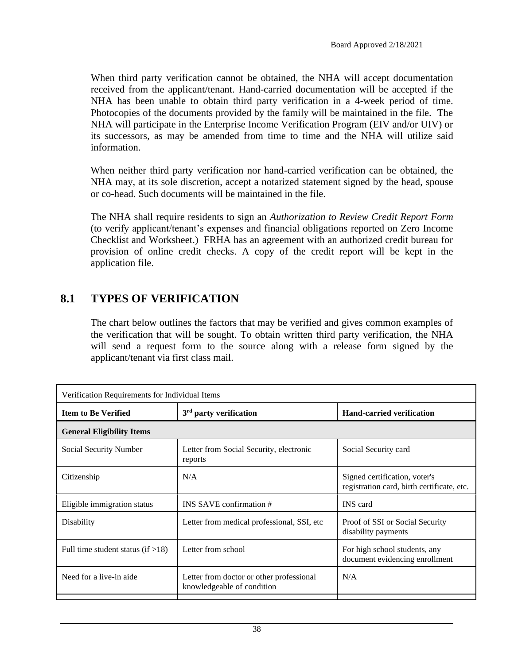When third party verification cannot be obtained, the NHA will accept documentation received from the applicant/tenant. Hand-carried documentation will be accepted if the NHA has been unable to obtain third party verification in a 4-week period of time. Photocopies of the documents provided by the family will be maintained in the file. The NHA will participate in the Enterprise Income Verification Program (EIV and/or UIV) or its successors, as may be amended from time to time and the NHA will utilize said information.

When neither third party verification nor hand-carried verification can be obtained, the NHA may, at its sole discretion, accept a notarized statement signed by the head, spouse or co-head. Such documents will be maintained in the file.

The NHA shall require residents to sign an *Authorization to Review Credit Report Form* (to verify applicant/tenant's expenses and financial obligations reported on Zero Income Checklist and Worksheet.) FRHA has an agreement with an authorized credit bureau for provision of online credit checks. A copy of the credit report will be kept in the application file.

### **8.1 TYPES OF VERIFICATION**

The chart below outlines the factors that may be verified and gives common examples of the verification that will be sought. To obtain written third party verification, the NHA will send a request form to the source along with a release form signed by the applicant/tenant via first class mail.

| Verification Requirements for Individual Items |                                                                        |                                                                             |  |
|------------------------------------------------|------------------------------------------------------------------------|-----------------------------------------------------------------------------|--|
| <b>Item to Be Verified</b>                     | $3rd$ party verification                                               | <b>Hand-carried verification</b>                                            |  |
| <b>General Eligibility Items</b>               |                                                                        |                                                                             |  |
| Social Security Number                         | Letter from Social Security, electronic<br>reports                     | Social Security card                                                        |  |
| Citizenship                                    | N/A                                                                    | Signed certification, voter's<br>registration card, birth certificate, etc. |  |
| Eligible immigration status                    | INS SAVE confirmation #                                                | <b>INS</b> card                                                             |  |
| Disability                                     | Letter from medical professional, SSI, etc.                            | Proof of SSI or Social Security<br>disability payments                      |  |
| Full time student status (if $>18$ )           | Letter from school                                                     | For high school students, any<br>document evidencing enrollment             |  |
| Need for a live-in aide                        | Letter from doctor or other professional<br>knowledgeable of condition | N/A                                                                         |  |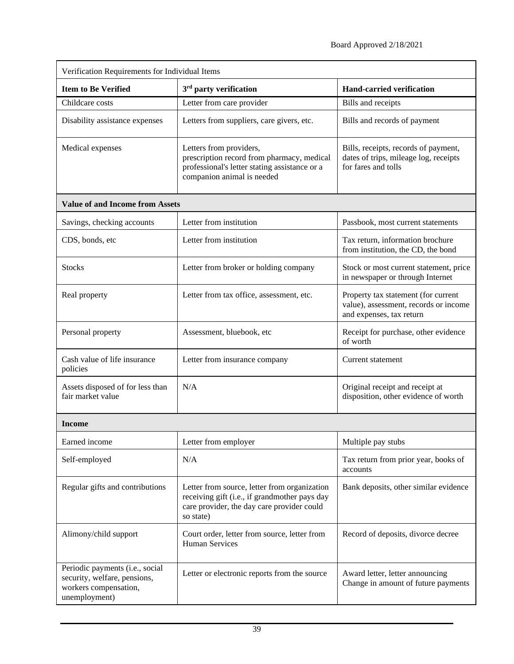| Verification Requirements for Individual Items                                                            |                                                                                                                                                          |                                                                                                          |  |  |
|-----------------------------------------------------------------------------------------------------------|----------------------------------------------------------------------------------------------------------------------------------------------------------|----------------------------------------------------------------------------------------------------------|--|--|
| <b>Item to Be Verified</b>                                                                                | 3 <sup>rd</sup> party verification                                                                                                                       | <b>Hand-carried verification</b>                                                                         |  |  |
| Childcare costs                                                                                           | Letter from care provider                                                                                                                                | Bills and receipts                                                                                       |  |  |
| Disability assistance expenses                                                                            | Letters from suppliers, care givers, etc.                                                                                                                | Bills and records of payment                                                                             |  |  |
| Medical expenses                                                                                          | Letters from providers,<br>prescription record from pharmacy, medical<br>professional's letter stating assistance or a<br>companion animal is needed     | Bills, receipts, records of payment,<br>dates of trips, mileage log, receipts<br>for fares and tolls     |  |  |
| <b>Value of and Income from Assets</b>                                                                    |                                                                                                                                                          |                                                                                                          |  |  |
| Savings, checking accounts                                                                                | Letter from institution                                                                                                                                  | Passbook, most current statements                                                                        |  |  |
| CDS, bonds, etc                                                                                           | Letter from institution                                                                                                                                  | Tax return, information brochure<br>from institution, the CD, the bond                                   |  |  |
| <b>Stocks</b>                                                                                             | Letter from broker or holding company                                                                                                                    | Stock or most current statement, price<br>in newspaper or through Internet                               |  |  |
| Real property                                                                                             | Letter from tax office, assessment, etc.                                                                                                                 | Property tax statement (for current<br>value), assessment, records or income<br>and expenses, tax return |  |  |
| Personal property                                                                                         | Assessment, bluebook, etc                                                                                                                                | Receipt for purchase, other evidence<br>of worth                                                         |  |  |
| Cash value of life insurance<br>policies                                                                  | Letter from insurance company                                                                                                                            | Current statement                                                                                        |  |  |
| Assets disposed of for less than<br>fair market value                                                     | N/A                                                                                                                                                      | Original receipt and receipt at<br>disposition, other evidence of worth                                  |  |  |
| Income                                                                                                    |                                                                                                                                                          |                                                                                                          |  |  |
| Earned income                                                                                             | Letter from employer                                                                                                                                     | Multiple pay stubs                                                                                       |  |  |
| Self-employed                                                                                             | N/A                                                                                                                                                      | Tax return from prior year, books of<br>accounts                                                         |  |  |
| Regular gifts and contributions                                                                           | Letter from source, letter from organization<br>receiving gift (i.e., if grandmother pays day<br>care provider, the day care provider could<br>so state) | Bank deposits, other similar evidence                                                                    |  |  |
| Alimony/child support                                                                                     | Court order, letter from source, letter from<br><b>Human Services</b>                                                                                    | Record of deposits, divorce decree                                                                       |  |  |
| Periodic payments (i.e., social<br>security, welfare, pensions,<br>workers compensation,<br>unemployment) | Letter or electronic reports from the source                                                                                                             | Award letter, letter announcing<br>Change in amount of future payments                                   |  |  |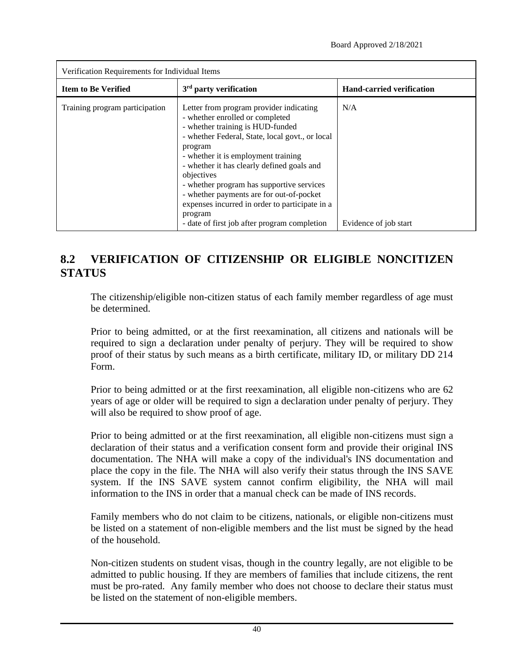| Verification Requirements for Individual Items |                                                                                                                                                                                                                                                                                                                                                                                                                                                                                       |                                  |  |  |
|------------------------------------------------|---------------------------------------------------------------------------------------------------------------------------------------------------------------------------------------------------------------------------------------------------------------------------------------------------------------------------------------------------------------------------------------------------------------------------------------------------------------------------------------|----------------------------------|--|--|
| <b>Item to Be Verified</b>                     | 3 <sup>rd</sup> party verification                                                                                                                                                                                                                                                                                                                                                                                                                                                    | <b>Hand-carried verification</b> |  |  |
| Training program participation                 | Letter from program provider indicating<br>- whether enrolled or completed<br>- whether training is HUD-funded<br>- whether Federal, State, local govt., or local<br>program<br>- whether it is employment training<br>- whether it has clearly defined goals and<br>objectives<br>- whether program has supportive services<br>- whether payments are for out-of-pocket<br>expenses incurred in order to participate in a<br>program<br>- date of first job after program completion | N/A<br>Evidence of job start     |  |  |

# **8.2 VERIFICATION OF CITIZENSHIP OR ELIGIBLE NONCITIZEN STATUS**

The citizenship/eligible non-citizen status of each family member regardless of age must be determined.

Prior to being admitted, or at the first reexamination, all citizens and nationals will be required to sign a declaration under penalty of perjury. They will be required to show proof of their status by such means as a birth certificate, military ID, or military DD 214 Form.

Prior to being admitted or at the first reexamination, all eligible non-citizens who are 62 years of age or older will be required to sign a declaration under penalty of perjury. They will also be required to show proof of age.

Prior to being admitted or at the first reexamination, all eligible non-citizens must sign a declaration of their status and a verification consent form and provide their original INS documentation. The NHA will make a copy of the individual's INS documentation and place the copy in the file. The NHA will also verify their status through the INS SAVE system. If the INS SAVE system cannot confirm eligibility, the NHA will mail information to the INS in order that a manual check can be made of INS records.

Family members who do not claim to be citizens, nationals, or eligible non-citizens must be listed on a statement of non-eligible members and the list must be signed by the head of the household.

Non-citizen students on student visas, though in the country legally, are not eligible to be admitted to public housing. If they are members of families that include citizens, the rent must be pro-rated. Any family member who does not choose to declare their status must be listed on the statement of non-eligible members.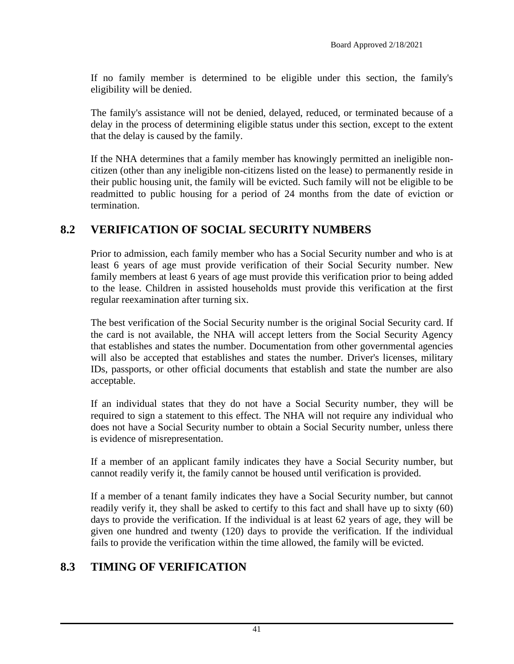If no family member is determined to be eligible under this section, the family's eligibility will be denied.

The family's assistance will not be denied, delayed, reduced, or terminated because of a delay in the process of determining eligible status under this section, except to the extent that the delay is caused by the family.

If the NHA determines that a family member has knowingly permitted an ineligible noncitizen (other than any ineligible non-citizens listed on the lease) to permanently reside in their public housing unit, the family will be evicted. Such family will not be eligible to be readmitted to public housing for a period of 24 months from the date of eviction or termination.

## **8.2 VERIFICATION OF SOCIAL SECURITY NUMBERS**

Prior to admission, each family member who has a Social Security number and who is at least 6 years of age must provide verification of their Social Security number. New family members at least 6 years of age must provide this verification prior to being added to the lease. Children in assisted households must provide this verification at the first regular reexamination after turning six.

The best verification of the Social Security number is the original Social Security card. If the card is not available, the NHA will accept letters from the Social Security Agency that establishes and states the number. Documentation from other governmental agencies will also be accepted that establishes and states the number. Driver's licenses, military IDs, passports, or other official documents that establish and state the number are also acceptable.

If an individual states that they do not have a Social Security number, they will be required to sign a statement to this effect. The NHA will not require any individual who does not have a Social Security number to obtain a Social Security number, unless there is evidence of misrepresentation.

If a member of an applicant family indicates they have a Social Security number, but cannot readily verify it, the family cannot be housed until verification is provided.

If a member of a tenant family indicates they have a Social Security number, but cannot readily verify it, they shall be asked to certify to this fact and shall have up to sixty (60) days to provide the verification. If the individual is at least 62 years of age, they will be given one hundred and twenty (120) days to provide the verification. If the individual fails to provide the verification within the time allowed, the family will be evicted.

### **8.3 TIMING OF VERIFICATION**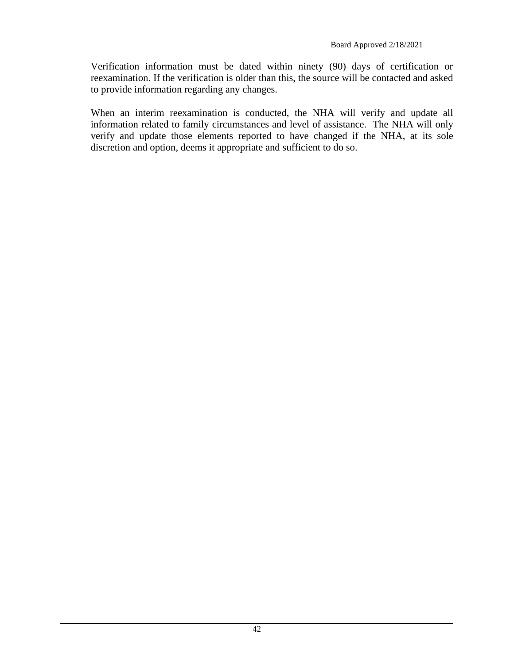Verification information must be dated within ninety (90) days of certification or reexamination. If the verification is older than this, the source will be contacted and asked to provide information regarding any changes.

When an interim reexamination is conducted, the NHA will verify and update all information related to family circumstances and level of assistance. The NHA will only verify and update those elements reported to have changed if the NHA, at its sole discretion and option, deems it appropriate and sufficient to do so.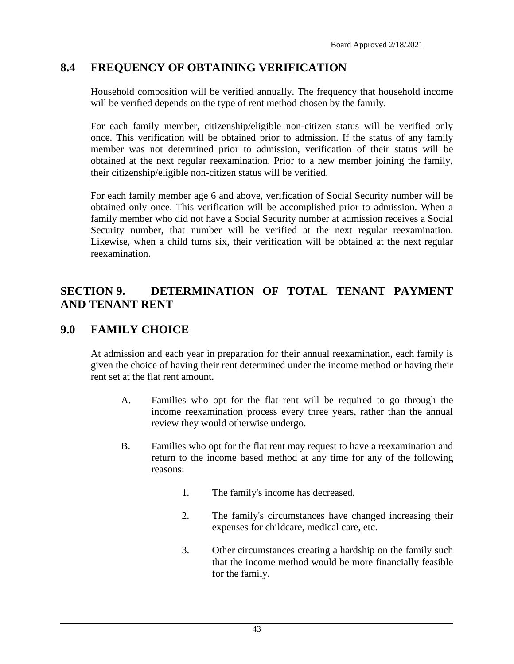## **8.4 FREQUENCY OF OBTAINING VERIFICATION**

Household composition will be verified annually. The frequency that household income will be verified depends on the type of rent method chosen by the family.

For each family member, citizenship/eligible non-citizen status will be verified only once. This verification will be obtained prior to admission. If the status of any family member was not determined prior to admission, verification of their status will be obtained at the next regular reexamination. Prior to a new member joining the family, their citizenship/eligible non-citizen status will be verified.

For each family member age 6 and above, verification of Social Security number will be obtained only once. This verification will be accomplished prior to admission. When a family member who did not have a Social Security number at admission receives a Social Security number, that number will be verified at the next regular reexamination. Likewise, when a child turns six, their verification will be obtained at the next regular reexamination.

## **SECTION 9. DETERMINATION OF TOTAL TENANT PAYMENT AND TENANT RENT**

#### **9.0 FAMILY CHOICE**

At admission and each year in preparation for their annual reexamination, each family is given the choice of having their rent determined under the income method or having their rent set at the flat rent amount.

- A. Families who opt for the flat rent will be required to go through the income reexamination process every three years, rather than the annual review they would otherwise undergo.
- B. Families who opt for the flat rent may request to have a reexamination and return to the income based method at any time for any of the following reasons:
	- 1. The family's income has decreased.
	- 2. The family's circumstances have changed increasing their expenses for childcare, medical care, etc.
	- 3. Other circumstances creating a hardship on the family such that the income method would be more financially feasible for the family.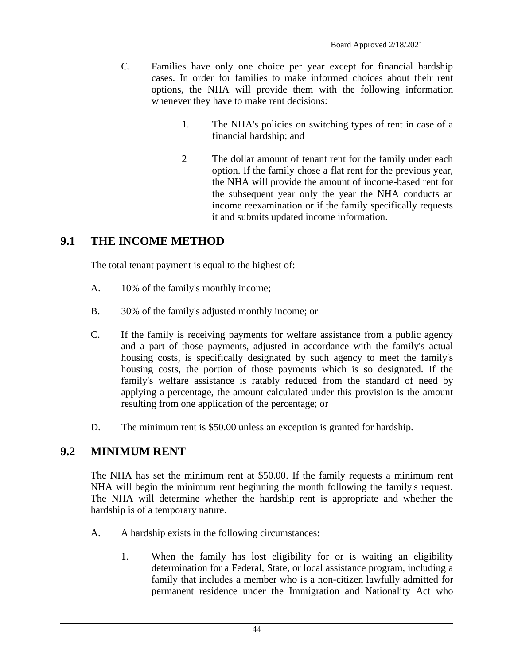- C. Families have only one choice per year except for financial hardship cases. In order for families to make informed choices about their rent options, the NHA will provide them with the following information whenever they have to make rent decisions:
	- 1. The NHA's policies on switching types of rent in case of a financial hardship; and
	- 2 The dollar amount of tenant rent for the family under each option. If the family chose a flat rent for the previous year, the NHA will provide the amount of income-based rent for the subsequent year only the year the NHA conducts an income reexamination or if the family specifically requests it and submits updated income information.

## **9.1 THE INCOME METHOD**

The total tenant payment is equal to the highest of:

- A. 10% of the family's monthly income;
- B. 30% of the family's adjusted monthly income; or
- C. If the family is receiving payments for welfare assistance from a public agency and a part of those payments, adjusted in accordance with the family's actual housing costs, is specifically designated by such agency to meet the family's housing costs, the portion of those payments which is so designated. If the family's welfare assistance is ratably reduced from the standard of need by applying a percentage, the amount calculated under this provision is the amount resulting from one application of the percentage; or
- D. The minimum rent is \$50.00 unless an exception is granted for hardship.

### **9.2 MINIMUM RENT**

The NHA has set the minimum rent at \$50.00. If the family requests a minimum rent NHA will begin the minimum rent beginning the month following the family's request. The NHA will determine whether the hardship rent is appropriate and whether the hardship is of a temporary nature.

- A. A hardship exists in the following circumstances:
	- 1. When the family has lost eligibility for or is waiting an eligibility determination for a Federal, State, or local assistance program, including a family that includes a member who is a non-citizen lawfully admitted for permanent residence under the Immigration and Nationality Act who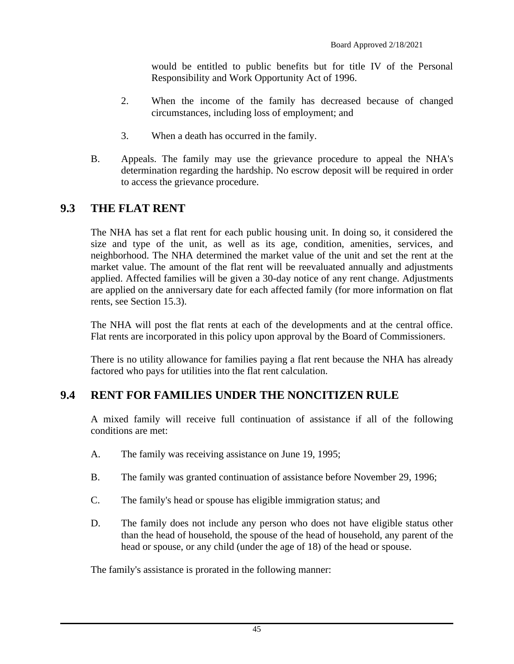would be entitled to public benefits but for title IV of the Personal Responsibility and Work Opportunity Act of 1996.

- 2. When the income of the family has decreased because of changed circumstances, including loss of employment; and
- 3. When a death has occurred in the family.
- B. Appeals. The family may use the grievance procedure to appeal the NHA's determination regarding the hardship. No escrow deposit will be required in order to access the grievance procedure.

## **9.3 THE FLAT RENT**

The NHA has set a flat rent for each public housing unit. In doing so, it considered the size and type of the unit, as well as its age, condition, amenities, services, and neighborhood. The NHA determined the market value of the unit and set the rent at the market value. The amount of the flat rent will be reevaluated annually and adjustments applied. Affected families will be given a 30-day notice of any rent change. Adjustments are applied on the anniversary date for each affected family (for more information on flat rents, see Section 15.3).

The NHA will post the flat rents at each of the developments and at the central office. Flat rents are incorporated in this policy upon approval by the Board of Commissioners.

There is no utility allowance for families paying a flat rent because the NHA has already factored who pays for utilities into the flat rent calculation.

### **9.4 RENT FOR FAMILIES UNDER THE NONCITIZEN RULE**

A mixed family will receive full continuation of assistance if all of the following conditions are met:

- A. The family was receiving assistance on June 19, 1995;
- B. The family was granted continuation of assistance before November 29, 1996;
- C. The family's head or spouse has eligible immigration status; and
- D. The family does not include any person who does not have eligible status other than the head of household, the spouse of the head of household, any parent of the head or spouse, or any child (under the age of 18) of the head or spouse.

The family's assistance is prorated in the following manner: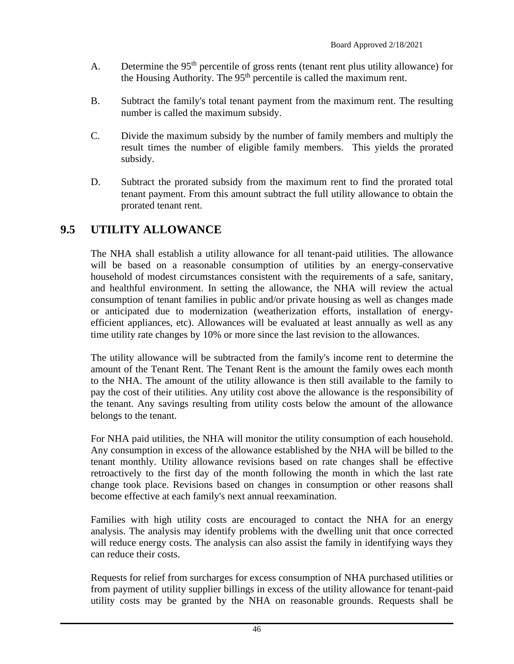- A. Determine the  $95<sup>th</sup>$  percentile of gross rents (tenant rent plus utility allowance) for the Housing Authority. The  $95<sup>th</sup>$  percentile is called the maximum rent.
- B. Subtract the family's total tenant payment from the maximum rent. The resulting number is called the maximum subsidy.
- C. Divide the maximum subsidy by the number of family members and multiply the result times the number of eligible family members. This yields the prorated subsidy.
- D. Subtract the prorated subsidy from the maximum rent to find the prorated total tenant payment. From this amount subtract the full utility allowance to obtain the prorated tenant rent.

## **9.5 UTILITY ALLOWANCE**

The NHA shall establish a utility allowance for all tenant-paid utilities. The allowance will be based on a reasonable consumption of utilities by an energy-conservative household of modest circumstances consistent with the requirements of a safe, sanitary, and healthful environment. In setting the allowance, the NHA will review the actual consumption of tenant families in public and/or private housing as well as changes made or anticipated due to modernization (weatherization efforts, installation of energyefficient appliances, etc). Allowances will be evaluated at least annually as well as any time utility rate changes by 10% or more since the last revision to the allowances.

The utility allowance will be subtracted from the family's income rent to determine the amount of the Tenant Rent. The Tenant Rent is the amount the family owes each month to the NHA. The amount of the utility allowance is then still available to the family to pay the cost of their utilities. Any utility cost above the allowance is the responsibility of the tenant. Any savings resulting from utility costs below the amount of the allowance belongs to the tenant.

For NHA paid utilities, the NHA will monitor the utility consumption of each household. Any consumption in excess of the allowance established by the NHA will be billed to the tenant monthly. Utility allowance revisions based on rate changes shall be effective retroactively to the first day of the month following the month in which the last rate change took place. Revisions based on changes in consumption or other reasons shall become effective at each family's next annual reexamination.

Families with high utility costs are encouraged to contact the NHA for an energy analysis. The analysis may identify problems with the dwelling unit that once corrected will reduce energy costs. The analysis can also assist the family in identifying ways they can reduce their costs.

Requests for relief from surcharges for excess consumption of NHA purchased utilities or from payment of utility supplier billings in excess of the utility allowance for tenant-paid utility costs may be granted by the NHA on reasonable grounds. Requests shall be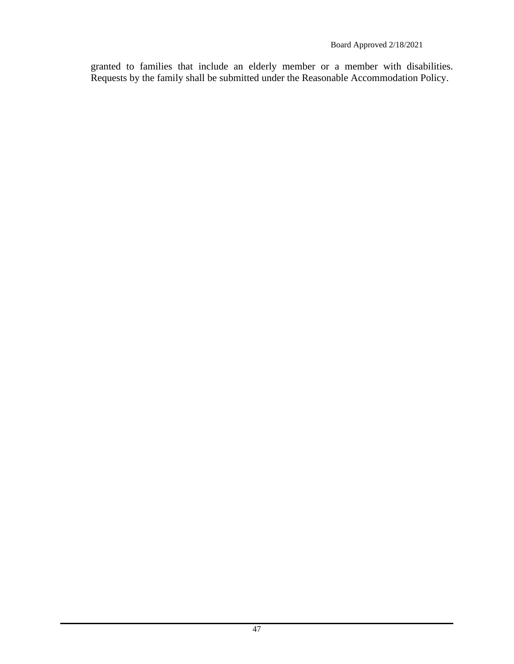granted to families that include an elderly member or a member with disabilities. Requests by the family shall be submitted under the Reasonable Accommodation Policy.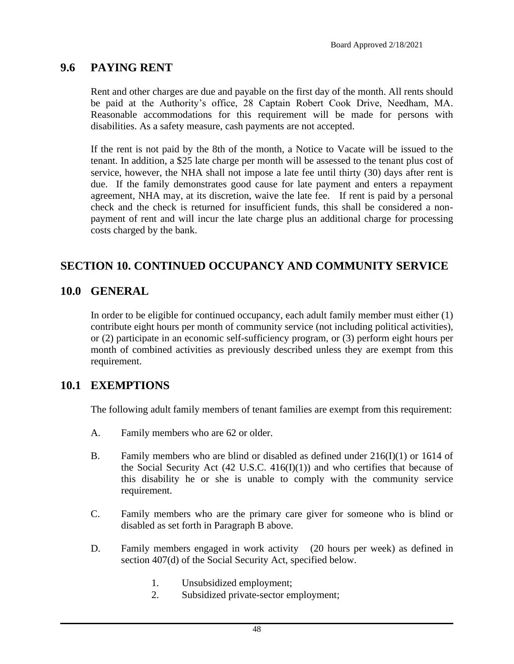### **9.6 PAYING RENT**

Rent and other charges are due and payable on the first day of the month. All rents should be paid at the Authority's office, 28 Captain Robert Cook Drive, Needham, MA. Reasonable accommodations for this requirement will be made for persons with disabilities. As a safety measure, cash payments are not accepted.

If the rent is not paid by the 8th of the month, a Notice to Vacate will be issued to the tenant. In addition, a \$25 late charge per month will be assessed to the tenant plus cost of service, however, the NHA shall not impose a late fee until thirty (30) days after rent is due. If the family demonstrates good cause for late payment and enters a repayment agreement, NHA may, at its discretion, waive the late fee. If rent is paid by a personal check and the check is returned for insufficient funds, this shall be considered a nonpayment of rent and will incur the late charge plus an additional charge for processing costs charged by the bank.

### **SECTION 10. CONTINUED OCCUPANCY AND COMMUNITY SERVICE**

#### **10.0 GENERAL**

In order to be eligible for continued occupancy, each adult family member must either (1) contribute eight hours per month of community service (not including political activities), or (2) participate in an economic self-sufficiency program, or (3) perform eight hours per month of combined activities as previously described unless they are exempt from this requirement.

#### **10.1 EXEMPTIONS**

The following adult family members of tenant families are exempt from this requirement:

- A. Family members who are 62 or older.
- B. Family members who are blind or disabled as defined under 216(I)(1) or 1614 of the Social Security Act  $(42 \text{ U.S.C. } 416(\text{I})(1))$  and who certifies that because of this disability he or she is unable to comply with the community service requirement.
- C. Family members who are the primary care giver for someone who is blind or disabled as set forth in Paragraph B above.
- D. Family members engaged in work activity (20 hours per week) as defined in section 407(d) of the Social Security Act, specified below.
	- 1. Unsubsidized employment;
	- 2. Subsidized private-sector employment;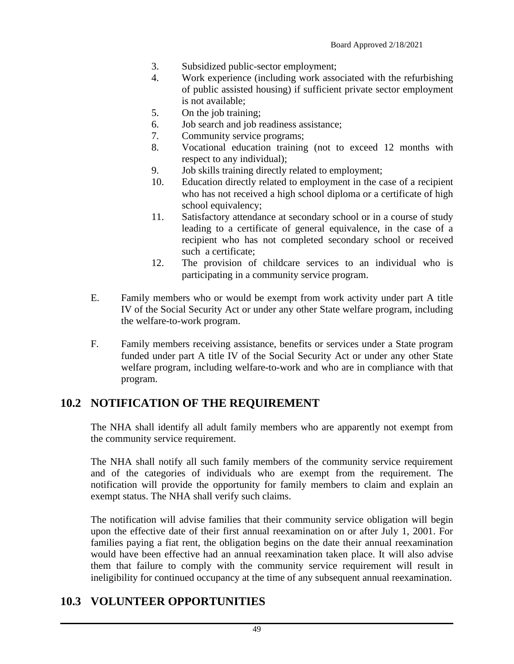- 3. Subsidized public-sector employment;
- 4. Work experience (including work associated with the refurbishing of public assisted housing) if sufficient private sector employment is not available;
- 5. On the job training;
- 6. Job search and job readiness assistance;
- 7. Community service programs;
- 8. Vocational education training (not to exceed 12 months with respect to any individual);
- 9. Job skills training directly related to employment;
- 10. Education directly related to employment in the case of a recipient who has not received a high school diploma or a certificate of high school equivalency;
- 11. Satisfactory attendance at secondary school or in a course of study leading to a certificate of general equivalence, in the case of a recipient who has not completed secondary school or received such a certificate;
- 12. The provision of childcare services to an individual who is participating in a community service program.
- E. Family members who or would be exempt from work activity under part A title IV of the Social Security Act or under any other State welfare program, including the welfare-to-work program.
- F. Family members receiving assistance, benefits or services under a State program funded under part A title IV of the Social Security Act or under any other State welfare program, including welfare-to-work and who are in compliance with that program.

### **10.2 NOTIFICATION OF THE REQUIREMENT**

The NHA shall identify all adult family members who are apparently not exempt from the community service requirement.

The NHA shall notify all such family members of the community service requirement and of the categories of individuals who are exempt from the requirement. The notification will provide the opportunity for family members to claim and explain an exempt status. The NHA shall verify such claims.

The notification will advise families that their community service obligation will begin upon the effective date of their first annual reexamination on or after July 1, 2001. For families paying a fiat rent, the obligation begins on the date their annual reexamination would have been effective had an annual reexamination taken place. It will also advise them that failure to comply with the community service requirement will result in ineligibility for continued occupancy at the time of any subsequent annual reexamination.

# **10.3 VOLUNTEER OPPORTUNITIES**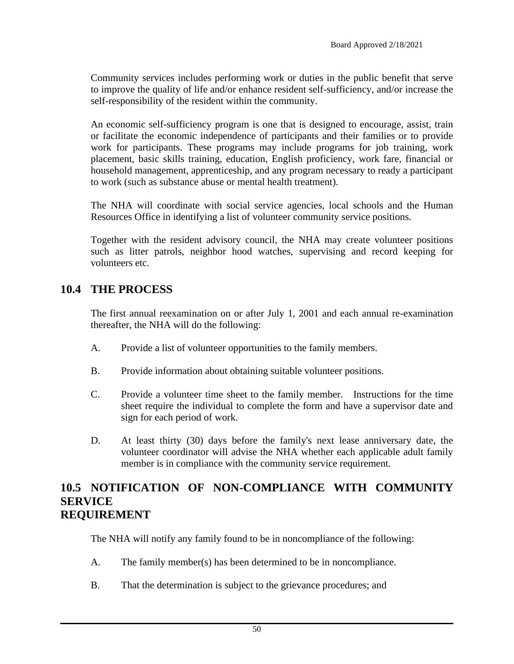Community services includes performing work or duties in the public benefit that serve to improve the quality of life and/or enhance resident self-sufficiency, and/or increase the self-responsibility of the resident within the community.

An economic self-sufficiency program is one that is designed to encourage, assist, train or facilitate the economic independence of participants and their families or to provide work for participants. These programs may include programs for job training, work placement, basic skills training, education, English proficiency, work fare, financial or household management, apprenticeship, and any program necessary to ready a participant to work (such as substance abuse or mental health treatment).

The NHA will coordinate with social service agencies, local schools and the Human Resources Office in identifying a list of volunteer community service positions.

Together with the resident advisory council, the NHA may create volunteer positions such as litter patrols, neighbor hood watches, supervising and record keeping for volunteers etc.

### **10.4 THE PROCESS**

The first annual reexamination on or after July 1, 2001 and each annual re-examination thereafter, the NHA will do the following:

- A. Provide a list of volunteer opportunities to the family members.
- B. Provide information about obtaining suitable volunteer positions.
- C. Provide a volunteer time sheet to the family member. Instructions for the time sheet require the individual to complete the form and have a supervisor date and sign for each period of work.
- D. At least thirty (30) days before the family's next lease anniversary date, the volunteer coordinator will advise the NHA whether each applicable adult family member is in compliance with the community service requirement.

#### **10.5 NOTIFICATION OF NON-COMPLIANCE WITH COMMUNITY SERVICE REQUIREMENT**

The NHA will notify any family found to be in noncompliance of the following:

- A. The family member(s) has been determined to be in noncompliance.
- B. That the determination is subject to the grievance procedures; and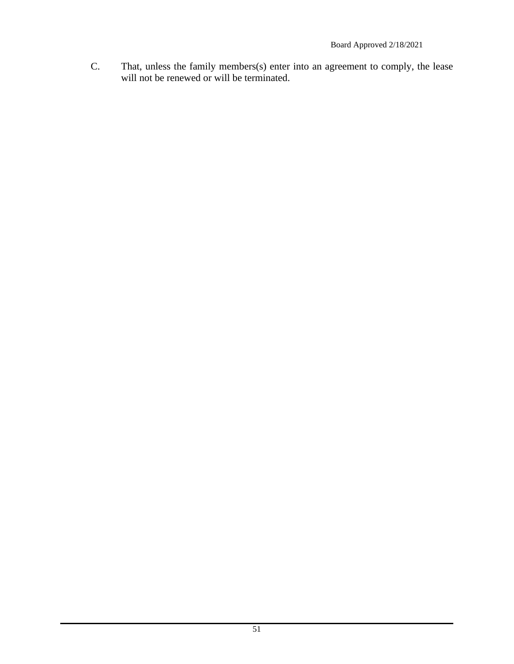C. That, unless the family members(s) enter into an agreement to comply, the lease will not be renewed or will be terminated.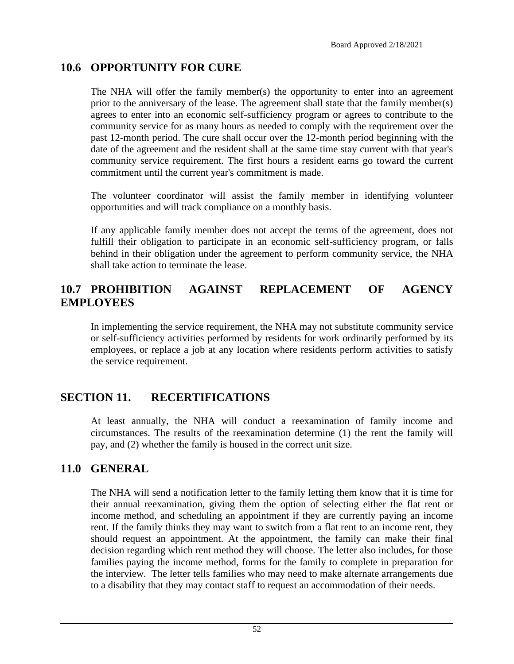# **10.6 OPPORTUNITY FOR CURE**

The NHA will offer the family member(s) the opportunity to enter into an agreement prior to the anniversary of the lease. The agreement shall state that the family member(s) agrees to enter into an economic self-sufficiency program or agrees to contribute to the community service for as many hours as needed to comply with the requirement over the past 12-month period. The cure shall occur over the 12-month period beginning with the date of the agreement and the resident shall at the same time stay current with that year's community service requirement. The first hours a resident earns go toward the current commitment until the current year's commitment is made.

The volunteer coordinator will assist the family member in identifying volunteer opportunities and will track compliance on a monthly basis.

If any applicable family member does not accept the terms of the agreement, does not fulfill their obligation to participate in an economic self-sufficiency program, or falls behind in their obligation under the agreement to perform community service, the NHA shall take action to terminate the lease.

# **10.7 PROHIBITION AGAINST REPLACEMENT OF AGENCY EMPLOYEES**

In implementing the service requirement, the NHA may not substitute community service or self-sufficiency activities performed by residents for work ordinarily performed by its employees, or replace a job at any location where residents perform activities to satisfy the service requirement.

# **SECTION 11. RECERTIFICATIONS**

At least annually, the NHA will conduct a reexamination of family income and circumstances. The results of the reexamination determine (1) the rent the family will pay, and (2) whether the family is housed in the correct unit size.

### **11.0 GENERAL**

The NHA will send a notification letter to the family letting them know that it is time for their annual reexamination, giving them the option of selecting either the flat rent or income method, and scheduling an appointment if they are currently paying an income rent. If the family thinks they may want to switch from a flat rent to an income rent, they should request an appointment. At the appointment, the family can make their final decision regarding which rent method they will choose. The letter also includes, for those families paying the income method, forms for the family to complete in preparation for the interview. The letter tells families who may need to make alternate arrangements due to a disability that they may contact staff to request an accommodation of their needs.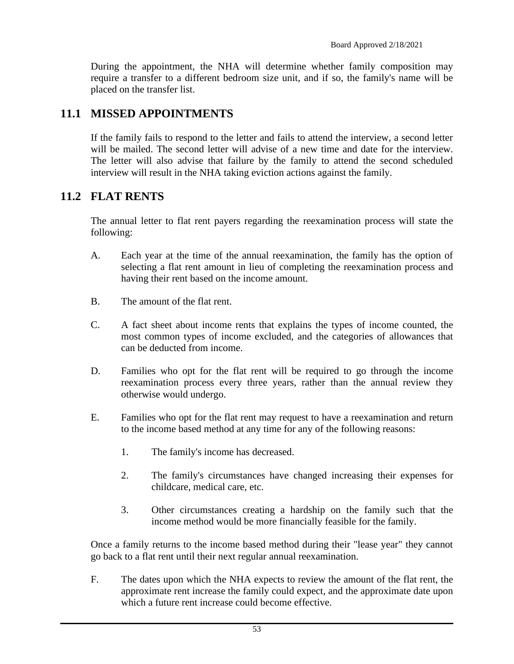During the appointment, the NHA will determine whether family composition may require a transfer to a different bedroom size unit, and if so, the family's name will be placed on the transfer list.

### **11.1 MISSED APPOINTMENTS**

If the family fails to respond to the letter and fails to attend the interview, a second letter will be mailed. The second letter will advise of a new time and date for the interview. The letter will also advise that failure by the family to attend the second scheduled interview will result in the NHA taking eviction actions against the family.

#### **11.2 FLAT RENTS**

The annual letter to flat rent payers regarding the reexamination process will state the following:

- A. Each year at the time of the annual reexamination, the family has the option of selecting a flat rent amount in lieu of completing the reexamination process and having their rent based on the income amount.
- B. The amount of the flat rent.
- C. A fact sheet about income rents that explains the types of income counted, the most common types of income excluded, and the categories of allowances that can be deducted from income.
- D. Families who opt for the flat rent will be required to go through the income reexamination process every three years, rather than the annual review they otherwise would undergo.
- E. Families who opt for the flat rent may request to have a reexamination and return to the income based method at any time for any of the following reasons:
	- 1. The family's income has decreased.
	- 2. The family's circumstances have changed increasing their expenses for childcare, medical care, etc.
	- 3. Other circumstances creating a hardship on the family such that the income method would be more financially feasible for the family.

Once a family returns to the income based method during their "lease year" they cannot go back to a flat rent until their next regular annual reexamination.

F. The dates upon which the NHA expects to review the amount of the flat rent, the approximate rent increase the family could expect, and the approximate date upon which a future rent increase could become effective.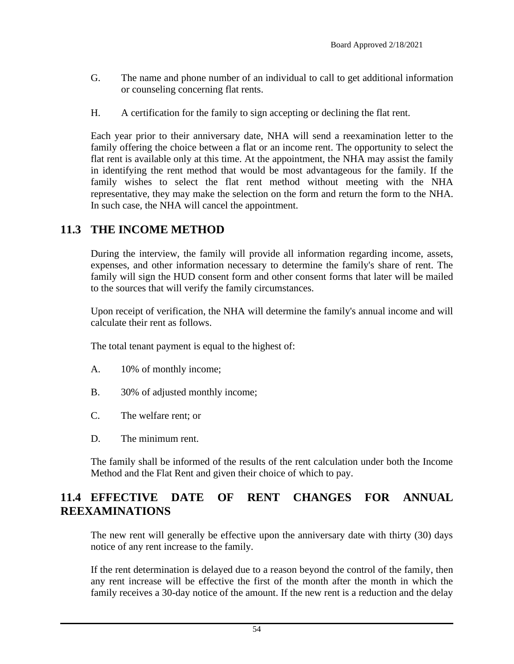- G. The name and phone number of an individual to call to get additional information or counseling concerning flat rents.
- H. A certification for the family to sign accepting or declining the flat rent.

Each year prior to their anniversary date, NHA will send a reexamination letter to the family offering the choice between a flat or an income rent. The opportunity to select the flat rent is available only at this time. At the appointment, the NHA may assist the family in identifying the rent method that would be most advantageous for the family. If the family wishes to select the flat rent method without meeting with the NHA representative, they may make the selection on the form and return the form to the NHA. In such case, the NHA will cancel the appointment.

### **11.3 THE INCOME METHOD**

During the interview, the family will provide all information regarding income, assets, expenses, and other information necessary to determine the family's share of rent. The family will sign the HUD consent form and other consent forms that later will be mailed to the sources that will verify the family circumstances.

Upon receipt of verification, the NHA will determine the family's annual income and will calculate their rent as follows.

The total tenant payment is equal to the highest of:

- A. 10% of monthly income;
- B. 30% of adjusted monthly income;
- C. The welfare rent; or
- D. The minimum rent.

The family shall be informed of the results of the rent calculation under both the Income Method and the Flat Rent and given their choice of which to pay.

## **11.4 EFFECTIVE DATE OF RENT CHANGES FOR ANNUAL REEXAMINATIONS**

The new rent will generally be effective upon the anniversary date with thirty (30) days notice of any rent increase to the family.

If the rent determination is delayed due to a reason beyond the control of the family, then any rent increase will be effective the first of the month after the month in which the family receives a 30-day notice of the amount. If the new rent is a reduction and the delay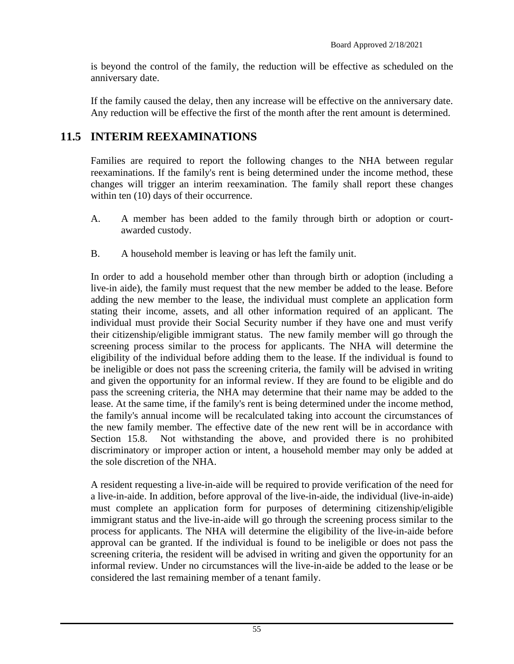is beyond the control of the family, the reduction will be effective as scheduled on the anniversary date.

If the family caused the delay, then any increase will be effective on the anniversary date. Any reduction will be effective the first of the month after the rent amount is determined.

# **11.5 INTERIM REEXAMINATIONS**

Families are required to report the following changes to the NHA between regular reexaminations. If the family's rent is being determined under the income method, these changes will trigger an interim reexamination. The family shall report these changes within ten (10) days of their occurrence.

- A. A member has been added to the family through birth or adoption or courtawarded custody.
- B. A household member is leaving or has left the family unit.

In order to add a household member other than through birth or adoption (including a live-in aide), the family must request that the new member be added to the lease. Before adding the new member to the lease, the individual must complete an application form stating their income, assets, and all other information required of an applicant. The individual must provide their Social Security number if they have one and must verify their citizenship/eligible immigrant status. The new family member will go through the screening process similar to the process for applicants. The NHA will determine the eligibility of the individual before adding them to the lease. If the individual is found to be ineligible or does not pass the screening criteria, the family will be advised in writing and given the opportunity for an informal review. If they are found to be eligible and do pass the screening criteria, the NHA may determine that their name may be added to the lease. At the same time, if the family's rent is being determined under the income method, the family's annual income will be recalculated taking into account the circumstances of the new family member. The effective date of the new rent will be in accordance with Section 15.8. Not withstanding the above, and provided there is no prohibited discriminatory or improper action or intent, a household member may only be added at the sole discretion of the NHA.

A resident requesting a live-in-aide will be required to provide verification of the need for a live-in-aide. In addition, before approval of the live-in-aide, the individual (live-in-aide) must complete an application form for purposes of determining citizenship/eligible immigrant status and the live-in-aide will go through the screening process similar to the process for applicants. The NHA will determine the eligibility of the live-in-aide before approval can be granted. If the individual is found to be ineligible or does not pass the screening criteria, the resident will be advised in writing and given the opportunity for an informal review. Under no circumstances will the live-in-aide be added to the lease or be considered the last remaining member of a tenant family.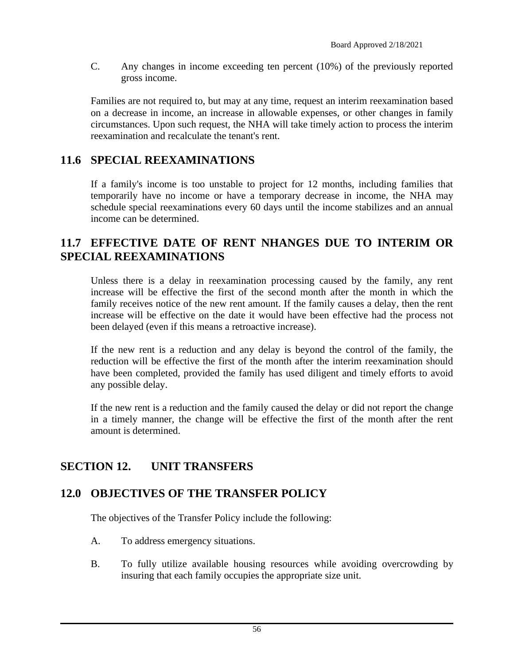C. Any changes in income exceeding ten percent (10%) of the previously reported gross income.

Families are not required to, but may at any time, request an interim reexamination based on a decrease in income, an increase in allowable expenses, or other changes in family circumstances. Upon such request, the NHA will take timely action to process the interim reexamination and recalculate the tenant's rent.

## **11.6 SPECIAL REEXAMINATIONS**

If a family's income is too unstable to project for 12 months, including families that temporarily have no income or have a temporary decrease in income, the NHA may schedule special reexaminations every 60 days until the income stabilizes and an annual income can be determined.

#### **11.7 EFFECTIVE DATE OF RENT NHANGES DUE TO INTERIM OR SPECIAL REEXAMINATIONS**

Unless there is a delay in reexamination processing caused by the family, any rent increase will be effective the first of the second month after the month in which the family receives notice of the new rent amount. If the family causes a delay, then the rent increase will be effective on the date it would have been effective had the process not been delayed (even if this means a retroactive increase).

If the new rent is a reduction and any delay is beyond the control of the family, the reduction will be effective the first of the month after the interim reexamination should have been completed, provided the family has used diligent and timely efforts to avoid any possible delay.

If the new rent is a reduction and the family caused the delay or did not report the change in a timely manner, the change will be effective the first of the month after the rent amount is determined.

### **SECTION 12. UNIT TRANSFERS**

### **12.0 OBJECTIVES OF THE TRANSFER POLICY**

The objectives of the Transfer Policy include the following:

- A. To address emergency situations.
- B. To fully utilize available housing resources while avoiding overcrowding by insuring that each family occupies the appropriate size unit.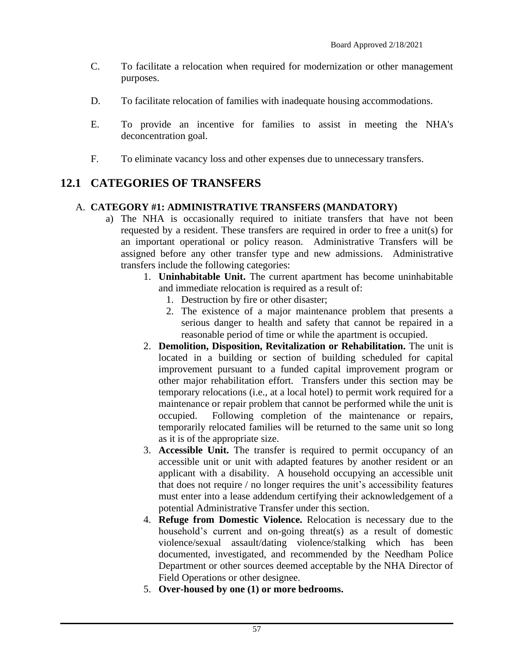- C. To facilitate a relocation when required for modernization or other management purposes.
- D. To facilitate relocation of families with inadequate housing accommodations.
- E. To provide an incentive for families to assist in meeting the NHA's deconcentration goal.
- F. To eliminate vacancy loss and other expenses due to unnecessary transfers.

### **12.1 CATEGORIES OF TRANSFERS**

#### A. **CATEGORY #1: ADMINISTRATIVE TRANSFERS (MANDATORY)**

- a) The NHA is occasionally required to initiate transfers that have not been requested by a resident. These transfers are required in order to free a unit(s) for an important operational or policy reason. Administrative Transfers will be assigned before any other transfer type and new admissions. Administrative transfers include the following categories:
	- 1. **Uninhabitable Unit.** The current apartment has become uninhabitable and immediate relocation is required as a result of:
		- 1. Destruction by fire or other disaster;
		- 2. The existence of a major maintenance problem that presents a serious danger to health and safety that cannot be repaired in a reasonable period of time or while the apartment is occupied.
	- 2. **Demolition, Disposition, Revitalization or Rehabilitation.** The unit is located in a building or section of building scheduled for capital improvement pursuant to a funded capital improvement program or other major rehabilitation effort. Transfers under this section may be temporary relocations (i.e., at a local hotel) to permit work required for a maintenance or repair problem that cannot be performed while the unit is occupied. Following completion of the maintenance or repairs, temporarily relocated families will be returned to the same unit so long as it is of the appropriate size.
	- 3. **Accessible Unit.** The transfer is required to permit occupancy of an accessible unit or unit with adapted features by another resident or an applicant with a disability. A household occupying an accessible unit that does not require / no longer requires the unit's accessibility features must enter into a lease addendum certifying their acknowledgement of a potential Administrative Transfer under this section.
	- 4. **Refuge from Domestic Violence.** Relocation is necessary due to the household's current and on-going threat(s) as a result of domestic violence/sexual assault/dating violence/stalking which has been documented, investigated, and recommended by the Needham Police Department or other sources deemed acceptable by the NHA Director of Field Operations or other designee.
	- 5. **Over-housed by one (1) or more bedrooms.**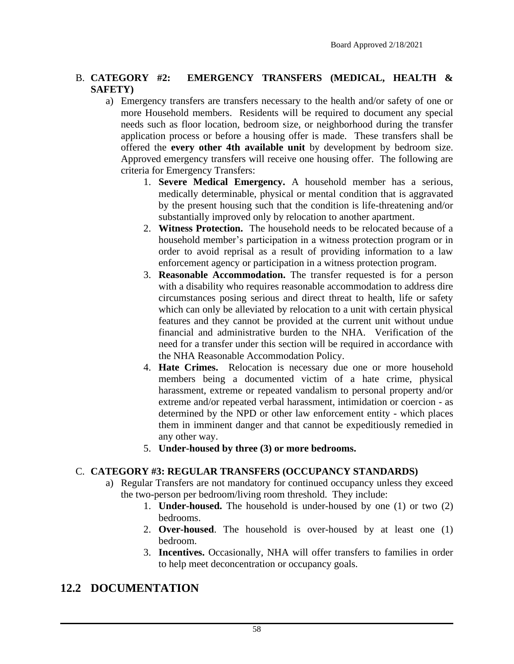#### B. **CATEGORY #2: EMERGENCY TRANSFERS (MEDICAL, HEALTH & SAFETY)**

- a) Emergency transfers are transfers necessary to the health and/or safety of one or more Household members. Residents will be required to document any special needs such as floor location, bedroom size, or neighborhood during the transfer application process or before a housing offer is made. These transfers shall be offered the **every other 4th available unit** by development by bedroom size. Approved emergency transfers will receive one housing offer. The following are criteria for Emergency Transfers:
	- 1. **Severe Medical Emergency.** A household member has a serious, medically determinable, physical or mental condition that is aggravated by the present housing such that the condition is life-threatening and/or substantially improved only by relocation to another apartment.
	- 2. **Witness Protection.** The household needs to be relocated because of a household member's participation in a witness protection program or in order to avoid reprisal as a result of providing information to a law enforcement agency or participation in a witness protection program.
	- 3. **Reasonable Accommodation.** The transfer requested is for a person with a disability who requires reasonable accommodation to address dire circumstances posing serious and direct threat to health, life or safety which can only be alleviated by relocation to a unit with certain physical features and they cannot be provided at the current unit without undue financial and administrative burden to the NHA. Verification of the need for a transfer under this section will be required in accordance with the NHA Reasonable Accommodation Policy.
	- 4. **Hate Crimes.** Relocation is necessary due one or more household members being a documented victim of a hate crime, physical harassment, extreme or repeated vandalism to personal property and/or extreme and/or repeated verbal harassment, intimidation or coercion - as determined by the NPD or other law enforcement entity - which places them in imminent danger and that cannot be expeditiously remedied in any other way.
	- 5. **Under-housed by three (3) or more bedrooms.**

#### C. **CATEGORY #3: REGULAR TRANSFERS (OCCUPANCY STANDARDS)**

- a) Regular Transfers are not mandatory for continued occupancy unless they exceed the two-person per bedroom/living room threshold. They include:
	- 1. **Under-housed.** The household is under-housed by one (1) or two (2) bedrooms.
	- 2. **Over-housed**. The household is over-housed by at least one (1) bedroom.
	- 3. **Incentives.** Occasionally, NHA will offer transfers to families in order to help meet deconcentration or occupancy goals.

### **12.2 DOCUMENTATION**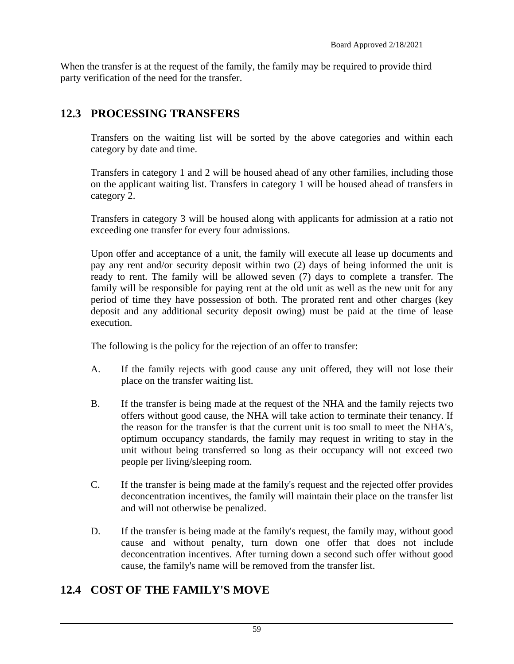When the transfer is at the request of the family, the family may be required to provide third party verification of the need for the transfer.

# **12.3 PROCESSING TRANSFERS**

Transfers on the waiting list will be sorted by the above categories and within each category by date and time.

Transfers in category 1 and 2 will be housed ahead of any other families, including those on the applicant waiting list. Transfers in category 1 will be housed ahead of transfers in category 2.

Transfers in category 3 will be housed along with applicants for admission at a ratio not exceeding one transfer for every four admissions.

Upon offer and acceptance of a unit, the family will execute all lease up documents and pay any rent and/or security deposit within two (2) days of being informed the unit is ready to rent. The family will be allowed seven (7) days to complete a transfer. The family will be responsible for paying rent at the old unit as well as the new unit for any period of time they have possession of both. The prorated rent and other charges (key deposit and any additional security deposit owing) must be paid at the time of lease execution.

The following is the policy for the rejection of an offer to transfer:

- A. If the family rejects with good cause any unit offered, they will not lose their place on the transfer waiting list.
- B. If the transfer is being made at the request of the NHA and the family rejects two offers without good cause, the NHA will take action to terminate their tenancy. If the reason for the transfer is that the current unit is too small to meet the NHA's, optimum occupancy standards, the family may request in writing to stay in the unit without being transferred so long as their occupancy will not exceed two people per living/sleeping room.
- C. If the transfer is being made at the family's request and the rejected offer provides deconcentration incentives, the family will maintain their place on the transfer list and will not otherwise be penalized.
- D. If the transfer is being made at the family's request, the family may, without good cause and without penalty, turn down one offer that does not include deconcentration incentives. After turning down a second such offer without good cause, the family's name will be removed from the transfer list.

# **12.4 COST OF THE FAMILY'S MOVE**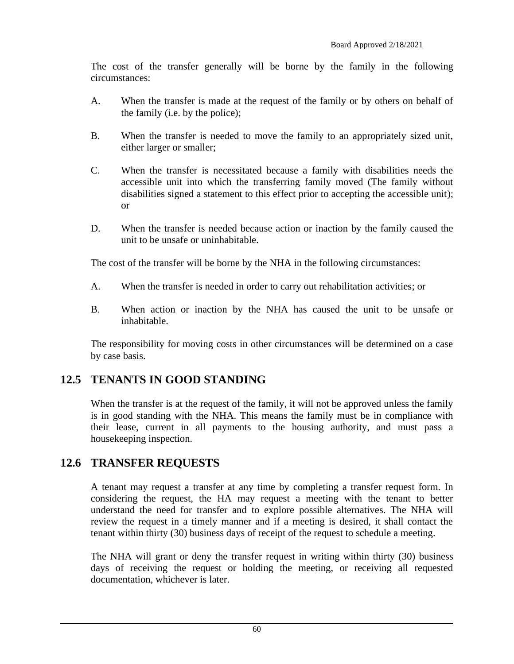The cost of the transfer generally will be borne by the family in the following circumstances:

- A. When the transfer is made at the request of the family or by others on behalf of the family (i.e. by the police);
- B. When the transfer is needed to move the family to an appropriately sized unit, either larger or smaller;
- C. When the transfer is necessitated because a family with disabilities needs the accessible unit into which the transferring family moved (The family without disabilities signed a statement to this effect prior to accepting the accessible unit); or
- D. When the transfer is needed because action or inaction by the family caused the unit to be unsafe or uninhabitable.

The cost of the transfer will be borne by the NHA in the following circumstances:

- A. When the transfer is needed in order to carry out rehabilitation activities; or
- B. When action or inaction by the NHA has caused the unit to be unsafe or inhabitable.

The responsibility for moving costs in other circumstances will be determined on a case by case basis.

### **12.5 TENANTS IN GOOD STANDING**

When the transfer is at the request of the family, it will not be approved unless the family is in good standing with the NHA. This means the family must be in compliance with their lease, current in all payments to the housing authority, and must pass a housekeeping inspection.

### **12.6 TRANSFER REQUESTS**

A tenant may request a transfer at any time by completing a transfer request form. In considering the request, the HA may request a meeting with the tenant to better understand the need for transfer and to explore possible alternatives. The NHA will review the request in a timely manner and if a meeting is desired, it shall contact the tenant within thirty (30) business days of receipt of the request to schedule a meeting.

The NHA will grant or deny the transfer request in writing within thirty (30) business days of receiving the request or holding the meeting, or receiving all requested documentation, whichever is later.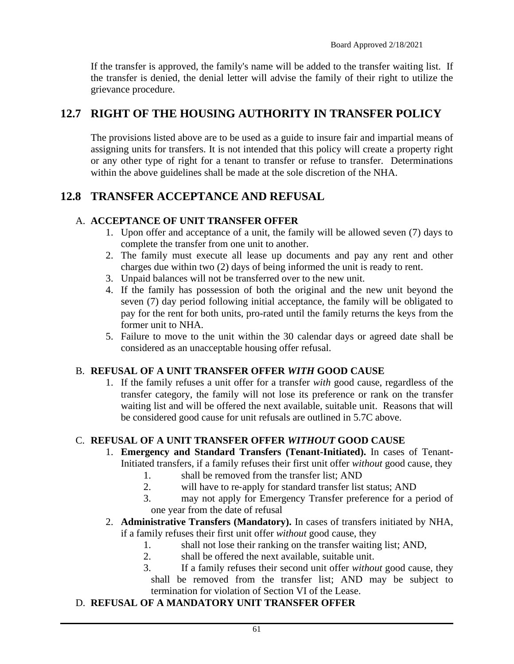If the transfer is approved, the family's name will be added to the transfer waiting list. If the transfer is denied, the denial letter will advise the family of their right to utilize the grievance procedure.

## **12.7 RIGHT OF THE HOUSING AUTHORITY IN TRANSFER POLICY**

The provisions listed above are to be used as a guide to insure fair and impartial means of assigning units for transfers. It is not intended that this policy will create a property right or any other type of right for a tenant to transfer or refuse to transfer. Determinations within the above guidelines shall be made at the sole discretion of the NHA.

### **12.8 TRANSFER ACCEPTANCE AND REFUSAL**

#### A. **ACCEPTANCE OF UNIT TRANSFER OFFER**

- 1. Upon offer and acceptance of a unit, the family will be allowed seven (7) days to complete the transfer from one unit to another.
- 2. The family must execute all lease up documents and pay any rent and other charges due within two (2) days of being informed the unit is ready to rent.
- 3. Unpaid balances will not be transferred over to the new unit.
- 4. If the family has possession of both the original and the new unit beyond the seven (7) day period following initial acceptance, the family will be obligated to pay for the rent for both units, pro-rated until the family returns the keys from the former unit to NHA.
- 5. Failure to move to the unit within the 30 calendar days or agreed date shall be considered as an unacceptable housing offer refusal.

#### B. **REFUSAL OF A UNIT TRANSFER OFFER** *WITH* **GOOD CAUSE**

1. If the family refuses a unit offer for a transfer *with* good cause, regardless of the transfer category, the family will not lose its preference or rank on the transfer waiting list and will be offered the next available, suitable unit. Reasons that will be considered good cause for unit refusals are outlined in 5.7C above.

#### C. **REFUSAL OF A UNIT TRANSFER OFFER** *WITHOUT* **GOOD CAUSE**

- 1. **Emergency and Standard Transfers (Tenant-Initiated).** In cases of Tenant-Initiated transfers, if a family refuses their first unit offer *without* good cause, they
	- 1. shall be removed from the transfer list; AND
	- 2. will have to re-apply for standard transfer list status; AND
	- 3. may not apply for Emergency Transfer preference for a period of one year from the date of refusal
- 2. **Administrative Transfers (Mandatory).** In cases of transfers initiated by NHA, if a family refuses their first unit offer *without* good cause, they
	- 1. shall not lose their ranking on the transfer waiting list; AND,
	- 2. shall be offered the next available, suitable unit.
	- 3. If a family refuses their second unit offer *without* good cause, they shall be removed from the transfer list; AND may be subject to termination for violation of Section VI of the Lease.

#### D. **REFUSAL OF A MANDATORY UNIT TRANSFER OFFER**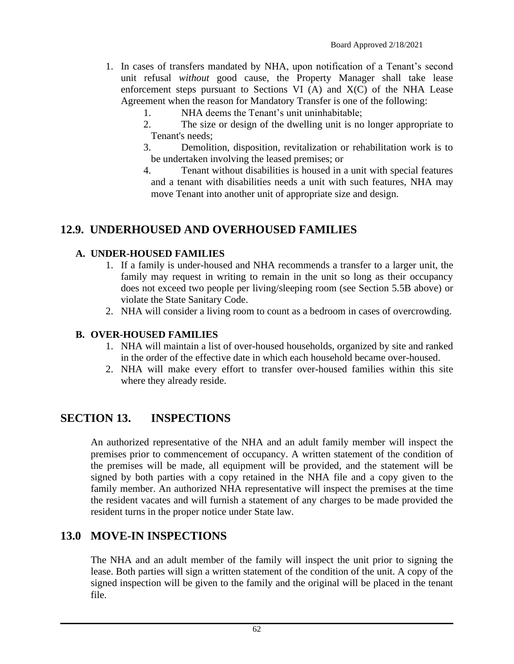- 1. In cases of transfers mandated by NHA, upon notification of a Tenant's second unit refusal *without* good cause, the Property Manager shall take lease enforcement steps pursuant to Sections VI  $(A)$  and  $X(C)$  of the NHA Lease Agreement when the reason for Mandatory Transfer is one of the following:
	- 1. NHA deems the Tenant's unit uninhabitable;
	- 2. The size or design of the dwelling unit is no longer appropriate to Tenant's needs;
	- 3. Demolition, disposition, revitalization or rehabilitation work is to be undertaken involving the leased premises; or
	- 4. Tenant without disabilities is housed in a unit with special features and a tenant with disabilities needs a unit with such features, NHA may move Tenant into another unit of appropriate size and design.

## **12.9. UNDERHOUSED AND OVERHOUSED FAMILIES**

#### **A. UNDER-HOUSED FAMILIES**

- 1. If a family is under-housed and NHA recommends a transfer to a larger unit, the family may request in writing to remain in the unit so long as their occupancy does not exceed two people per living/sleeping room (see Section 5.5B above) or violate the State Sanitary Code.
- 2. NHA will consider a living room to count as a bedroom in cases of overcrowding.

#### **B. OVER-HOUSED FAMILIES**

- 1. NHA will maintain a list of over-housed households, organized by site and ranked in the order of the effective date in which each household became over-housed.
- 2. NHA will make every effort to transfer over-housed families within this site where they already reside.

### **SECTION 13. INSPECTIONS**

An authorized representative of the NHA and an adult family member will inspect the premises prior to commencement of occupancy. A written statement of the condition of the premises will be made, all equipment will be provided, and the statement will be signed by both parties with a copy retained in the NHA file and a copy given to the family member. An authorized NHA representative will inspect the premises at the time the resident vacates and will furnish a statement of any charges to be made provided the resident turns in the proper notice under State law.

# **13.0 MOVE-IN INSPECTIONS**

The NHA and an adult member of the family will inspect the unit prior to signing the lease. Both parties will sign a written statement of the condition of the unit. A copy of the signed inspection will be given to the family and the original will be placed in the tenant file.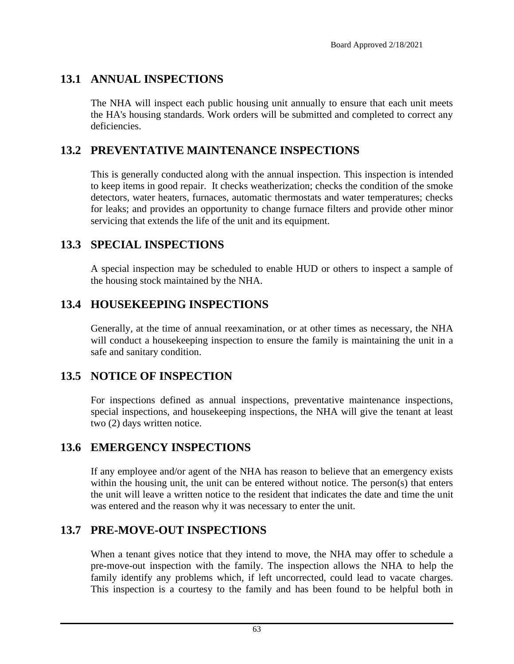# **13.1 ANNUAL INSPECTIONS**

The NHA will inspect each public housing unit annually to ensure that each unit meets the HA's housing standards. Work orders will be submitted and completed to correct any deficiencies.

## **13.2 PREVENTATIVE MAINTENANCE INSPECTIONS**

This is generally conducted along with the annual inspection. This inspection is intended to keep items in good repair. It checks weatherization; checks the condition of the smoke detectors, water heaters, furnaces, automatic thermostats and water temperatures; checks for leaks; and provides an opportunity to change furnace filters and provide other minor servicing that extends the life of the unit and its equipment.

## **13.3 SPECIAL INSPECTIONS**

A special inspection may be scheduled to enable HUD or others to inspect a sample of the housing stock maintained by the NHA.

## **13.4 HOUSEKEEPING INSPECTIONS**

Generally, at the time of annual reexamination, or at other times as necessary, the NHA will conduct a housekeeping inspection to ensure the family is maintaining the unit in a safe and sanitary condition.

### **13.5 NOTICE OF INSPECTION**

For inspections defined as annual inspections, preventative maintenance inspections, special inspections, and housekeeping inspections, the NHA will give the tenant at least two (2) days written notice.

### **13.6 EMERGENCY INSPECTIONS**

If any employee and/or agent of the NHA has reason to believe that an emergency exists within the housing unit, the unit can be entered without notice. The person(s) that enters the unit will leave a written notice to the resident that indicates the date and time the unit was entered and the reason why it was necessary to enter the unit.

### **13.7 PRE-MOVE-OUT INSPECTIONS**

When a tenant gives notice that they intend to move, the NHA may offer to schedule a pre-move-out inspection with the family. The inspection allows the NHA to help the family identify any problems which, if left uncorrected, could lead to vacate charges. This inspection is a courtesy to the family and has been found to be helpful both in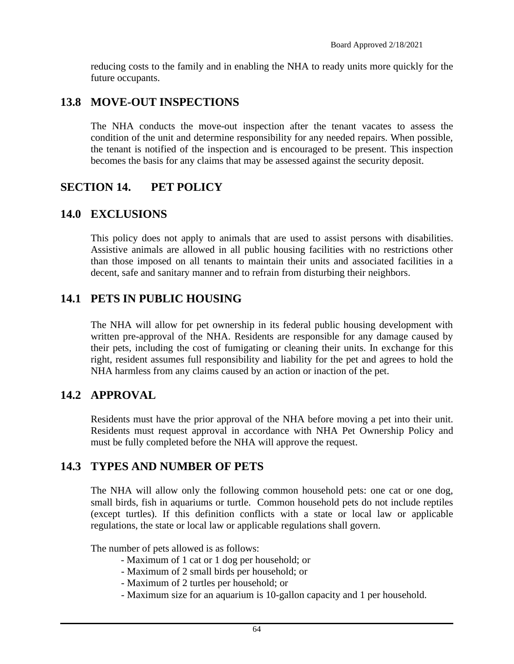reducing costs to the family and in enabling the NHA to ready units more quickly for the future occupants.

#### **13.8 MOVE-OUT INSPECTIONS**

The NHA conducts the move-out inspection after the tenant vacates to assess the condition of the unit and determine responsibility for any needed repairs. When possible, the tenant is notified of the inspection and is encouraged to be present. This inspection becomes the basis for any claims that may be assessed against the security deposit.

#### **SECTION 14. PET POLICY**

#### **14.0 EXCLUSIONS**

This policy does not apply to animals that are used to assist persons with disabilities. Assistive animals are allowed in all public housing facilities with no restrictions other than those imposed on all tenants to maintain their units and associated facilities in a decent, safe and sanitary manner and to refrain from disturbing their neighbors.

### **14.1 PETS IN PUBLIC HOUSING**

The NHA will allow for pet ownership in its federal public housing development with written pre-approval of the NHA. Residents are responsible for any damage caused by their pets, including the cost of fumigating or cleaning their units. In exchange for this right, resident assumes full responsibility and liability for the pet and agrees to hold the NHA harmless from any claims caused by an action or inaction of the pet.

### **14.2 APPROVAL**

Residents must have the prior approval of the NHA before moving a pet into their unit. Residents must request approval in accordance with NHA Pet Ownership Policy and must be fully completed before the NHA will approve the request.

### **14.3 TYPES AND NUMBER OF PETS**

The NHA will allow only the following common household pets: one cat or one dog, small birds, fish in aquariums or turtle. Common household pets do not include reptiles (except turtles). If this definition conflicts with a state or local law or applicable regulations, the state or local law or applicable regulations shall govern.

The number of pets allowed is as follows:

- Maximum of 1 cat or 1 dog per household; or
- Maximum of 2 small birds per household; or
- Maximum of 2 turtles per household; or
- Maximum size for an aquarium is 10-gallon capacity and 1 per household.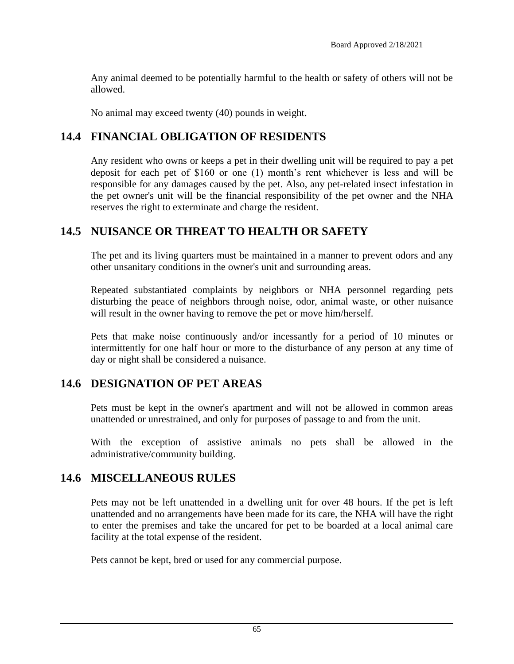Any animal deemed to be potentially harmful to the health or safety of others will not be allowed.

No animal may exceed twenty (40) pounds in weight.

#### **14.4 FINANCIAL OBLIGATION OF RESIDENTS**

Any resident who owns or keeps a pet in their dwelling unit will be required to pay a pet deposit for each pet of \$160 or one (1) month's rent whichever is less and will be responsible for any damages caused by the pet. Also, any pet-related insect infestation in the pet owner's unit will be the financial responsibility of the pet owner and the NHA reserves the right to exterminate and charge the resident.

#### **14.5 NUISANCE OR THREAT TO HEALTH OR SAFETY**

The pet and its living quarters must be maintained in a manner to prevent odors and any other unsanitary conditions in the owner's unit and surrounding areas.

Repeated substantiated complaints by neighbors or NHA personnel regarding pets disturbing the peace of neighbors through noise, odor, animal waste, or other nuisance will result in the owner having to remove the pet or move him/herself.

Pets that make noise continuously and/or incessantly for a period of 10 minutes or intermittently for one half hour or more to the disturbance of any person at any time of day or night shall be considered a nuisance.

#### **14.6 DESIGNATION OF PET AREAS**

Pets must be kept in the owner's apartment and will not be allowed in common areas unattended or unrestrained, and only for purposes of passage to and from the unit.

With the exception of assistive animals no pets shall be allowed in the administrative/community building.

#### **14.6 MISCELLANEOUS RULES**

Pets may not be left unattended in a dwelling unit for over 48 hours. If the pet is left unattended and no arrangements have been made for its care, the NHA will have the right to enter the premises and take the uncared for pet to be boarded at a local animal care facility at the total expense of the resident.

Pets cannot be kept, bred or used for any commercial purpose.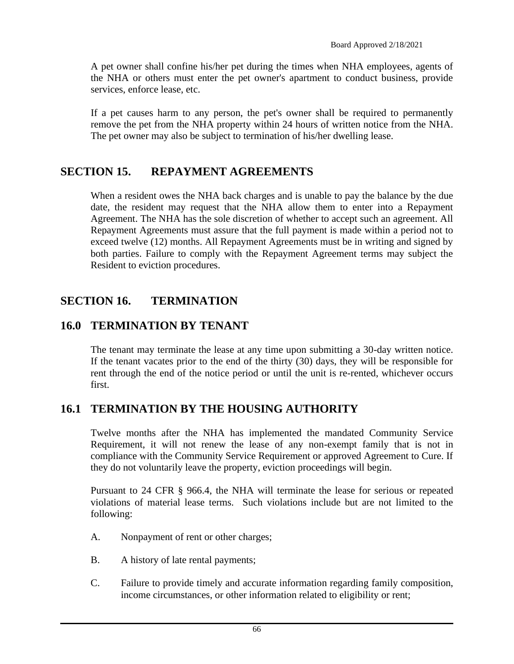A pet owner shall confine his/her pet during the times when NHA employees, agents of the NHA or others must enter the pet owner's apartment to conduct business, provide services, enforce lease, etc.

If a pet causes harm to any person, the pet's owner shall be required to permanently remove the pet from the NHA property within 24 hours of written notice from the NHA. The pet owner may also be subject to termination of his/her dwelling lease.

### **SECTION 15. REPAYMENT AGREEMENTS**

When a resident owes the NHA back charges and is unable to pay the balance by the due date, the resident may request that the NHA allow them to enter into a Repayment Agreement. The NHA has the sole discretion of whether to accept such an agreement. All Repayment Agreements must assure that the full payment is made within a period not to exceed twelve (12) months. All Repayment Agreements must be in writing and signed by both parties. Failure to comply with the Repayment Agreement terms may subject the Resident to eviction procedures.

# **SECTION 16. TERMINATION**

### **16.0 TERMINATION BY TENANT**

The tenant may terminate the lease at any time upon submitting a 30-day written notice. If the tenant vacates prior to the end of the thirty (30) days, they will be responsible for rent through the end of the notice period or until the unit is re-rented, whichever occurs first.

### **16.1 TERMINATION BY THE HOUSING AUTHORITY**

Twelve months after the NHA has implemented the mandated Community Service Requirement, it will not renew the lease of any non-exempt family that is not in compliance with the Community Service Requirement or approved Agreement to Cure. If they do not voluntarily leave the property, eviction proceedings will begin.

Pursuant to 24 CFR § 966.4, the NHA will terminate the lease for serious or repeated violations of material lease terms. Such violations include but are not limited to the following:

- A. Nonpayment of rent or other charges;
- B. A history of late rental payments;
- C. Failure to provide timely and accurate information regarding family composition, income circumstances, or other information related to eligibility or rent;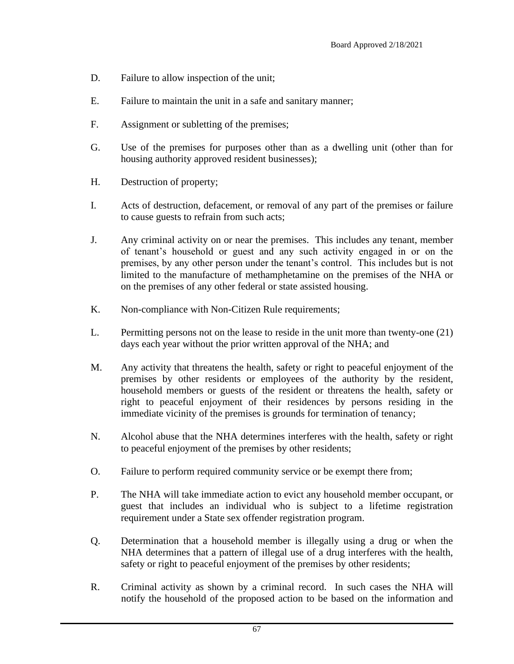- D. Failure to allow inspection of the unit;
- E. Failure to maintain the unit in a safe and sanitary manner;
- F. Assignment or subletting of the premises;
- G. Use of the premises for purposes other than as a dwelling unit (other than for housing authority approved resident businesses);
- H. Destruction of property;
- I. Acts of destruction, defacement, or removal of any part of the premises or failure to cause guests to refrain from such acts;
- J. Any criminal activity on or near the premises. This includes any tenant, member of tenant's household or guest and any such activity engaged in or on the premises, by any other person under the tenant's control. This includes but is not limited to the manufacture of methamphetamine on the premises of the NHA or on the premises of any other federal or state assisted housing.
- K. Non-compliance with Non-Citizen Rule requirements;
- L. Permitting persons not on the lease to reside in the unit more than twenty-one (21) days each year without the prior written approval of the NHA; and
- M. Any activity that threatens the health, safety or right to peaceful enjoyment of the premises by other residents or employees of the authority by the resident, household members or guests of the resident or threatens the health, safety or right to peaceful enjoyment of their residences by persons residing in the immediate vicinity of the premises is grounds for termination of tenancy;
- N. Alcohol abuse that the NHA determines interferes with the health, safety or right to peaceful enjoyment of the premises by other residents;
- O. Failure to perform required community service or be exempt there from;
- P. The NHA will take immediate action to evict any household member occupant, or guest that includes an individual who is subject to a lifetime registration requirement under a State sex offender registration program.
- Q. Determination that a household member is illegally using a drug or when the NHA determines that a pattern of illegal use of a drug interferes with the health, safety or right to peaceful enjoyment of the premises by other residents;
- R. Criminal activity as shown by a criminal record. In such cases the NHA will notify the household of the proposed action to be based on the information and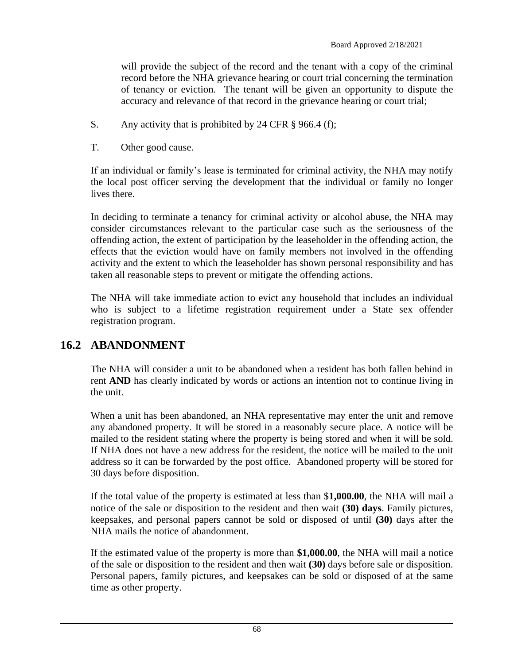will provide the subject of the record and the tenant with a copy of the criminal record before the NHA grievance hearing or court trial concerning the termination of tenancy or eviction. The tenant will be given an opportunity to dispute the accuracy and relevance of that record in the grievance hearing or court trial;

- S. Any activity that is prohibited by 24 CFR § 966.4 (f);
- T. Other good cause.

If an individual or family's lease is terminated for criminal activity, the NHA may notify the local post officer serving the development that the individual or family no longer lives there.

In deciding to terminate a tenancy for criminal activity or alcohol abuse, the NHA may consider circumstances relevant to the particular case such as the seriousness of the offending action, the extent of participation by the leaseholder in the offending action, the effects that the eviction would have on family members not involved in the offending activity and the extent to which the leaseholder has shown personal responsibility and has taken all reasonable steps to prevent or mitigate the offending actions.

The NHA will take immediate action to evict any household that includes an individual who is subject to a lifetime registration requirement under a State sex offender registration program.

### **16.2 ABANDONMENT**

The NHA will consider a unit to be abandoned when a resident has both fallen behind in rent **AND** has clearly indicated by words or actions an intention not to continue living in the unit.

When a unit has been abandoned, an NHA representative may enter the unit and remove any abandoned property. It will be stored in a reasonably secure place. A notice will be mailed to the resident stating where the property is being stored and when it will be sold. If NHA does not have a new address for the resident, the notice will be mailed to the unit address so it can be forwarded by the post office. Abandoned property will be stored for 30 days before disposition.

If the total value of the property is estimated at less than \$**1,000.00**, the NHA will mail a notice of the sale or disposition to the resident and then wait **(30) days**. Family pictures, keepsakes, and personal papers cannot be sold or disposed of until **(30)** days after the NHA mails the notice of abandonment.

If the estimated value of the property is more than **\$1,000.00**, the NHA will mail a notice of the sale or disposition to the resident and then wait **(30)** days before sale or disposition. Personal papers, family pictures, and keepsakes can be sold or disposed of at the same time as other property.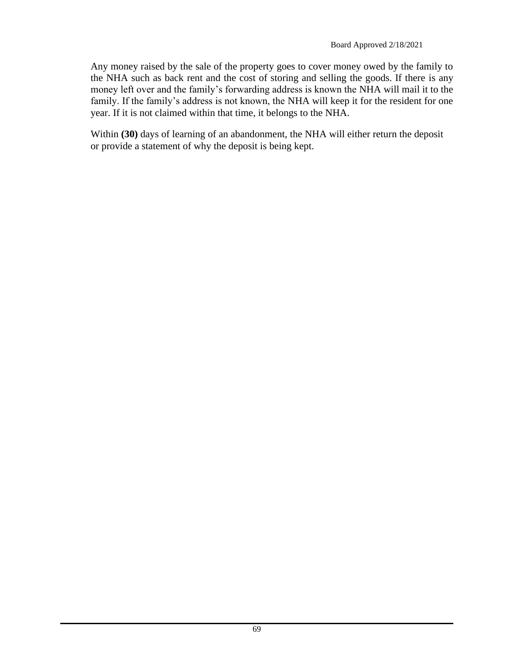Any money raised by the sale of the property goes to cover money owed by the family to the NHA such as back rent and the cost of storing and selling the goods. If there is any money left over and the family's forwarding address is known the NHA will mail it to the family. If the family's address is not known, the NHA will keep it for the resident for one year. If it is not claimed within that time, it belongs to the NHA.

Within **(30)** days of learning of an abandonment, the NHA will either return the deposit or provide a statement of why the deposit is being kept.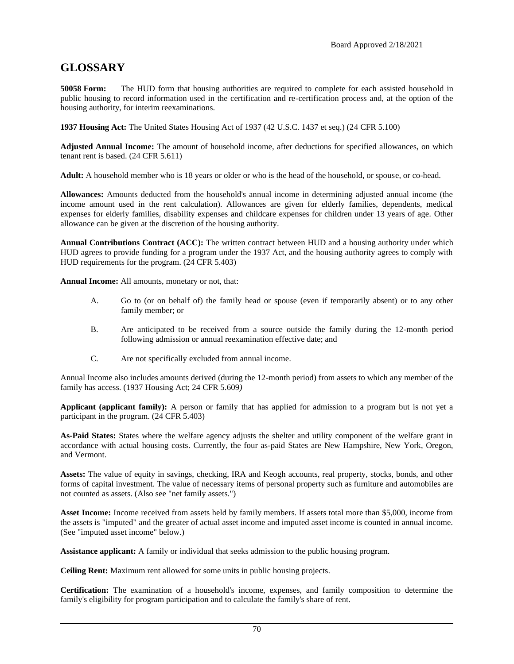#### **GLOSSARY**

**50058 Form:** The HUD form that housing authorities are required to complete for each assisted household in public housing to record information used in the certification and re-certification process and, at the option of the housing authority, for interim reexaminations.

**1937 Housing Act:** The United States Housing Act of 1937 (42 U.S.C. 1437 et seq.) (24 CFR 5.100)

**Adjusted Annual Income:** The amount of household income, after deductions for specified allowances, on which tenant rent is based. (24 CFR 5.611)

**Adult:** A household member who is 18 years or older or who is the head of the household, or spouse, or co-head.

**Allowances:** Amounts deducted from the household's annual income in determining adjusted annual income (the income amount used in the rent calculation). Allowances are given for elderly families, dependents, medical expenses for elderly families, disability expenses and childcare expenses for children under 13 years of age. Other allowance can be given at the discretion of the housing authority.

**Annual Contributions Contract (ACC):** The written contract between HUD and a housing authority under which HUD agrees to provide funding for a program under the 1937 Act, and the housing authority agrees to comply with HUD requirements for the program. (24 CFR 5.403)

**Annual Income:** All amounts, monetary or not, that:

- A. Go to (or on behalf of) the family head or spouse (even if temporarily absent) or to any other family member; or
- B. Are anticipated to be received from a source outside the family during the 12-month period following admission or annual reexamination effective date; and
- C. Are not specifically excluded from annual income.

Annual Income also includes amounts derived (during the 12-month period) from assets to which any member of the family has access. (1937 Housing Act; 24 CFR 5.609*)*

**Applicant (applicant family):** A person or family that has applied for admission to a program but is not yet a participant in the program. (24 CFR 5.403)

**As-Paid States:** States where the welfare agency adjusts the shelter and utility component of the welfare grant in accordance with actual housing costs. Currently, the four as-paid States are New Hampshire, New York, Oregon, and Vermont.

**Assets:** The value of equity in savings, checking, IRA and Keogh accounts, real property, stocks, bonds, and other forms of capital investment. The value of necessary items of personal property such as furniture and automobiles are not counted as assets. (Also see "net family assets.")

**Asset Income:** Income received from assets held by family members. If assets total more than \$5,000, income from the assets is "imputed" and the greater of actual asset income and imputed asset income is counted in annual income. (See "imputed asset income" below.)

**Assistance applicant:** A family or individual that seeks admission to the public housing program.

**Ceiling Rent:** Maximum rent allowed for some units in public housing projects.

**Certification:** The examination of a household's income, expenses, and family composition to determine the family's eligibility for program participation and to calculate the family's share of rent.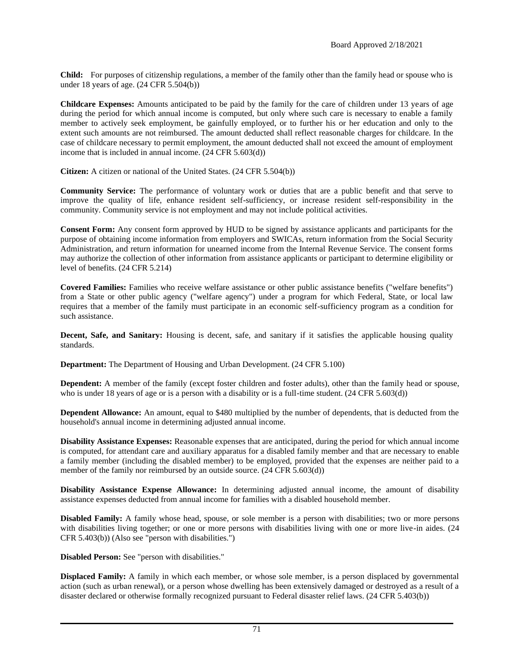**Child:** For purposes of citizenship regulations, a member of the family other than the family head or spouse who is under 18 years of age. (24 CFR 5.504(b))

**Childcare Expenses:** Amounts anticipated to be paid by the family for the care of children under 13 years of age during the period for which annual income is computed, but only where such care is necessary to enable a family member to actively seek employment, be gainfully employed, or to further his or her education and only to the extent such amounts are not reimbursed. The amount deducted shall reflect reasonable charges for childcare. In the case of childcare necessary to permit employment, the amount deducted shall not exceed the amount of employment income that is included in annual income. (24 CFR 5.603(d))

**Citizen:** A citizen or national of the United States. (24 CFR 5.504(b))

**Community Service:** The performance of voluntary work or duties that are a public benefit and that serve to improve the quality of life, enhance resident self-sufficiency, or increase resident self-responsibility in the community. Community service is not employment and may not include political activities.

**Consent Form:** Any consent form approved by HUD to be signed by assistance applicants and participants for the purpose of obtaining income information from employers and SWICAs, return information from the Social Security Administration, and return information for unearned income from the Internal Revenue Service. The consent forms may authorize the collection of other information from assistance applicants or participant to determine eligibility or level of benefits. (24 CFR 5.214)

**Covered Families:** Families who receive welfare assistance or other public assistance benefits ("welfare benefits") from a State or other public agency ("welfare agency") under a program for which Federal, State, or local law requires that a member of the family must participate in an economic self-sufficiency program as a condition for such assistance.

**Decent, Safe, and Sanitary:** Housing is decent, safe, and sanitary if it satisfies the applicable housing quality standards.

**Department:** The Department of Housing and Urban Development. (24 CFR 5.100)

**Dependent:** A member of the family (except foster children and foster adults), other than the family head or spouse, who is under 18 years of age or is a person with a disability or is a full-time student. (24 CFR 5.603(d))

**Dependent Allowance:** An amount, equal to \$480 multiplied by the number of dependents, that is deducted from the household's annual income in determining adjusted annual income.

**Disability Assistance Expenses:** Reasonable expenses that are anticipated, during the period for which annual income is computed, for attendant care and auxiliary apparatus for a disabled family member and that are necessary to enable a family member (including the disabled member) to be employed, provided that the expenses are neither paid to a member of the family nor reimbursed by an outside source.  $(24 \text{ CFR } 5.603(d))$ 

**Disability Assistance Expense Allowance:** In determining adjusted annual income, the amount of disability assistance expenses deducted from annual income for families with a disabled household member.

**Disabled Family:** A family whose head, spouse, or sole member is a person with disabilities; two or more persons with disabilities living together; or one or more persons with disabilities living with one or more live-in aides. (24 CFR 5.403(b)) (Also see "person with disabilities.")

**Disabled Person:** See "person with disabilities."

**Displaced Family:** A family in which each member, or whose sole member, is a person displaced by governmental action (such as urban renewal), or a person whose dwelling has been extensively damaged or destroyed as a result of a disaster declared or otherwise formally recognized pursuant to Federal disaster relief laws. (24 CFR 5.403(b))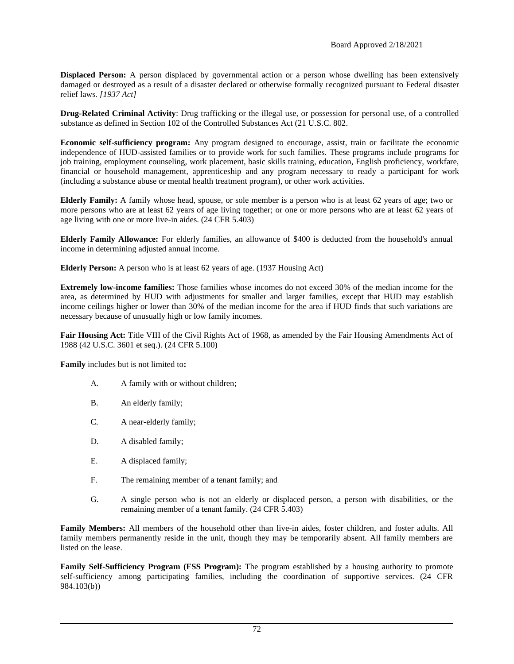**Displaced Person:** A person displaced by governmental action or a person whose dwelling has been extensively damaged or destroyed as a result of a disaster declared or otherwise formally recognized pursuant to Federal disaster relief laws*. [1937 Act]*

**Drug-Related Criminal Activity**: Drug trafficking or the illegal use, or possession for personal use, of a controlled substance as defined in Section 102 of the Controlled Substances Act (21 U.S.C. 802.

**Economic self-sufficiency program:** Any program designed to encourage, assist, train or facilitate the economic independence of HUD-assisted families or to provide work for such families. These programs include programs for job training, employment counseling, work placement, basic skills training, education, English proficiency, workfare, financial or household management, apprenticeship and any program necessary to ready a participant for work (including a substance abuse or mental health treatment program), or other work activities.

**Elderly Family:** A family whose head, spouse, or sole member is a person who is at least 62 years of age; two or more persons who are at least 62 years of age living together; or one or more persons who are at least 62 years of age living with one or more live-in aides. (24 CFR 5.403)

**Elderly Family Allowance:** For elderly families, an allowance of \$400 is deducted from the household's annual income in determining adjusted annual income.

**Elderly Person:** A person who is at least 62 years of age. (1937 Housing Act)

**Extremely low-income families:** Those families whose incomes do not exceed 30% of the median income for the area, as determined by HUD with adjustments for smaller and larger families, except that HUD may establish income ceilings higher or lower than 30% of the median income for the area if HUD finds that such variations are necessary because of unusually high or low family incomes.

**Fair Housing Act:** Title VIII of the Civil Rights Act of 1968, as amended by the Fair Housing Amendments Act of 1988 (42 U.S.C. 3601 et seq.)*.* (24 CFR 5.100)

**Family** includes but is not limited to**:**

- A. A family with or without children;
- B. An elderly family;
- C. A near-elderly family;
- D. A disabled family;
- E. A displaced family;
- F. The remaining member of a tenant family; and
- G. A single person who is not an elderly or displaced person, a person with disabilities, or the remaining member of a tenant family. (24 CFR 5.403)

**Family Members:** All members of the household other than live-in aides, foster children, and foster adults. All family members permanently reside in the unit, though they may be temporarily absent. All family members are listed on the lease.

**Family Self-Sufficiency Program (FSS Program):** The program established by a housing authority to promote self-sufficiency among participating families, including the coordination of supportive services. (24 CFR 984.103(b))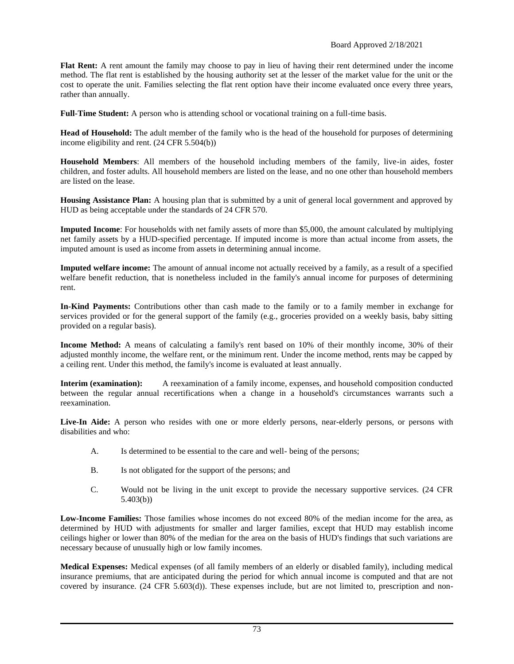**Flat Rent:** A rent amount the family may choose to pay in lieu of having their rent determined under the income method. The flat rent is established by the housing authority set at the lesser of the market value for the unit or the cost to operate the unit. Families selecting the flat rent option have their income evaluated once every three years, rather than annually.

**Full-Time Student:** A person who is attending school or vocational training on a full-time basis.

**Head of Household:** The adult member of the family who is the head of the household for purposes of determining income eligibility and rent. (24 CFR 5.504(b))

**Household Members**: All members of the household including members of the family, live-in aides, foster children, and foster adults. All household members are listed on the lease, and no one other than household members are listed on the lease.

**Housing Assistance Plan:** A housing plan that is submitted by a unit of general local government and approved by HUD as being acceptable under the standards of 24 CFR 570.

**Imputed Income**: For households with net family assets of more than \$5,000, the amount calculated by multiplying net family assets by a HUD-specified percentage. If imputed income is more than actual income from assets, the imputed amount is used as income from assets in determining annual income.

**Imputed welfare income:** The amount of annual income not actually received by a family, as a result of a specified welfare benefit reduction, that is nonetheless included in the family's annual income for purposes of determining rent.

**In-Kind Payments:** Contributions other than cash made to the family or to a family member in exchange for services provided or for the general support of the family (e.g., groceries provided on a weekly basis, baby sitting provided on a regular basis).

**Income Method:** A means of calculating a family's rent based on 10% of their monthly income, 30% of their adjusted monthly income, the welfare rent, or the minimum rent. Under the income method, rents may be capped by a ceiling rent. Under this method, the family's income is evaluated at least annually.

**Interim (examination):** A reexamination of a family income, expenses, and household composition conducted between the regular annual recertifications when a change in a household's circumstances warrants such a reexamination.

Live-In Aide: A person who resides with one or more elderly persons, near-elderly persons, or persons with disabilities and who:

- A. Is determined to be essential to the care and well- being of the persons;
- B. Is not obligated for the support of the persons; and
- C. Would not be living in the unit except to provide the necessary supportive services. (24 CFR 5.403(b))

**Low-Income Families:** Those families whose incomes do not exceed 80% of the median income for the area, as determined by HUD with adjustments for smaller and larger families, except that HUD may establish income ceilings higher or lower than 80% of the median for the area on the basis of HUD's findings that such variations are necessary because of unusually high or low family incomes.

**Medical Expenses:** Medical expenses (of all family members of an elderly or disabled family), including medical insurance premiums, that are anticipated during the period for which annual income is computed and that are not covered by insurance. (24 CFR 5.603(d)). These expenses include, but are not limited to, prescription and non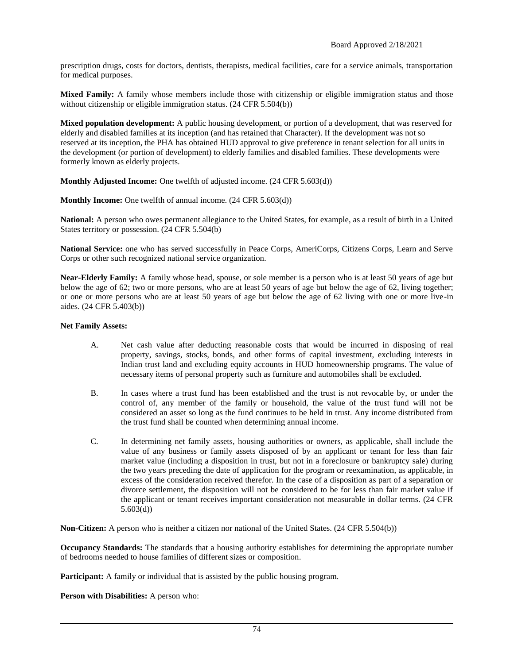prescription drugs, costs for doctors, dentists, therapists, medical facilities, care for a service animals, transportation for medical purposes.

**Mixed Family:** A family whose members include those with citizenship or eligible immigration status and those without citizenship or eligible immigration status. (24 CFR 5.504(b))

**Mixed population development:** A public housing development, or portion of a development, that was reserved for elderly and disabled families at its inception (and has retained that Character). If the development was not so reserved at its inception, the PHA has obtained HUD approval to give preference in tenant selection for all units in the development (or portion of development) to elderly families and disabled families. These developments were formerly known as elderly projects.

**Monthly Adjusted Income:** One twelfth of adjusted income. (24 CFR 5.603(d))

**Monthly Income:** One twelfth of annual income. (24 CFR 5.603(d))

**National:** A person who owes permanent allegiance to the United States, for example, as a result of birth in a United States territory or possession. (24 CFR 5.504(b)

**National Service:** one who has served successfully in Peace Corps, AmeriCorps, Citizens Corps, Learn and Serve Corps or other such recognized national service organization.

**Near-Elderly Family:** A family whose head, spouse, or sole member is a person who is at least 50 years of age but below the age of 62; two or more persons, who are at least 50 years of age but below the age of 62, living together; or one or more persons who are at least 50 years of age but below the age of 62 living with one or more live-in aides. (24 CFR 5.403(b))

## **Net Family Assets:**

- A. Net cash value after deducting reasonable costs that would be incurred in disposing of real property, savings, stocks, bonds, and other forms of capital investment, excluding interests in Indian trust land and excluding equity accounts in HUD homeownership programs. The value of necessary items of personal property such as furniture and automobiles shall be excluded.
- B. In cases where a trust fund has been established and the trust is not revocable by, or under the control of, any member of the family or household, the value of the trust fund will not be considered an asset so long as the fund continues to be held in trust. Any income distributed from the trust fund shall be counted when determining annual income.
- C. In determining net family assets, housing authorities or owners, as applicable, shall include the value of any business or family assets disposed of by an applicant or tenant for less than fair market value (including a disposition in trust, but not in a foreclosure or bankruptcy sale) during the two years preceding the date of application for the program or reexamination, as applicable, in excess of the consideration received therefor. In the case of a disposition as part of a separation or divorce settlement, the disposition will not be considered to be for less than fair market value if the applicant or tenant receives important consideration not measurable in dollar terms. (24 CFR 5.603(d))

**Non-Citizen:** A person who is neither a citizen nor national of the United States. (24 CFR 5.504(b))

**Occupancy Standards:** The standards that a housing authority establishes for determining the appropriate number of bedrooms needed to house families of different sizes or composition*.*

**Participant:** A family or individual that is assisted by the public housing program.

**Person with Disabilities:** A person who: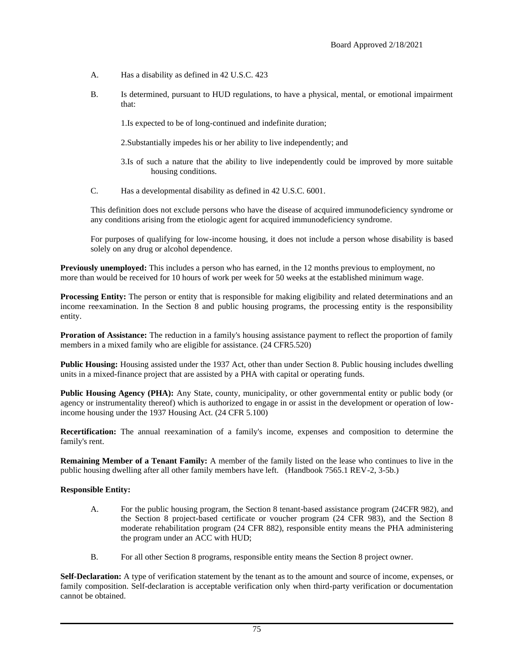- A. Has a disability as defined in 42 U.S.C. 423
- B. Is determined, pursuant to HUD regulations, to have a physical, mental, or emotional impairment that:
	- 1.Is expected to be of long-continued and indefinite duration;
	- 2.Substantially impedes his or her ability to live independently; and
	- 3.Is of such a nature that the ability to live independently could be improved by more suitable housing conditions.
- C. Has a developmental disability as defined in 42 U.S.C. 6001.

This definition does not exclude persons who have the disease of acquired immunodeficiency syndrome or any conditions arising from the etiologic agent for acquired immunodeficiency syndrome.

For purposes of qualifying for low-income housing, it does not include a person whose disability is based solely on any drug or alcohol dependence.

**Previously unemployed:** This includes a person who has earned, in the 12 months previous to employment, no more than would be received for 10 hours of work per week for 50 weeks at the established minimum wage.

**Processing Entity:** The person or entity that is responsible for making eligibility and related determinations and an income reexamination. In the Section 8 and public housing programs, the processing entity is the responsibility entity.

Proration of Assistance: The reduction in a family's housing assistance payment to reflect the proportion of family members in a mixed family who are eligible for assistance. (24 CFR5.520)

**Public Housing:** Housing assisted under the 1937 Act, other than under Section 8. Public housing includes dwelling units in a mixed-finance project that are assisted by a PHA with capital or operating funds.

**Public Housing Agency (PHA):** Any State, county, municipality, or other governmental entity or public body (or agency or instrumentality thereof) which is authorized to engage in or assist in the development or operation of lowincome housing under the 1937 Housing Act. (24 CFR 5.100)

**Recertification:** The annual reexamination of a family's income, expenses and composition to determine the family's rent.

**Remaining Member of a Tenant Family:** A member of the family listed on the lease who continues to live in the public housing dwelling after all other family members have left. (Handbook 7565.1 REV-2, 3-5b.)

## **Responsible Entity:**

- A. For the public housing program, the Section 8 tenant-based assistance program (24CFR 982), and the Section 8 project-based certificate or voucher program (24 CFR 983), and the Section 8 moderate rehabilitation program (24 CFR 882), responsible entity means the PHA administering the program under an ACC with HUD;
- B. For all other Section 8 programs, responsible entity means the Section 8 project owner.

**Self-Declaration:** A type of verification statement by the tenant as to the amount and source of income, expenses, or family composition. Self-declaration is acceptable verification only when third-party verification or documentation cannot be obtained.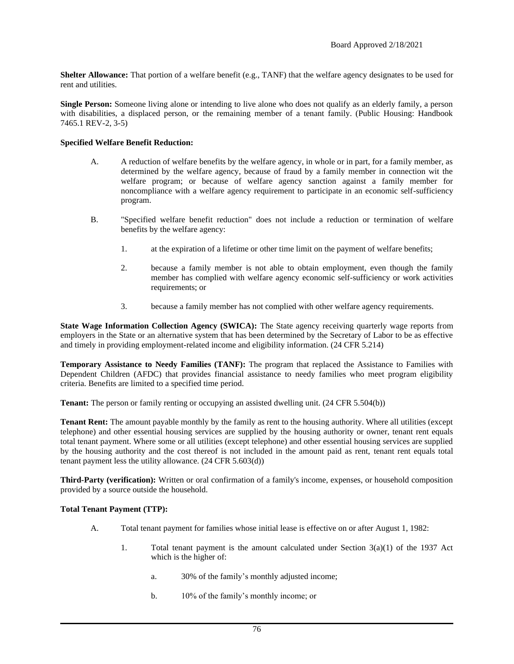**Shelter Allowance:** That portion of a welfare benefit (e.g., TANF) that the welfare agency designates to be used for rent and utilities.

**Single Person:** Someone living alone or intending to live alone who does not qualify as an elderly family, a person with disabilities, a displaced person, or the remaining member of a tenant family. (Public Housing: Handbook 7465.1 REV-2, 3-5)

## **Specified Welfare Benefit Reduction:**

- A. A reduction of welfare benefits by the welfare agency, in whole or in part, for a family member, as determined by the welfare agency, because of fraud by a family member in connection wit the welfare program; or because of welfare agency sanction against a family member for noncompliance with a welfare agency requirement to participate in an economic self-sufficiency program.
- B. "Specified welfare benefit reduction" does not include a reduction or termination of welfare benefits by the welfare agency:
	- 1. at the expiration of a lifetime or other time limit on the payment of welfare benefits;
	- 2. because a family member is not able to obtain employment, even though the family member has complied with welfare agency economic self-sufficiency or work activities requirements; or
	- 3. because a family member has not complied with other welfare agency requirements.

**State Wage Information Collection Agency (SWICA):** The State agency receiving quarterly wage reports from employers in the State or an alternative system that has been determined by the Secretary of Labor to be as effective and timely in providing employment-related income and eligibility information. (24 CFR 5.214)

**Temporary Assistance to Needy Families (TANF):** The program that replaced the Assistance to Families with Dependent Children (AFDC) that provides financial assistance to needy families who meet program eligibility criteria. Benefits are limited to a specified time period.

**Tenant:** The person or family renting or occupying an assisted dwelling unit. (24 CFR 5.504(b))

**Tenant Rent:** The amount payable monthly by the family as rent to the housing authority. Where all utilities (except telephone) and other essential housing services are supplied by the housing authority or owner, tenant rent equals total tenant payment. Where some or all utilities (except telephone) and other essential housing services are supplied by the housing authority and the cost thereof is not included in the amount paid as rent, tenant rent equals total tenant payment less the utility allowance. (24 CFR 5.603(d))

**Third-Party (verification):** Written or oral confirmation of a family's income, expenses, or household composition provided by a source outside the household.

## **Total Tenant Payment (TTP):**

- A. Total tenant payment for families whose initial lease is effective on or after August 1, 1982:
	- 1. Total tenant payment is the amount calculated under Section  $3(a)(1)$  of the 1937 Act which is the higher of:
		- a. 30% of the family's monthly adjusted income;
		- b. 10% of the family's monthly income; or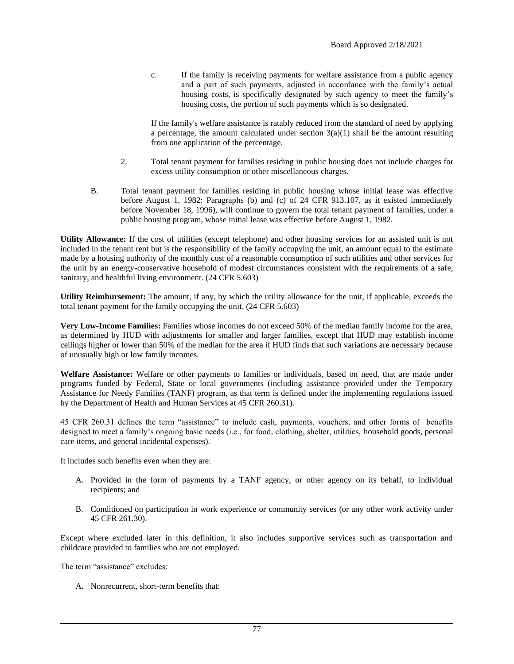c. If the family is receiving payments for welfare assistance from a public agency and a part of such payments, adjusted in accordance with the family's actual housing costs, is specifically designated by such agency to meet the family's housing costs, the portion of such payments which is so designated.

If the family's welfare assistance is ratably reduced from the standard of need by applying a percentage, the amount calculated under section  $3(a)(1)$  shall be the amount resulting from one application of the percentage.

- 2. Total tenant payment for families residing in public housing does not include charges for excess utility consumption or other miscellaneous charges.
- B. Total tenant payment for families residing in public housing whose initial lease was effective before August 1, 1982: Paragraphs (b) and (c) of 24 CFR 913.107, as it existed immediately before November 18, 1996), will continue to govern the total tenant payment of families, under a public housing program, whose initial lease was effective before August 1, 1982.

**Utility Allowance:** If the cost of utilities (except telephone) and other housing services for an assisted unit is not included in the tenant rent but is the responsibility of the family occupying the unit, an amount equal to the estimate made by a housing authority of the monthly cost of a reasonable consumption of such utilities and other services for the unit by an energy-conservative household of modest circumstances consistent with the requirements of a safe, sanitary, and healthful living environment. (24 CFR 5.603)

**Utility Reimbursement:** The amount, if any, by which the utility allowance for the unit, if applicable, exceeds the total tenant payment for the family occupying the unit. (24 CFR 5.603)

**Very Low-Income Families:** Families whose incomes do not exceed 50% of the median family income for the area, as determined by HUD with adjustments for smaller and larger families, except that HUD may establish income ceilings higher or lower than 50% of the median for the area if HUD finds that such variations are necessary because of unusually high or low family incomes.

**Welfare Assistance:** Welfare or other payments to families or individuals, based on need, that are made under programs funded by Federal, State or local governments (including assistance provided under the Temporary Assistance for Needy Families (TANF) program, as that term is defined under the implementing regulations issued by the Department of Health and Human Services at 45 CFR 260.31).

45 CFR 260.31 defines the term "assistance" to include cash, payments, vouchers, and other forms of benefits designed to meet a family's ongoing basic needs (i.e., for food, clothing, shelter, utilities, household goods, personal care items, and general incidental expenses).

It includes such benefits even when they are:

- A. Provided in the form of payments by a TANF agency, or other agency on its behalf, to individual recipients; and
- B. Conditioned on participation in work experience or community services (or any other work activity under 45 CFR 261.30).

Except where excluded later in this definition, it also includes supportive services such as transportation and childcare provided to families who are not employed.

The term "assistance" excludes:

A. Nonrecurrent, short-term benefits that: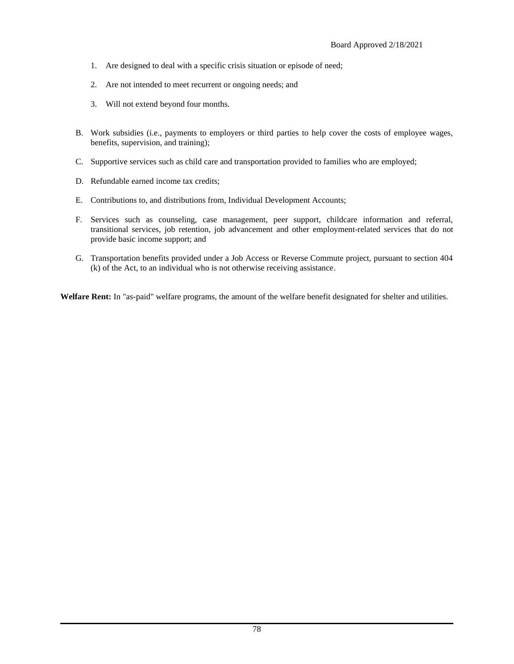- 1. Are designed to deal with a specific crisis situation or episode of need;
- 2. Are not intended to meet recurrent or ongoing needs; and
- 3. Will not extend beyond four months.
- B. Work subsidies (i.e., payments to employers or third parties to help cover the costs of employee wages, benefits, supervision, and training);
- C. Supportive services such as child care and transportation provided to families who are employed;
- D. Refundable earned income tax credits;
- E. Contributions to, and distributions from, Individual Development Accounts;
- F. Services such as counseling, case management, peer support, childcare information and referral, transitional services, job retention, job advancement and other employment-related services that do not provide basic income support; and
- G. Transportation benefits provided under a Job Access or Reverse Commute project, pursuant to section 404 (k) of the Act, to an individual who is not otherwise receiving assistance.

**Welfare Rent:** In "as-paid" welfare programs, the amount of the welfare benefit designated for shelter and utilities.